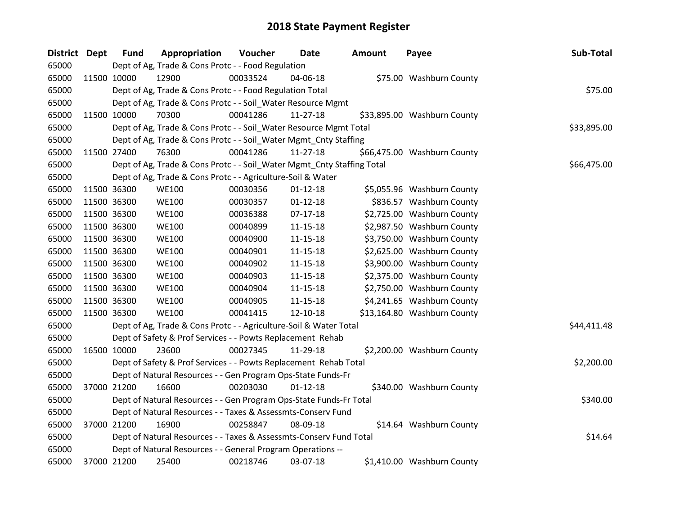| District Dept |             | <b>Fund</b> | Appropriation                                                          | Voucher  | <b>Date</b>    | <b>Amount</b> | Payee                       | Sub-Total   |
|---------------|-------------|-------------|------------------------------------------------------------------------|----------|----------------|---------------|-----------------------------|-------------|
| 65000         |             |             | Dept of Ag, Trade & Cons Protc - - Food Regulation                     |          |                |               |                             |             |
| 65000         |             | 11500 10000 | 12900                                                                  | 00033524 | 04-06-18       |               | \$75.00 Washburn County     |             |
| 65000         |             |             | Dept of Ag, Trade & Cons Protc - - Food Regulation Total               |          |                |               |                             | \$75.00     |
| 65000         |             |             | Dept of Ag, Trade & Cons Protc - - Soil_Water Resource Mgmt            |          |                |               |                             |             |
| 65000         |             | 11500 10000 | 70300                                                                  | 00041286 | 11-27-18       |               | \$33,895.00 Washburn County |             |
| 65000         |             |             | Dept of Ag, Trade & Cons Protc - - Soil_Water Resource Mgmt Total      |          |                |               |                             | \$33,895.00 |
| 65000         |             |             | Dept of Ag, Trade & Cons Protc - - Soil_Water Mgmt_Cnty Staffing       |          |                |               |                             |             |
| 65000         |             | 11500 27400 | 76300                                                                  | 00041286 | $11 - 27 - 18$ |               | \$66,475.00 Washburn County |             |
| 65000         |             |             | Dept of Ag, Trade & Cons Protc - - Soil_Water Mgmt_Cnty Staffing Total |          |                |               |                             | \$66,475.00 |
| 65000         |             |             | Dept of Ag, Trade & Cons Protc - - Agriculture-Soil & Water            |          |                |               |                             |             |
| 65000         |             | 11500 36300 | <b>WE100</b>                                                           | 00030356 | $01 - 12 - 18$ |               | \$5,055.96 Washburn County  |             |
| 65000         |             | 11500 36300 | <b>WE100</b>                                                           | 00030357 | $01 - 12 - 18$ |               | \$836.57 Washburn County    |             |
| 65000         |             | 11500 36300 | <b>WE100</b>                                                           | 00036388 | $07-17-18$     |               | \$2,725.00 Washburn County  |             |
| 65000         | 11500 36300 |             | <b>WE100</b>                                                           | 00040899 | $11 - 15 - 18$ |               | \$2,987.50 Washburn County  |             |
| 65000         |             | 11500 36300 | <b>WE100</b>                                                           | 00040900 | $11 - 15 - 18$ |               | \$3,750.00 Washburn County  |             |
| 65000         |             | 11500 36300 | <b>WE100</b>                                                           | 00040901 | 11-15-18       |               | \$2,625.00 Washburn County  |             |
| 65000         |             | 11500 36300 | <b>WE100</b>                                                           | 00040902 | $11 - 15 - 18$ |               | \$3,900.00 Washburn County  |             |
| 65000         |             | 11500 36300 | <b>WE100</b>                                                           | 00040903 | 11-15-18       |               | \$2,375.00 Washburn County  |             |
| 65000         |             | 11500 36300 | <b>WE100</b>                                                           | 00040904 | $11 - 15 - 18$ |               | \$2,750.00 Washburn County  |             |
| 65000         |             | 11500 36300 | <b>WE100</b>                                                           | 00040905 | $11 - 15 - 18$ |               | \$4,241.65 Washburn County  |             |
| 65000         |             | 11500 36300 | <b>WE100</b>                                                           | 00041415 | 12-10-18       |               | \$13,164.80 Washburn County |             |
| 65000         |             |             | Dept of Ag, Trade & Cons Protc - - Agriculture-Soil & Water Total      |          |                |               |                             | \$44,411.48 |
| 65000         |             |             | Dept of Safety & Prof Services - - Powts Replacement Rehab             |          |                |               |                             |             |
| 65000         |             | 16500 10000 | 23600                                                                  | 00027345 | 11-29-18       |               | \$2,200.00 Washburn County  |             |
| 65000         |             |             | Dept of Safety & Prof Services - - Powts Replacement Rehab Total       |          |                |               |                             | \$2,200.00  |
| 65000         |             |             | Dept of Natural Resources - - Gen Program Ops-State Funds-Fr           |          |                |               |                             |             |
| 65000         |             | 37000 21200 | 16600                                                                  | 00203030 | $01 - 12 - 18$ |               | \$340.00 Washburn County    |             |
| 65000         |             |             | Dept of Natural Resources - - Gen Program Ops-State Funds-Fr Total     |          |                |               |                             | \$340.00    |
| 65000         |             |             | Dept of Natural Resources - - Taxes & Assessmts-Conserv Fund           |          |                |               |                             |             |
| 65000         |             | 37000 21200 | 16900                                                                  | 00258847 | 08-09-18       |               | \$14.64 Washburn County     |             |
| 65000         |             |             | Dept of Natural Resources - - Taxes & Assessmts-Conserv Fund Total     |          |                |               |                             | \$14.64     |
| 65000         |             |             | Dept of Natural Resources - - General Program Operations --            |          |                |               |                             |             |
| 65000         |             | 37000 21200 | 25400                                                                  | 00218746 | 03-07-18       |               | \$1,410.00 Washburn County  |             |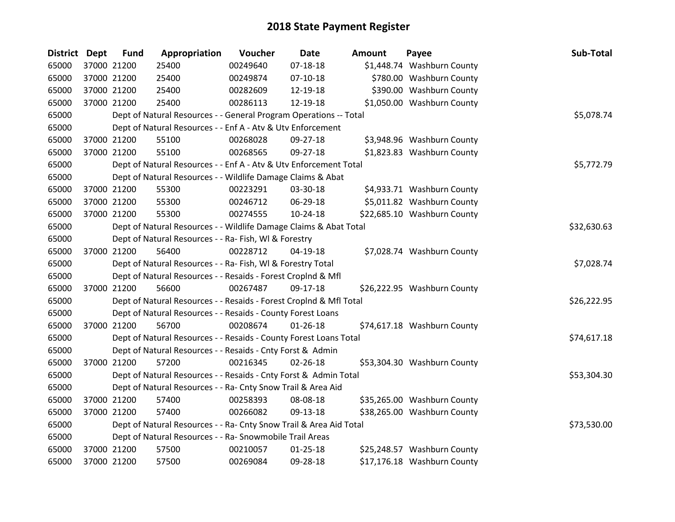| <b>District Dept</b> | <b>Fund</b> | Appropriation                                                      | Voucher  | <b>Date</b>    | <b>Amount</b> | Payee                       | Sub-Total   |
|----------------------|-------------|--------------------------------------------------------------------|----------|----------------|---------------|-----------------------------|-------------|
| 65000                | 37000 21200 | 25400                                                              | 00249640 | $07 - 18 - 18$ |               | \$1,448.74 Washburn County  |             |
| 65000                | 37000 21200 | 25400                                                              | 00249874 | $07-10-18$     |               | \$780.00 Washburn County    |             |
| 65000                | 37000 21200 | 25400                                                              | 00282609 | 12-19-18       |               | \$390.00 Washburn County    |             |
| 65000                | 37000 21200 | 25400                                                              | 00286113 | 12-19-18       |               | \$1,050.00 Washburn County  |             |
| 65000                |             | Dept of Natural Resources - - General Program Operations -- Total  |          |                |               |                             | \$5,078.74  |
| 65000                |             | Dept of Natural Resources - - Enf A - Atv & Utv Enforcement        |          |                |               |                             |             |
| 65000                | 37000 21200 | 55100                                                              | 00268028 | 09-27-18       |               | \$3,948.96 Washburn County  |             |
| 65000                | 37000 21200 | 55100                                                              | 00268565 | 09-27-18       |               | \$1,823.83 Washburn County  |             |
| 65000                |             | Dept of Natural Resources - - Enf A - Atv & Utv Enforcement Total  |          |                |               |                             | \$5,772.79  |
| 65000                |             | Dept of Natural Resources - - Wildlife Damage Claims & Abat        |          |                |               |                             |             |
| 65000                | 37000 21200 | 55300                                                              | 00223291 | 03-30-18       |               | \$4,933.71 Washburn County  |             |
| 65000                | 37000 21200 | 55300                                                              | 00246712 | 06-29-18       |               | \$5,011.82 Washburn County  |             |
| 65000                | 37000 21200 | 55300                                                              | 00274555 | $10-24-18$     |               | \$22,685.10 Washburn County |             |
| 65000                |             | Dept of Natural Resources - - Wildlife Damage Claims & Abat Total  |          |                |               |                             | \$32,630.63 |
| 65000                |             | Dept of Natural Resources - - Ra- Fish, WI & Forestry              |          |                |               |                             |             |
| 65000                | 37000 21200 | 56400                                                              | 00228712 | $04-19-18$     |               | \$7,028.74 Washburn County  |             |
| 65000                |             | Dept of Natural Resources - - Ra- Fish, WI & Forestry Total        |          |                |               |                             | \$7,028.74  |
| 65000                |             | Dept of Natural Resources - - Resaids - Forest CropInd & Mfl       |          |                |               |                             |             |
| 65000                | 37000 21200 | 56600                                                              | 00267487 | 09-17-18       |               | \$26,222.95 Washburn County |             |
| 65000                |             | Dept of Natural Resources - - Resaids - Forest CropInd & Mfl Total |          |                |               |                             | \$26,222.95 |
| 65000                |             | Dept of Natural Resources - - Resaids - County Forest Loans        |          |                |               |                             |             |
| 65000                | 37000 21200 | 56700                                                              | 00208674 | $01 - 26 - 18$ |               | \$74,617.18 Washburn County |             |
| 65000                |             | Dept of Natural Resources - - Resaids - County Forest Loans Total  |          |                |               |                             | \$74,617.18 |
| 65000                |             | Dept of Natural Resources - - Resaids - Cnty Forst & Admin         |          |                |               |                             |             |
| 65000                | 37000 21200 | 57200                                                              | 00216345 | $02 - 26 - 18$ |               | \$53,304.30 Washburn County |             |
| 65000                |             | Dept of Natural Resources - - Resaids - Cnty Forst & Admin Total   |          |                |               |                             | \$53,304.30 |
| 65000                |             | Dept of Natural Resources - - Ra- Cnty Snow Trail & Area Aid       |          |                |               |                             |             |
| 65000                | 37000 21200 | 57400                                                              | 00258393 | 08-08-18       |               | \$35,265.00 Washburn County |             |
| 65000                | 37000 21200 | 57400                                                              | 00266082 | 09-13-18       |               | \$38,265.00 Washburn County |             |
| 65000                |             | Dept of Natural Resources - - Ra- Cnty Snow Trail & Area Aid Total |          |                |               |                             | \$73,530.00 |
| 65000                |             | Dept of Natural Resources - - Ra- Snowmobile Trail Areas           |          |                |               |                             |             |
| 65000                | 37000 21200 | 57500                                                              | 00210057 | $01 - 25 - 18$ |               | \$25,248.57 Washburn County |             |
| 65000                | 37000 21200 | 57500                                                              | 00269084 | 09-28-18       |               | \$17,176.18 Washburn County |             |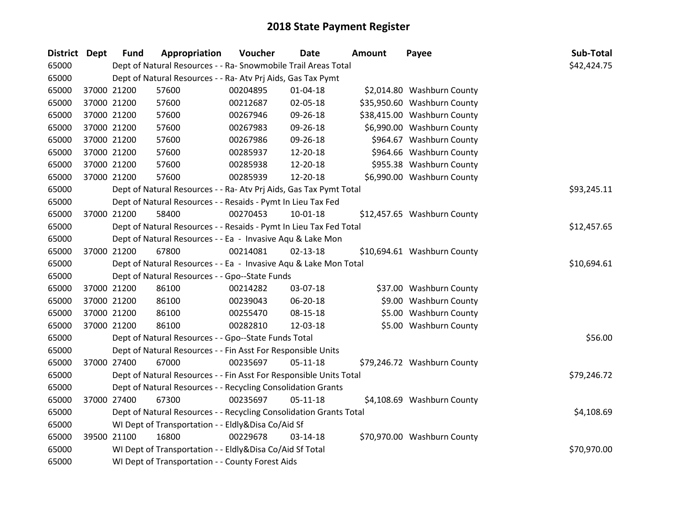| <b>District</b> | Dept | <b>Fund</b> | Appropriation                                                      | Voucher  | <b>Date</b>    | <b>Amount</b> | Payee                       | Sub-Total   |
|-----------------|------|-------------|--------------------------------------------------------------------|----------|----------------|---------------|-----------------------------|-------------|
| 65000           |      |             | Dept of Natural Resources - - Ra- Snowmobile Trail Areas Total     |          |                |               |                             | \$42,424.75 |
| 65000           |      |             | Dept of Natural Resources - - Ra- Atv Prj Aids, Gas Tax Pymt       |          |                |               |                             |             |
| 65000           |      | 37000 21200 | 57600                                                              | 00204895 | $01 - 04 - 18$ |               | \$2,014.80 Washburn County  |             |
| 65000           |      | 37000 21200 | 57600                                                              | 00212687 | 02-05-18       |               | \$35,950.60 Washburn County |             |
| 65000           |      | 37000 21200 | 57600                                                              | 00267946 | 09-26-18       |               | \$38,415.00 Washburn County |             |
| 65000           |      | 37000 21200 | 57600                                                              | 00267983 | 09-26-18       |               | \$6,990.00 Washburn County  |             |
| 65000           |      | 37000 21200 | 57600                                                              | 00267986 | 09-26-18       |               | \$964.67 Washburn County    |             |
| 65000           |      | 37000 21200 | 57600                                                              | 00285937 | 12-20-18       |               | \$964.66 Washburn County    |             |
| 65000           |      | 37000 21200 | 57600                                                              | 00285938 | 12-20-18       |               | \$955.38 Washburn County    |             |
| 65000           |      | 37000 21200 | 57600                                                              | 00285939 | 12-20-18       |               | \$6,990.00 Washburn County  |             |
| 65000           |      |             | Dept of Natural Resources - - Ra- Atv Prj Aids, Gas Tax Pymt Total |          |                |               |                             | \$93,245.11 |
| 65000           |      |             | Dept of Natural Resources - - Resaids - Pymt In Lieu Tax Fed       |          |                |               |                             |             |
| 65000           |      | 37000 21200 | 58400                                                              | 00270453 | 10-01-18       |               | \$12,457.65 Washburn County |             |
| 65000           |      |             | Dept of Natural Resources - - Resaids - Pymt In Lieu Tax Fed Total |          |                |               |                             | \$12,457.65 |
| 65000           |      |             | Dept of Natural Resources - - Ea - Invasive Aqu & Lake Mon         |          |                |               |                             |             |
| 65000           |      | 37000 21200 | 67800                                                              | 00214081 | $02 - 13 - 18$ |               | \$10,694.61 Washburn County |             |
| 65000           |      |             | Dept of Natural Resources - - Ea - Invasive Aqu & Lake Mon Total   |          |                |               |                             | \$10,694.61 |
| 65000           |      |             | Dept of Natural Resources - - Gpo--State Funds                     |          |                |               |                             |             |
| 65000           |      | 37000 21200 | 86100                                                              | 00214282 | 03-07-18       |               | \$37.00 Washburn County     |             |
| 65000           |      | 37000 21200 | 86100                                                              | 00239043 | 06-20-18       |               | \$9.00 Washburn County      |             |
| 65000           |      | 37000 21200 | 86100                                                              | 00255470 | 08-15-18       |               | \$5.00 Washburn County      |             |
| 65000           |      | 37000 21200 | 86100                                                              | 00282810 | 12-03-18       |               | \$5.00 Washburn County      |             |
| 65000           |      |             | Dept of Natural Resources - - Gpo--State Funds Total               |          |                |               |                             | \$56.00     |
| 65000           |      |             | Dept of Natural Resources - - Fin Asst For Responsible Units       |          |                |               |                             |             |
| 65000           |      | 37000 27400 | 67000                                                              | 00235697 | $05 - 11 - 18$ |               | \$79,246.72 Washburn County |             |
| 65000           |      |             | Dept of Natural Resources - - Fin Asst For Responsible Units Total |          |                |               |                             | \$79,246.72 |
| 65000           |      |             | Dept of Natural Resources - - Recycling Consolidation Grants       |          |                |               |                             |             |
| 65000           |      | 37000 27400 | 67300                                                              | 00235697 | $05 - 11 - 18$ |               | \$4,108.69 Washburn County  |             |
| 65000           |      |             | Dept of Natural Resources - - Recycling Consolidation Grants Total |          |                |               |                             | \$4,108.69  |
| 65000           |      |             | WI Dept of Transportation - - Eldly&Disa Co/Aid Sf                 |          |                |               |                             |             |
| 65000           |      | 39500 21100 | 16800                                                              | 00229678 | $03-14-18$     |               | \$70,970.00 Washburn County |             |
| 65000           |      |             | WI Dept of Transportation - - Eldly&Disa Co/Aid Sf Total           |          |                |               |                             | \$70,970.00 |
| 65000           |      |             | WI Dept of Transportation - - County Forest Aids                   |          |                |               |                             |             |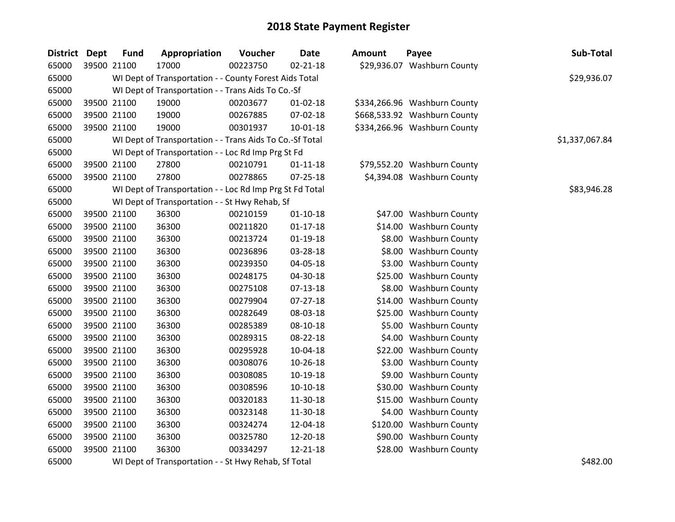| District Dept | <b>Fund</b> | Appropriation                                            | Voucher  | <b>Date</b>    | <b>Amount</b> | Payee                        | Sub-Total      |
|---------------|-------------|----------------------------------------------------------|----------|----------------|---------------|------------------------------|----------------|
| 65000         | 39500 21100 | 17000                                                    | 00223750 | $02 - 21 - 18$ |               | \$29,936.07 Washburn County  |                |
| 65000         |             | WI Dept of Transportation - - County Forest Aids Total   |          |                |               |                              | \$29,936.07    |
| 65000         |             | WI Dept of Transportation - - Trans Aids To Co.-Sf       |          |                |               |                              |                |
| 65000         | 39500 21100 | 19000                                                    | 00203677 | $01 - 02 - 18$ |               | \$334,266.96 Washburn County |                |
| 65000         | 39500 21100 | 19000                                                    | 00267885 | 07-02-18       |               | \$668,533.92 Washburn County |                |
| 65000         | 39500 21100 | 19000                                                    | 00301937 | $10 - 01 - 18$ |               | \$334,266.96 Washburn County |                |
| 65000         |             | WI Dept of Transportation - - Trans Aids To Co.-Sf Total |          |                |               |                              | \$1,337,067.84 |
| 65000         |             | WI Dept of Transportation - - Loc Rd Imp Prg St Fd       |          |                |               |                              |                |
| 65000         | 39500 21100 | 27800                                                    | 00210791 | $01 - 11 - 18$ |               | \$79,552.20 Washburn County  |                |
| 65000         | 39500 21100 | 27800                                                    | 00278865 | 07-25-18       |               | \$4,394.08 Washburn County   |                |
| 65000         |             | WI Dept of Transportation - - Loc Rd Imp Prg St Fd Total |          |                |               |                              | \$83,946.28    |
| 65000         |             | WI Dept of Transportation - - St Hwy Rehab, Sf           |          |                |               |                              |                |
| 65000         | 39500 21100 | 36300                                                    | 00210159 | $01 - 10 - 18$ |               | \$47.00 Washburn County      |                |
| 65000         | 39500 21100 | 36300                                                    | 00211820 | $01 - 17 - 18$ |               | \$14.00 Washburn County      |                |
| 65000         | 39500 21100 | 36300                                                    | 00213724 | 01-19-18       |               | \$8.00 Washburn County       |                |
| 65000         | 39500 21100 | 36300                                                    | 00236896 | 03-28-18       |               | \$8.00 Washburn County       |                |
| 65000         | 39500 21100 | 36300                                                    | 00239350 | 04-05-18       |               | \$3.00 Washburn County       |                |
| 65000         | 39500 21100 | 36300                                                    | 00248175 | 04-30-18       |               | \$25.00 Washburn County      |                |
| 65000         | 39500 21100 | 36300                                                    | 00275108 | 07-13-18       |               | \$8.00 Washburn County       |                |
| 65000         | 39500 21100 | 36300                                                    | 00279904 | 07-27-18       |               | \$14.00 Washburn County      |                |
| 65000         | 39500 21100 | 36300                                                    | 00282649 | 08-03-18       |               | \$25.00 Washburn County      |                |
| 65000         | 39500 21100 | 36300                                                    | 00285389 | 08-10-18       |               | \$5.00 Washburn County       |                |
| 65000         | 39500 21100 | 36300                                                    | 00289315 | 08-22-18       |               | \$4.00 Washburn County       |                |
| 65000         | 39500 21100 | 36300                                                    | 00295928 | 10-04-18       |               | \$22.00 Washburn County      |                |
| 65000         | 39500 21100 | 36300                                                    | 00308076 | 10-26-18       |               | \$3.00 Washburn County       |                |
| 65000         | 39500 21100 | 36300                                                    | 00308085 | 10-19-18       |               | \$9.00 Washburn County       |                |
| 65000         | 39500 21100 | 36300                                                    | 00308596 | $10-10-18$     |               | \$30.00 Washburn County      |                |
| 65000         | 39500 21100 | 36300                                                    | 00320183 | 11-30-18       |               | \$15.00 Washburn County      |                |
| 65000         | 39500 21100 | 36300                                                    | 00323148 | 11-30-18       |               | \$4.00 Washburn County       |                |
| 65000         | 39500 21100 | 36300                                                    | 00324274 | 12-04-18       |               | \$120.00 Washburn County     |                |
| 65000         | 39500 21100 | 36300                                                    | 00325780 | 12-20-18       |               | \$90.00 Washburn County      |                |
| 65000         | 39500 21100 | 36300                                                    | 00334297 | 12-21-18       |               | \$28.00 Washburn County      |                |
| 65000         |             | WI Dept of Transportation - - St Hwy Rehab, Sf Total     |          |                |               |                              | \$482.00       |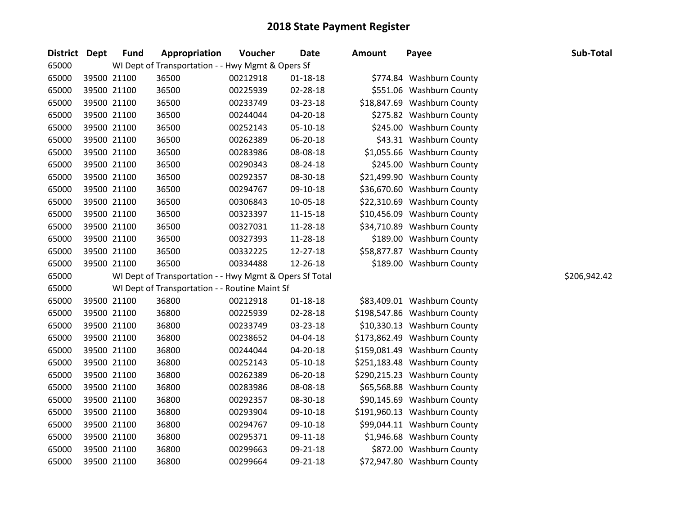| <b>District</b> | <b>Dept</b> | <b>Fund</b> | Appropriation                                           | Voucher  | Date           | <b>Amount</b> | Payee                        | Sub-Total    |
|-----------------|-------------|-------------|---------------------------------------------------------|----------|----------------|---------------|------------------------------|--------------|
| 65000           |             |             | WI Dept of Transportation - - Hwy Mgmt & Opers Sf       |          |                |               |                              |              |
| 65000           |             | 39500 21100 | 36500                                                   | 00212918 | $01 - 18 - 18$ |               | \$774.84 Washburn County     |              |
| 65000           |             | 39500 21100 | 36500                                                   | 00225939 | 02-28-18       |               | \$551.06 Washburn County     |              |
| 65000           |             | 39500 21100 | 36500                                                   | 00233749 | 03-23-18       |               | \$18,847.69 Washburn County  |              |
| 65000           |             | 39500 21100 | 36500                                                   | 00244044 | 04-20-18       |               | \$275.82 Washburn County     |              |
| 65000           |             | 39500 21100 | 36500                                                   | 00252143 | 05-10-18       |               | \$245.00 Washburn County     |              |
| 65000           |             | 39500 21100 | 36500                                                   | 00262389 | 06-20-18       |               | \$43.31 Washburn County      |              |
| 65000           |             | 39500 21100 | 36500                                                   | 00283986 | 08-08-18       |               | \$1,055.66 Washburn County   |              |
| 65000           |             | 39500 21100 | 36500                                                   | 00290343 | 08-24-18       |               | \$245.00 Washburn County     |              |
| 65000           |             | 39500 21100 | 36500                                                   | 00292357 | 08-30-18       |               | \$21,499.90 Washburn County  |              |
| 65000           |             | 39500 21100 | 36500                                                   | 00294767 | 09-10-18       |               | \$36,670.60 Washburn County  |              |
| 65000           |             | 39500 21100 | 36500                                                   | 00306843 | 10-05-18       |               | \$22,310.69 Washburn County  |              |
| 65000           |             | 39500 21100 | 36500                                                   | 00323397 | $11 - 15 - 18$ |               | \$10,456.09 Washburn County  |              |
| 65000           |             | 39500 21100 | 36500                                                   | 00327031 | 11-28-18       |               | \$34,710.89 Washburn County  |              |
| 65000           |             | 39500 21100 | 36500                                                   | 00327393 | 11-28-18       |               | \$189.00 Washburn County     |              |
| 65000           |             | 39500 21100 | 36500                                                   | 00332225 | 12-27-18       |               | \$58,877.87 Washburn County  |              |
| 65000           |             | 39500 21100 | 36500                                                   | 00334488 | 12-26-18       |               | \$189.00 Washburn County     |              |
| 65000           |             |             | WI Dept of Transportation - - Hwy Mgmt & Opers Sf Total |          |                |               |                              | \$206,942.42 |
| 65000           |             |             | WI Dept of Transportation - - Routine Maint Sf          |          |                |               |                              |              |
| 65000           |             | 39500 21100 | 36800                                                   | 00212918 | $01 - 18 - 18$ |               | \$83,409.01 Washburn County  |              |
| 65000           |             | 39500 21100 | 36800                                                   | 00225939 | 02-28-18       |               | \$198,547.86 Washburn County |              |
| 65000           |             | 39500 21100 | 36800                                                   | 00233749 | 03-23-18       |               | \$10,330.13 Washburn County  |              |
| 65000           |             | 39500 21100 | 36800                                                   | 00238652 | 04-04-18       |               | \$173,862.49 Washburn County |              |
| 65000           |             | 39500 21100 | 36800                                                   | 00244044 | 04-20-18       |               | \$159,081.49 Washburn County |              |
| 65000           |             | 39500 21100 | 36800                                                   | 00252143 | 05-10-18       |               | \$251,183.48 Washburn County |              |
| 65000           |             | 39500 21100 | 36800                                                   | 00262389 | 06-20-18       |               | \$290,215.23 Washburn County |              |
| 65000           |             | 39500 21100 | 36800                                                   | 00283986 | 08-08-18       |               | \$65,568.88 Washburn County  |              |
| 65000           |             | 39500 21100 | 36800                                                   | 00292357 | 08-30-18       |               | \$90,145.69 Washburn County  |              |
| 65000           |             | 39500 21100 | 36800                                                   | 00293904 | 09-10-18       |               | \$191,960.13 Washburn County |              |
| 65000           |             | 39500 21100 | 36800                                                   | 00294767 | 09-10-18       |               | \$99,044.11 Washburn County  |              |
| 65000           |             | 39500 21100 | 36800                                                   | 00295371 | 09-11-18       |               | \$1,946.68 Washburn County   |              |
| 65000           |             | 39500 21100 | 36800                                                   | 00299663 | 09-21-18       |               | \$872.00 Washburn County     |              |
| 65000           |             | 39500 21100 | 36800                                                   | 00299664 | 09-21-18       |               | \$72,947.80 Washburn County  |              |

| \$774.84    | <b>Washburn County</b> |
|-------------|------------------------|
| \$551.06    | <b>Washburn County</b> |
| \$18,847.69 | <b>Washburn County</b> |
| \$275.82    | <b>Washburn County</b> |
| \$245.00    | <b>Washburn County</b> |
| \$43.31     | <b>Washburn County</b> |
| \$1,055.66  | <b>Washburn County</b> |
| \$245.00    | <b>Washburn County</b> |
| \$21,499.90 | <b>Washburn County</b> |
| \$36,670.60 | <b>Washburn County</b> |
| \$22,310.69 | <b>Washburn County</b> |
| \$10,456.09 | <b>Washburn County</b> |
| \$34,710.89 | <b>Washburn County</b> |
| \$189.00    | <b>Washburn County</b> |
| \$58,877.87 | <b>Washburn County</b> |
| \$189.00    | Washburn County        |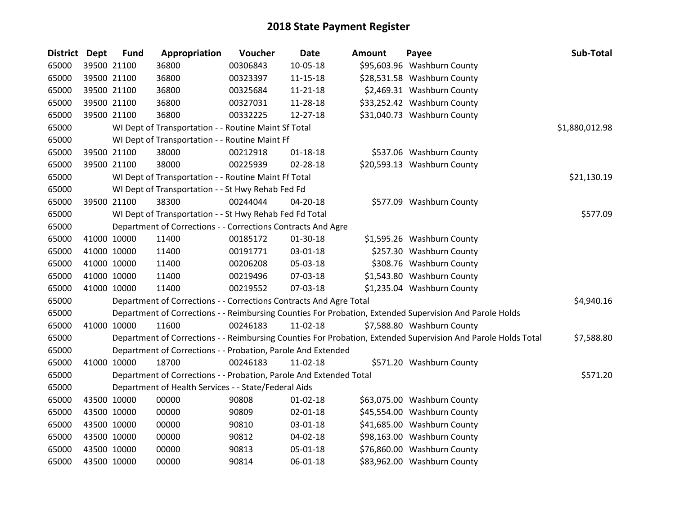| <b>District</b> | <b>Dept</b> | <b>Fund</b> | Appropriation                                                      | Voucher  | <b>Date</b>    | Amount | Payee                                                                                                         | Sub-Total      |
|-----------------|-------------|-------------|--------------------------------------------------------------------|----------|----------------|--------|---------------------------------------------------------------------------------------------------------------|----------------|
| 65000           |             | 39500 21100 | 36800                                                              | 00306843 | 10-05-18       |        | \$95,603.96 Washburn County                                                                                   |                |
| 65000           |             | 39500 21100 | 36800                                                              | 00323397 | $11 - 15 - 18$ |        | \$28,531.58 Washburn County                                                                                   |                |
| 65000           |             | 39500 21100 | 36800                                                              | 00325684 | 11-21-18       |        | \$2,469.31 Washburn County                                                                                    |                |
| 65000           |             | 39500 21100 | 36800                                                              | 00327031 | 11-28-18       |        | \$33,252.42 Washburn County                                                                                   |                |
| 65000           |             | 39500 21100 | 36800                                                              | 00332225 | 12-27-18       |        | \$31,040.73 Washburn County                                                                                   |                |
| 65000           |             |             | WI Dept of Transportation - - Routine Maint Sf Total               |          |                |        |                                                                                                               | \$1,880,012.98 |
| 65000           |             |             | WI Dept of Transportation - - Routine Maint Ff                     |          |                |        |                                                                                                               |                |
| 65000           |             | 39500 21100 | 38000                                                              | 00212918 | $01 - 18 - 18$ |        | \$537.06 Washburn County                                                                                      |                |
| 65000           |             | 39500 21100 | 38000                                                              | 00225939 | 02-28-18       |        | \$20,593.13 Washburn County                                                                                   |                |
| 65000           |             |             | WI Dept of Transportation - - Routine Maint Ff Total               |          |                |        |                                                                                                               | \$21,130.19    |
| 65000           |             |             | WI Dept of Transportation - - St Hwy Rehab Fed Fd                  |          |                |        |                                                                                                               |                |
| 65000           |             | 39500 21100 | 38300                                                              | 00244044 | 04-20-18       |        | \$577.09 Washburn County                                                                                      |                |
| 65000           |             |             | WI Dept of Transportation - - St Hwy Rehab Fed Fd Total            |          |                |        |                                                                                                               | \$577.09       |
| 65000           |             |             | Department of Corrections - - Corrections Contracts And Agre       |          |                |        |                                                                                                               |                |
| 65000           |             | 41000 10000 | 11400                                                              | 00185172 | 01-30-18       |        | \$1,595.26 Washburn County                                                                                    |                |
| 65000           |             | 41000 10000 | 11400                                                              | 00191771 | 03-01-18       |        | \$257.30 Washburn County                                                                                      |                |
| 65000           |             | 41000 10000 | 11400                                                              | 00206208 | 05-03-18       |        | \$308.76 Washburn County                                                                                      |                |
| 65000           |             | 41000 10000 | 11400                                                              | 00219496 | 07-03-18       |        | \$1,543.80 Washburn County                                                                                    |                |
| 65000           |             | 41000 10000 | 11400                                                              | 00219552 | 07-03-18       |        | \$1,235.04 Washburn County                                                                                    |                |
| 65000           |             |             | Department of Corrections - - Corrections Contracts And Agre Total |          |                |        |                                                                                                               | \$4,940.16     |
| 65000           |             |             |                                                                    |          |                |        | Department of Corrections - - Reimbursing Counties For Probation, Extended Supervision And Parole Holds       |                |
| 65000           |             | 41000 10000 | 11600                                                              | 00246183 | 11-02-18       |        | \$7,588.80 Washburn County                                                                                    |                |
| 65000           |             |             |                                                                    |          |                |        | Department of Corrections - - Reimbursing Counties For Probation, Extended Supervision And Parole Holds Total | \$7,588.80     |
| 65000           |             |             | Department of Corrections - - Probation, Parole And Extended       |          |                |        |                                                                                                               |                |
| 65000           |             | 41000 10000 | 18700                                                              | 00246183 | 11-02-18       |        | \$571.20 Washburn County                                                                                      |                |
| 65000           |             |             | Department of Corrections - - Probation, Parole And Extended Total |          |                |        |                                                                                                               | \$571.20       |
| 65000           |             |             | Department of Health Services - - State/Federal Aids               |          |                |        |                                                                                                               |                |
| 65000           |             | 43500 10000 | 00000                                                              | 90808    | $01 - 02 - 18$ |        | \$63,075.00 Washburn County                                                                                   |                |
| 65000           |             | 43500 10000 | 00000                                                              | 90809    | 02-01-18       |        | \$45,554.00 Washburn County                                                                                   |                |
| 65000           |             | 43500 10000 | 00000                                                              | 90810    | 03-01-18       |        | \$41,685.00 Washburn County                                                                                   |                |
| 65000           |             | 43500 10000 | 00000                                                              | 90812    | 04-02-18       |        | \$98,163.00 Washburn County                                                                                   |                |
| 65000           |             | 43500 10000 | 00000                                                              | 90813    | 05-01-18       |        | \$76,860.00 Washburn County                                                                                   |                |
| 65000           |             | 43500 10000 | 00000                                                              | 90814    | 06-01-18       |        | \$83,962.00 Washburn County                                                                                   |                |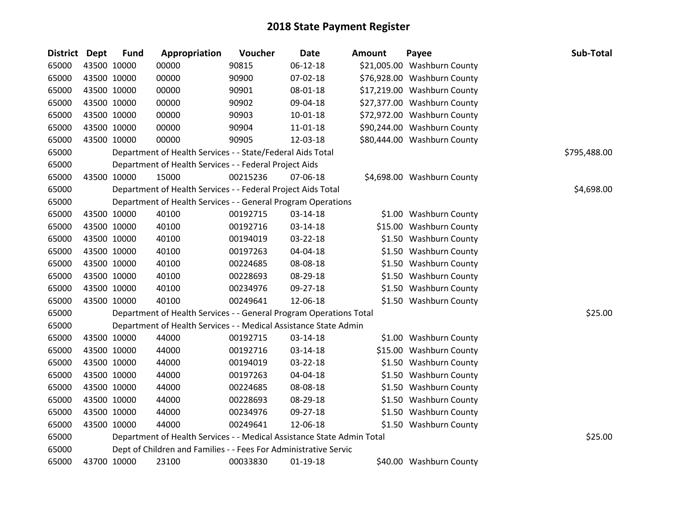| <b>District Dept</b> |             | <b>Fund</b> | Appropriation                                                          | Voucher  | <b>Date</b>    | Amount | Payee                       | Sub-Total    |
|----------------------|-------------|-------------|------------------------------------------------------------------------|----------|----------------|--------|-----------------------------|--------------|
| 65000                |             | 43500 10000 | 00000                                                                  | 90815    | 06-12-18       |        | \$21,005.00 Washburn County |              |
| 65000                |             | 43500 10000 | 00000                                                                  | 90900    | 07-02-18       |        | \$76,928.00 Washburn County |              |
| 65000                | 43500 10000 |             | 00000                                                                  | 90901    | 08-01-18       |        | \$17,219.00 Washburn County |              |
| 65000                |             | 43500 10000 | 00000                                                                  | 90902    | 09-04-18       |        | \$27,377.00 Washburn County |              |
| 65000                | 43500 10000 |             | 00000                                                                  | 90903    | $10 - 01 - 18$ |        | \$72,972.00 Washburn County |              |
| 65000                |             | 43500 10000 | 00000                                                                  | 90904    | $11 - 01 - 18$ |        | \$90,244.00 Washburn County |              |
| 65000                |             | 43500 10000 | 00000                                                                  | 90905    | 12-03-18       |        | \$80,444.00 Washburn County |              |
| 65000                |             |             | Department of Health Services - - State/Federal Aids Total             |          |                |        |                             | \$795,488.00 |
| 65000                |             |             | Department of Health Services - - Federal Project Aids                 |          |                |        |                             |              |
| 65000                |             | 43500 10000 | 15000                                                                  | 00215236 | 07-06-18       |        | \$4,698.00 Washburn County  |              |
| 65000                |             |             | Department of Health Services - - Federal Project Aids Total           |          |                |        |                             | \$4,698.00   |
| 65000                |             |             | Department of Health Services - - General Program Operations           |          |                |        |                             |              |
| 65000                |             | 43500 10000 | 40100                                                                  | 00192715 | 03-14-18       |        | \$1.00 Washburn County      |              |
| 65000                |             | 43500 10000 | 40100                                                                  | 00192716 | 03-14-18       |        | \$15.00 Washburn County     |              |
| 65000                |             | 43500 10000 | 40100                                                                  | 00194019 | 03-22-18       |        | \$1.50 Washburn County      |              |
| 65000                |             | 43500 10000 | 40100                                                                  | 00197263 | 04-04-18       |        | \$1.50 Washburn County      |              |
| 65000                |             | 43500 10000 | 40100                                                                  | 00224685 | 08-08-18       |        | \$1.50 Washburn County      |              |
| 65000                |             | 43500 10000 | 40100                                                                  | 00228693 | 08-29-18       |        | \$1.50 Washburn County      |              |
| 65000                |             | 43500 10000 | 40100                                                                  | 00234976 | 09-27-18       |        | \$1.50 Washburn County      |              |
| 65000                |             | 43500 10000 | 40100                                                                  | 00249641 | 12-06-18       |        | \$1.50 Washburn County      |              |
| 65000                |             |             | Department of Health Services - - General Program Operations Total     |          |                |        |                             | \$25.00      |
| 65000                |             |             | Department of Health Services - - Medical Assistance State Admin       |          |                |        |                             |              |
| 65000                |             | 43500 10000 | 44000                                                                  | 00192715 | 03-14-18       |        | \$1.00 Washburn County      |              |
| 65000                |             | 43500 10000 | 44000                                                                  | 00192716 | 03-14-18       |        | \$15.00 Washburn County     |              |
| 65000                |             | 43500 10000 | 44000                                                                  | 00194019 | 03-22-18       |        | \$1.50 Washburn County      |              |
| 65000                |             | 43500 10000 | 44000                                                                  | 00197263 | 04-04-18       |        | \$1.50 Washburn County      |              |
| 65000                |             | 43500 10000 | 44000                                                                  | 00224685 | 08-08-18       |        | \$1.50 Washburn County      |              |
| 65000                |             | 43500 10000 | 44000                                                                  | 00228693 | 08-29-18       |        | \$1.50 Washburn County      |              |
| 65000                |             | 43500 10000 | 44000                                                                  | 00234976 | 09-27-18       |        | \$1.50 Washburn County      |              |
| 65000                |             | 43500 10000 | 44000                                                                  | 00249641 | 12-06-18       |        | \$1.50 Washburn County      |              |
| 65000                |             |             | Department of Health Services - - Medical Assistance State Admin Total |          |                |        |                             | \$25.00      |
| 65000                |             |             | Dept of Children and Families - - Fees For Administrative Servic       |          |                |        |                             |              |
| 65000                |             | 43700 10000 | 23100                                                                  | 00033830 | $01-19-18$     |        | \$40.00 Washburn County     |              |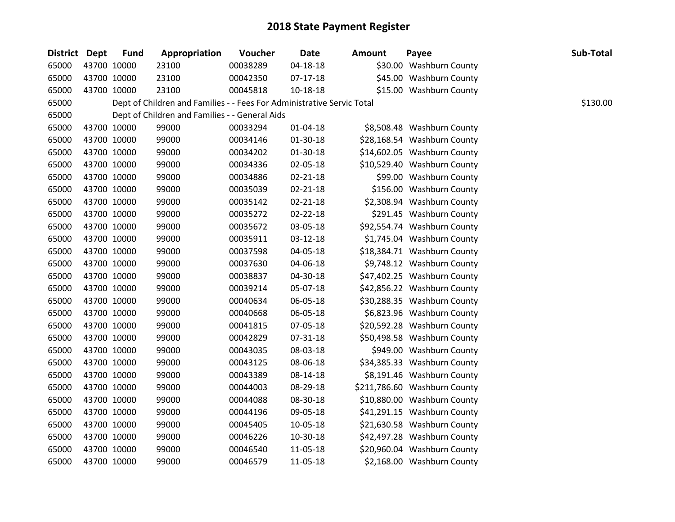| District Dept | <b>Fund</b> | Appropriation                                                          | Voucher  | <b>Date</b>    | <b>Amount</b> | Payee                        | Sub-Total |
|---------------|-------------|------------------------------------------------------------------------|----------|----------------|---------------|------------------------------|-----------|
| 65000         | 43700 10000 | 23100                                                                  | 00038289 | $04 - 18 - 18$ |               | \$30.00 Washburn County      |           |
| 65000         | 43700 10000 | 23100                                                                  | 00042350 | $07-17-18$     |               | \$45.00 Washburn County      |           |
| 65000         | 43700 10000 | 23100                                                                  | 00045818 | $10 - 18 - 18$ |               | \$15.00 Washburn County      |           |
| 65000         |             | Dept of Children and Families - - Fees For Administrative Servic Total |          |                |               |                              | \$130.00  |
| 65000         |             | Dept of Children and Families - - General Aids                         |          |                |               |                              |           |
| 65000         | 43700 10000 | 99000                                                                  | 00033294 | $01 - 04 - 18$ |               | \$8,508.48 Washburn County   |           |
| 65000         | 43700 10000 | 99000                                                                  | 00034146 | 01-30-18       |               | \$28,168.54 Washburn County  |           |
| 65000         | 43700 10000 | 99000                                                                  | 00034202 | 01-30-18       |               | \$14,602.05 Washburn County  |           |
| 65000         | 43700 10000 | 99000                                                                  | 00034336 | 02-05-18       |               | \$10,529.40 Washburn County  |           |
| 65000         | 43700 10000 | 99000                                                                  | 00034886 | $02 - 21 - 18$ |               | \$99.00 Washburn County      |           |
| 65000         | 43700 10000 | 99000                                                                  | 00035039 | $02 - 21 - 18$ |               | \$156.00 Washburn County     |           |
| 65000         | 43700 10000 | 99000                                                                  | 00035142 | 02-21-18       |               | \$2,308.94 Washburn County   |           |
| 65000         | 43700 10000 | 99000                                                                  | 00035272 | 02-22-18       |               | \$291.45 Washburn County     |           |
| 65000         | 43700 10000 | 99000                                                                  | 00035672 | 03-05-18       |               | \$92,554.74 Washburn County  |           |
| 65000         | 43700 10000 | 99000                                                                  | 00035911 | 03-12-18       |               | \$1,745.04 Washburn County   |           |
| 65000         | 43700 10000 | 99000                                                                  | 00037598 | 04-05-18       |               | \$18,384.71 Washburn County  |           |
| 65000         | 43700 10000 | 99000                                                                  | 00037630 | 04-06-18       |               | \$9,748.12 Washburn County   |           |
| 65000         | 43700 10000 | 99000                                                                  | 00038837 | 04-30-18       |               | \$47,402.25 Washburn County  |           |
| 65000         | 43700 10000 | 99000                                                                  | 00039214 | 05-07-18       |               | \$42,856.22 Washburn County  |           |
| 65000         | 43700 10000 | 99000                                                                  | 00040634 | 06-05-18       |               | \$30,288.35 Washburn County  |           |
| 65000         | 43700 10000 | 99000                                                                  | 00040668 | 06-05-18       |               | \$6,823.96 Washburn County   |           |
| 65000         | 43700 10000 | 99000                                                                  | 00041815 | 07-05-18       |               | \$20,592.28 Washburn County  |           |
| 65000         | 43700 10000 | 99000                                                                  | 00042829 | 07-31-18       |               | \$50,498.58 Washburn County  |           |
| 65000         | 43700 10000 | 99000                                                                  | 00043035 | 08-03-18       |               | \$949.00 Washburn County     |           |
| 65000         | 43700 10000 | 99000                                                                  | 00043125 | 08-06-18       |               | \$34,385.33 Washburn County  |           |
| 65000         | 43700 10000 | 99000                                                                  | 00043389 | 08-14-18       |               | \$8,191.46 Washburn County   |           |
| 65000         | 43700 10000 | 99000                                                                  | 00044003 | 08-29-18       |               | \$211,786.60 Washburn County |           |
| 65000         | 43700 10000 | 99000                                                                  | 00044088 | 08-30-18       |               | \$10,880.00 Washburn County  |           |
| 65000         | 43700 10000 | 99000                                                                  | 00044196 | 09-05-18       |               | \$41,291.15 Washburn County  |           |
| 65000         | 43700 10000 | 99000                                                                  | 00045405 | 10-05-18       |               | \$21,630.58 Washburn County  |           |
| 65000         | 43700 10000 | 99000                                                                  | 00046226 | 10-30-18       |               | \$42,497.28 Washburn County  |           |
| 65000         | 43700 10000 | 99000                                                                  | 00046540 | 11-05-18       |               | \$20,960.04 Washburn County  |           |
| 65000         | 43700 10000 | 99000                                                                  | 00046579 | 11-05-18       |               | \$2,168.00 Washburn County   |           |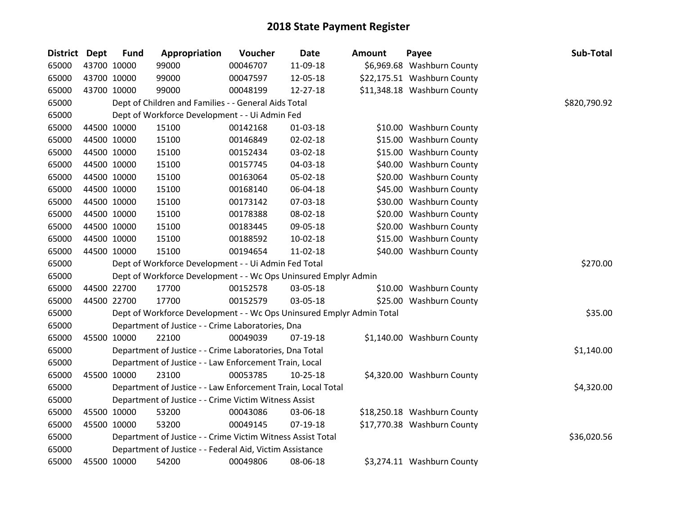| District Dept |             | <b>Fund</b> | Appropriation                                                         | Voucher  | <b>Date</b>    | <b>Amount</b> | Payee                       | Sub-Total    |
|---------------|-------------|-------------|-----------------------------------------------------------------------|----------|----------------|---------------|-----------------------------|--------------|
| 65000         | 43700 10000 |             | 99000                                                                 | 00046707 | 11-09-18       |               | \$6,969.68 Washburn County  |              |
| 65000         | 43700 10000 |             | 99000                                                                 | 00047597 | 12-05-18       |               | \$22,175.51 Washburn County |              |
| 65000         | 43700 10000 |             | 99000                                                                 | 00048199 | 12-27-18       |               | \$11,348.18 Washburn County |              |
| 65000         |             |             | Dept of Children and Families - - General Aids Total                  |          |                |               |                             | \$820,790.92 |
| 65000         |             |             | Dept of Workforce Development - - Ui Admin Fed                        |          |                |               |                             |              |
| 65000         | 44500 10000 |             | 15100                                                                 | 00142168 | $01 - 03 - 18$ |               | \$10.00 Washburn County     |              |
| 65000         |             | 44500 10000 | 15100                                                                 | 00146849 | 02-02-18       |               | \$15.00 Washburn County     |              |
| 65000         |             | 44500 10000 | 15100                                                                 | 00152434 | 03-02-18       |               | \$15.00 Washburn County     |              |
| 65000         |             | 44500 10000 | 15100                                                                 | 00157745 | 04-03-18       |               | \$40.00 Washburn County     |              |
| 65000         |             | 44500 10000 | 15100                                                                 | 00163064 | 05-02-18       |               | \$20.00 Washburn County     |              |
| 65000         |             | 44500 10000 | 15100                                                                 | 00168140 | 06-04-18       |               | \$45.00 Washburn County     |              |
| 65000         |             | 44500 10000 | 15100                                                                 | 00173142 | 07-03-18       |               | \$30.00 Washburn County     |              |
| 65000         |             | 44500 10000 | 15100                                                                 | 00178388 | 08-02-18       |               | \$20.00 Washburn County     |              |
| 65000         | 44500 10000 |             | 15100                                                                 | 00183445 | 09-05-18       |               | \$20.00 Washburn County     |              |
| 65000         | 44500 10000 |             | 15100                                                                 | 00188592 | 10-02-18       |               | \$15.00 Washburn County     |              |
| 65000         | 44500 10000 |             | 15100                                                                 | 00194654 | 11-02-18       |               | \$40.00 Washburn County     |              |
| 65000         |             |             | Dept of Workforce Development - - Ui Admin Fed Total                  |          |                |               |                             | \$270.00     |
| 65000         |             |             | Dept of Workforce Development - - Wc Ops Uninsured Emplyr Admin       |          |                |               |                             |              |
| 65000         |             | 44500 22700 | 17700                                                                 | 00152578 | 03-05-18       |               | \$10.00 Washburn County     |              |
| 65000         |             | 44500 22700 | 17700                                                                 | 00152579 | 03-05-18       |               | \$25.00 Washburn County     |              |
| 65000         |             |             | Dept of Workforce Development - - Wc Ops Uninsured Emplyr Admin Total |          |                |               |                             | \$35.00      |
| 65000         |             |             | Department of Justice - - Crime Laboratories, Dna                     |          |                |               |                             |              |
| 65000         |             | 45500 10000 | 22100                                                                 | 00049039 | 07-19-18       |               | \$1,140.00 Washburn County  |              |
| 65000         |             |             | Department of Justice - - Crime Laboratories, Dna Total               |          |                |               |                             | \$1,140.00   |
| 65000         |             |             | Department of Justice - - Law Enforcement Train, Local                |          |                |               |                             |              |
| 65000         |             | 45500 10000 | 23100                                                                 | 00053785 | $10-25-18$     |               | \$4,320.00 Washburn County  |              |
| 65000         |             |             | Department of Justice - - Law Enforcement Train, Local Total          |          |                |               |                             | \$4,320.00   |
| 65000         |             |             | Department of Justice - - Crime Victim Witness Assist                 |          |                |               |                             |              |
| 65000         |             | 45500 10000 | 53200                                                                 | 00043086 | 03-06-18       |               | \$18,250.18 Washburn County |              |
| 65000         |             | 45500 10000 | 53200                                                                 | 00049145 | 07-19-18       |               | \$17,770.38 Washburn County |              |
| 65000         |             |             | Department of Justice - - Crime Victim Witness Assist Total           |          |                |               |                             | \$36,020.56  |
| 65000         |             |             | Department of Justice - - Federal Aid, Victim Assistance              |          |                |               |                             |              |
| 65000         | 45500 10000 |             | 54200                                                                 | 00049806 | 08-06-18       |               | \$3,274.11 Washburn County  |              |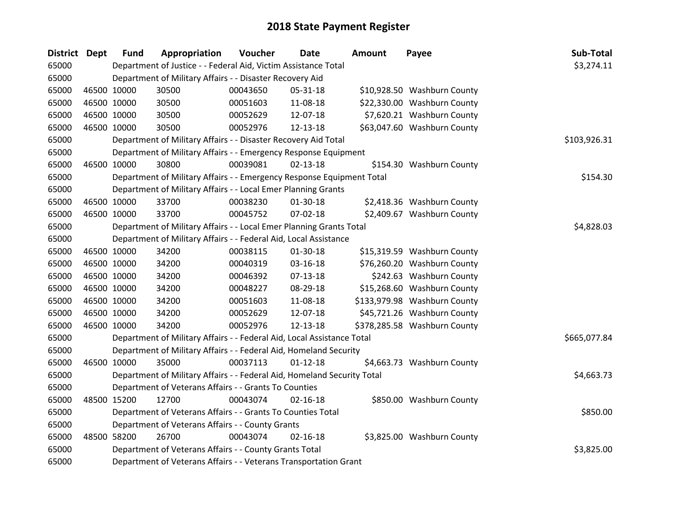| District Dept |             | <b>Fund</b> | Appropriation                                                           | Voucher  | Date           | <b>Amount</b> | Payee                        | Sub-Total    |
|---------------|-------------|-------------|-------------------------------------------------------------------------|----------|----------------|---------------|------------------------------|--------------|
| 65000         |             |             | Department of Justice - - Federal Aid, Victim Assistance Total          |          |                |               |                              | \$3,274.11   |
| 65000         |             |             | Department of Military Affairs - - Disaster Recovery Aid                |          |                |               |                              |              |
| 65000         |             | 46500 10000 | 30500                                                                   | 00043650 | 05-31-18       |               | \$10,928.50 Washburn County  |              |
| 65000         | 46500 10000 |             | 30500                                                                   | 00051603 | 11-08-18       |               | \$22,330.00 Washburn County  |              |
| 65000         | 46500 10000 |             | 30500                                                                   | 00052629 | 12-07-18       |               | \$7,620.21 Washburn County   |              |
| 65000         | 46500 10000 |             | 30500                                                                   | 00052976 | 12-13-18       |               | \$63,047.60 Washburn County  |              |
| 65000         |             |             | Department of Military Affairs - - Disaster Recovery Aid Total          |          |                |               |                              | \$103,926.31 |
| 65000         |             |             | Department of Military Affairs - - Emergency Response Equipment         |          |                |               |                              |              |
| 65000         | 46500 10000 |             | 30800                                                                   | 00039081 | $02 - 13 - 18$ |               | \$154.30 Washburn County     |              |
| 65000         |             |             | Department of Military Affairs - - Emergency Response Equipment Total   |          |                |               |                              | \$154.30     |
| 65000         |             |             | Department of Military Affairs - - Local Emer Planning Grants           |          |                |               |                              |              |
| 65000         | 46500 10000 |             | 33700                                                                   | 00038230 | $01-30-18$     |               | \$2,418.36 Washburn County   |              |
| 65000         | 46500 10000 |             | 33700                                                                   | 00045752 | 07-02-18       |               | \$2,409.67 Washburn County   |              |
| 65000         |             |             | Department of Military Affairs - - Local Emer Planning Grants Total     |          |                |               |                              | \$4,828.03   |
| 65000         |             |             | Department of Military Affairs - - Federal Aid, Local Assistance        |          |                |               |                              |              |
| 65000         | 46500 10000 |             | 34200                                                                   | 00038115 | 01-30-18       |               | \$15,319.59 Washburn County  |              |
| 65000         | 46500 10000 |             | 34200                                                                   | 00040319 | 03-16-18       |               | \$76,260.20 Washburn County  |              |
| 65000         | 46500 10000 |             | 34200                                                                   | 00046392 | $07-13-18$     |               | \$242.63 Washburn County     |              |
| 65000         | 46500 10000 |             | 34200                                                                   | 00048227 | 08-29-18       |               | \$15,268.60 Washburn County  |              |
| 65000         | 46500 10000 |             | 34200                                                                   | 00051603 | 11-08-18       |               | \$133,979.98 Washburn County |              |
| 65000         | 46500 10000 |             | 34200                                                                   | 00052629 | 12-07-18       |               | \$45,721.26 Washburn County  |              |
| 65000         | 46500 10000 |             | 34200                                                                   | 00052976 | 12-13-18       |               | \$378,285.58 Washburn County |              |
| 65000         |             |             | Department of Military Affairs - - Federal Aid, Local Assistance Total  |          |                |               |                              | \$665,077.84 |
| 65000         |             |             | Department of Military Affairs - - Federal Aid, Homeland Security       |          |                |               |                              |              |
| 65000         | 46500 10000 |             | 35000                                                                   | 00037113 | $01 - 12 - 18$ |               | \$4,663.73 Washburn County   |              |
| 65000         |             |             | Department of Military Affairs - - Federal Aid, Homeland Security Total |          |                |               |                              | \$4,663.73   |
| 65000         |             |             | Department of Veterans Affairs - - Grants To Counties                   |          |                |               |                              |              |
| 65000         | 48500 15200 |             | 12700                                                                   | 00043074 | $02 - 16 - 18$ |               | \$850.00 Washburn County     |              |
| 65000         |             |             | Department of Veterans Affairs - - Grants To Counties Total             |          |                |               |                              | \$850.00     |
| 65000         |             |             | Department of Veterans Affairs - - County Grants                        |          |                |               |                              |              |
| 65000         | 48500 58200 |             | 26700                                                                   | 00043074 | $02 - 16 - 18$ |               | \$3,825.00 Washburn County   |              |
| 65000         |             |             | Department of Veterans Affairs - - County Grants Total                  |          |                |               |                              | \$3,825.00   |
| 65000         |             |             | Department of Veterans Affairs - - Veterans Transportation Grant        |          |                |               |                              |              |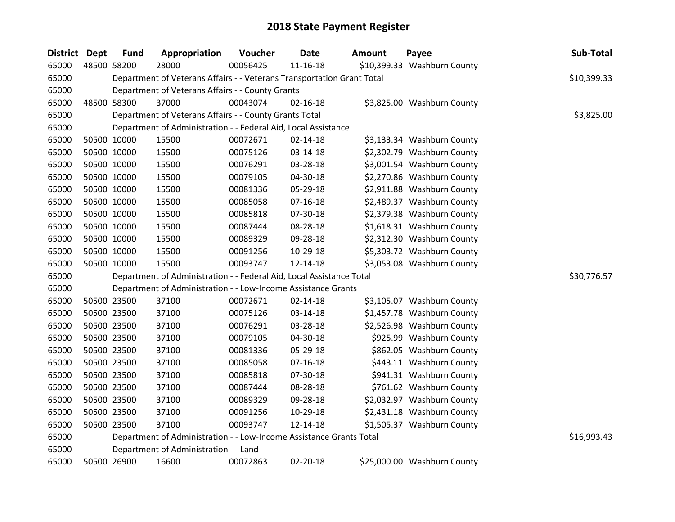| District Dept | <b>Fund</b> | Appropriation                                                          | Voucher  | <b>Date</b>    | Amount | Payee                       | Sub-Total   |
|---------------|-------------|------------------------------------------------------------------------|----------|----------------|--------|-----------------------------|-------------|
| 65000         | 48500 58200 | 28000                                                                  | 00056425 | $11 - 16 - 18$ |        | \$10,399.33 Washburn County |             |
| 65000         |             | Department of Veterans Affairs - - Veterans Transportation Grant Total |          |                |        |                             | \$10,399.33 |
| 65000         |             | Department of Veterans Affairs - - County Grants                       |          |                |        |                             |             |
| 65000         | 48500 58300 | 37000                                                                  | 00043074 | $02 - 16 - 18$ |        | \$3,825.00 Washburn County  |             |
| 65000         |             | Department of Veterans Affairs - - County Grants Total                 |          |                |        |                             | \$3,825.00  |
| 65000         |             | Department of Administration - - Federal Aid, Local Assistance         |          |                |        |                             |             |
| 65000         | 50500 10000 | 15500                                                                  | 00072671 | $02 - 14 - 18$ |        | \$3,133.34 Washburn County  |             |
| 65000         | 50500 10000 | 15500                                                                  | 00075126 | 03-14-18       |        | \$2,302.79 Washburn County  |             |
| 65000         | 50500 10000 | 15500                                                                  | 00076291 | 03-28-18       |        | \$3,001.54 Washburn County  |             |
| 65000         | 50500 10000 | 15500                                                                  | 00079105 | 04-30-18       |        | \$2,270.86 Washburn County  |             |
| 65000         | 50500 10000 | 15500                                                                  | 00081336 | 05-29-18       |        | \$2,911.88 Washburn County  |             |
| 65000         | 50500 10000 | 15500                                                                  | 00085058 | $07 - 16 - 18$ |        | \$2,489.37 Washburn County  |             |
| 65000         | 50500 10000 | 15500                                                                  | 00085818 | 07-30-18       |        | \$2,379.38 Washburn County  |             |
| 65000         | 50500 10000 | 15500                                                                  | 00087444 | 08-28-18       |        | \$1,618.31 Washburn County  |             |
| 65000         | 50500 10000 | 15500                                                                  | 00089329 | 09-28-18       |        | \$2,312.30 Washburn County  |             |
| 65000         | 50500 10000 | 15500                                                                  | 00091256 | 10-29-18       |        | \$5,303.72 Washburn County  |             |
| 65000         | 50500 10000 | 15500                                                                  | 00093747 | 12-14-18       |        | \$3,053.08 Washburn County  |             |
| 65000         |             | Department of Administration - - Federal Aid, Local Assistance Total   |          |                |        |                             | \$30,776.57 |
| 65000         |             | Department of Administration - - Low-Income Assistance Grants          |          |                |        |                             |             |
| 65000         | 50500 23500 | 37100                                                                  | 00072671 | $02 - 14 - 18$ |        | \$3,105.07 Washburn County  |             |
| 65000         | 50500 23500 | 37100                                                                  | 00075126 | 03-14-18       |        | \$1,457.78 Washburn County  |             |
| 65000         | 50500 23500 | 37100                                                                  | 00076291 | 03-28-18       |        | \$2,526.98 Washburn County  |             |
| 65000         | 50500 23500 | 37100                                                                  | 00079105 | 04-30-18       |        | \$925.99 Washburn County    |             |
| 65000         | 50500 23500 | 37100                                                                  | 00081336 | 05-29-18       |        | \$862.05 Washburn County    |             |
| 65000         | 50500 23500 | 37100                                                                  | 00085058 | $07 - 16 - 18$ |        | \$443.11 Washburn County    |             |
| 65000         | 50500 23500 | 37100                                                                  | 00085818 | 07-30-18       |        | \$941.31 Washburn County    |             |
| 65000         | 50500 23500 | 37100                                                                  | 00087444 | 08-28-18       |        | \$761.62 Washburn County    |             |
| 65000         | 50500 23500 | 37100                                                                  | 00089329 | 09-28-18       |        | \$2,032.97 Washburn County  |             |
| 65000         | 50500 23500 | 37100                                                                  | 00091256 | 10-29-18       |        | \$2,431.18 Washburn County  |             |
| 65000         | 50500 23500 | 37100                                                                  | 00093747 | 12-14-18       |        | \$1,505.37 Washburn County  |             |
| 65000         |             | Department of Administration - - Low-Income Assistance Grants Total    |          |                |        |                             | \$16,993.43 |
| 65000         |             | Department of Administration - - Land                                  |          |                |        |                             |             |
| 65000         | 50500 26900 | 16600                                                                  | 00072863 | 02-20-18       |        | \$25,000.00 Washburn County |             |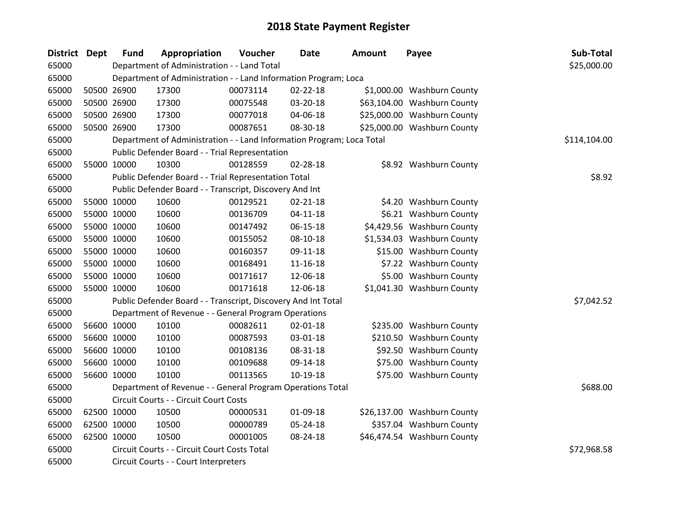| District Dept | <b>Fund</b> | Appropriation                                                         | Voucher     | <b>Date</b>    | <b>Amount</b> | Payee                       | Sub-Total    |
|---------------|-------------|-----------------------------------------------------------------------|-------------|----------------|---------------|-----------------------------|--------------|
| 65000         |             | Department of Administration - - Land Total                           |             |                |               |                             | \$25,000.00  |
| 65000         |             | Department of Administration - - Land Information Program; Loca       |             |                |               |                             |              |
| 65000         | 50500 26900 | 17300                                                                 | 00073114    | 02-22-18       |               | \$1,000.00 Washburn County  |              |
| 65000         | 50500 26900 | 17300                                                                 | 00075548    | 03-20-18       |               | \$63,104.00 Washburn County |              |
| 65000         | 50500 26900 | 17300                                                                 | 00077018    | 04-06-18       |               | \$25,000.00 Washburn County |              |
| 65000         | 50500 26900 | 17300                                                                 | 00087651    | 08-30-18       |               | \$25,000.00 Washburn County |              |
| 65000         |             | Department of Administration - - Land Information Program; Loca Total |             |                |               |                             | \$114,104.00 |
| 65000         |             | Public Defender Board - - Trial Representation                        |             |                |               |                             |              |
| 65000         | 55000 10000 | 10300                                                                 | 00128559    | 02-28-18       |               | \$8.92 Washburn County      |              |
| 65000         |             | Public Defender Board - - Trial Representation Total                  |             |                |               |                             | \$8.92       |
| 65000         |             | Public Defender Board - - Transcript, Discovery And Int               |             |                |               |                             |              |
| 65000         | 55000 10000 | 10600                                                                 | 00129521    | $02 - 21 - 18$ |               | \$4.20 Washburn County      |              |
| 65000         | 55000 10000 | 10600                                                                 | 00136709    | $04 - 11 - 18$ |               | \$6.21 Washburn County      |              |
| 65000         | 55000 10000 | 10600                                                                 | 00147492    | 06-15-18       |               | \$4,429.56 Washburn County  |              |
| 65000         | 55000 10000 | 10600                                                                 | 00155052    | 08-10-18       |               | \$1,534.03 Washburn County  |              |
| 65000         | 55000 10000 | 10600                                                                 | 00160357    | 09-11-18       |               | \$15.00 Washburn County     |              |
| 65000         | 55000 10000 | 10600                                                                 | 00168491    | $11 - 16 - 18$ |               | \$7.22 Washburn County      |              |
| 65000         | 55000 10000 | 10600                                                                 | 00171617    | 12-06-18       |               | \$5.00 Washburn County      |              |
| 65000         | 55000 10000 | 10600                                                                 | 00171618    | 12-06-18       |               | \$1,041.30 Washburn County  |              |
| 65000         |             | Public Defender Board - - Transcript, Discovery And Int Total         |             |                |               |                             | \$7,042.52   |
| 65000         |             | Department of Revenue - - General Program Operations                  |             |                |               |                             |              |
| 65000         | 56600 10000 | 10100                                                                 | 00082611    | 02-01-18       |               | \$235.00 Washburn County    |              |
| 65000         | 56600 10000 | 10100                                                                 | 00087593    | 03-01-18       |               | \$210.50 Washburn County    |              |
| 65000         | 56600 10000 | 10100                                                                 | 00108136    | 08-31-18       |               | \$92.50 Washburn County     |              |
| 65000         | 56600 10000 | 10100                                                                 | 00109688    | 09-14-18       |               | \$75.00 Washburn County     |              |
| 65000         | 56600 10000 | 10100                                                                 | 00113565    | 10-19-18       |               | \$75.00 Washburn County     |              |
| 65000         |             | Department of Revenue - - General Program Operations Total            |             |                |               |                             | \$688.00     |
| 65000         |             | Circuit Courts - - Circuit Court Costs                                |             |                |               |                             |              |
| 65000         | 62500 10000 | 10500                                                                 | 00000531    | 01-09-18       |               | \$26,137.00 Washburn County |              |
| 65000         | 62500 10000 | 10500                                                                 | 00000789    | 05-24-18       |               | \$357.04 Washburn County    |              |
| 65000         | 62500 10000 | 10500                                                                 | 00001005    | 08-24-18       |               | \$46,474.54 Washburn County |              |
| 65000         |             | Circuit Courts - - Circuit Court Costs Total                          | \$72,968.58 |                |               |                             |              |
| 65000         |             | Circuit Courts - - Court Interpreters                                 |             |                |               |                             |              |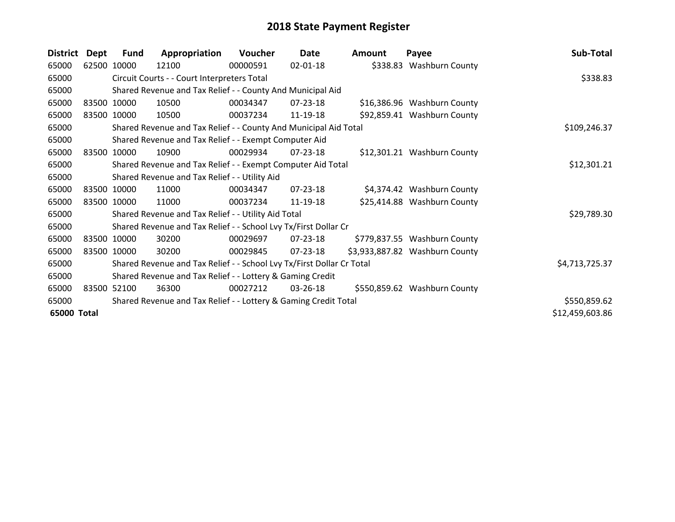| <b>District</b> | Dept | Fund        | Appropriation                                                         | Voucher  | Date           | <b>Amount</b> | Payee                          | Sub-Total       |
|-----------------|------|-------------|-----------------------------------------------------------------------|----------|----------------|---------------|--------------------------------|-----------------|
| 65000           |      | 62500 10000 | 12100                                                                 | 00000591 | $02 - 01 - 18$ |               | \$338.83 Washburn County       |                 |
| 65000           |      |             | Circuit Courts - - Court Interpreters Total                           |          |                |               |                                | \$338.83        |
| 65000           |      |             | Shared Revenue and Tax Relief - - County And Municipal Aid            |          |                |               |                                |                 |
| 65000           |      | 83500 10000 | 10500                                                                 | 00034347 | 07-23-18       |               | \$16,386.96 Washburn County    |                 |
| 65000           |      | 83500 10000 | 10500                                                                 | 00037234 | 11-19-18       |               | \$92,859.41 Washburn County    |                 |
| 65000           |      |             | Shared Revenue and Tax Relief - - County And Municipal Aid Total      |          |                |               |                                | \$109,246.37    |
| 65000           |      |             | Shared Revenue and Tax Relief - - Exempt Computer Aid                 |          |                |               |                                |                 |
| 65000           |      | 83500 10000 | 10900                                                                 | 00029934 | $07 - 23 - 18$ |               | \$12,301.21 Washburn County    |                 |
| 65000           |      |             | Shared Revenue and Tax Relief - - Exempt Computer Aid Total           |          |                |               |                                | \$12,301.21     |
| 65000           |      |             | Shared Revenue and Tax Relief - - Utility Aid                         |          |                |               |                                |                 |
| 65000           |      | 83500 10000 | 11000                                                                 | 00034347 | $07 - 23 - 18$ |               | \$4,374.42 Washburn County     |                 |
| 65000           |      | 83500 10000 | 11000                                                                 | 00037234 | 11-19-18       |               | \$25,414.88 Washburn County    |                 |
| 65000           |      |             | Shared Revenue and Tax Relief - - Utility Aid Total                   |          |                |               |                                | \$29,789.30     |
| 65000           |      |             | Shared Revenue and Tax Relief - - School Lvy Tx/First Dollar Cr       |          |                |               |                                |                 |
| 65000           |      | 83500 10000 | 30200                                                                 | 00029697 | 07-23-18       |               | \$779,837.55 Washburn County   |                 |
| 65000           |      | 83500 10000 | 30200                                                                 | 00029845 | 07-23-18       |               | \$3,933,887.82 Washburn County |                 |
| 65000           |      |             | Shared Revenue and Tax Relief - - School Lvy Tx/First Dollar Cr Total |          |                |               |                                | \$4,713,725.37  |
| 65000           |      |             | Shared Revenue and Tax Relief - - Lottery & Gaming Credit             |          |                |               |                                |                 |
| 65000           |      | 83500 52100 | 36300                                                                 | 00027212 | 03-26-18       |               | \$550,859.62 Washburn County   |                 |
| 65000           |      |             | Shared Revenue and Tax Relief - - Lottery & Gaming Credit Total       |          |                |               |                                | \$550,859.62    |
| 65000 Total     |      |             |                                                                       |          |                |               |                                | \$12,459,603.86 |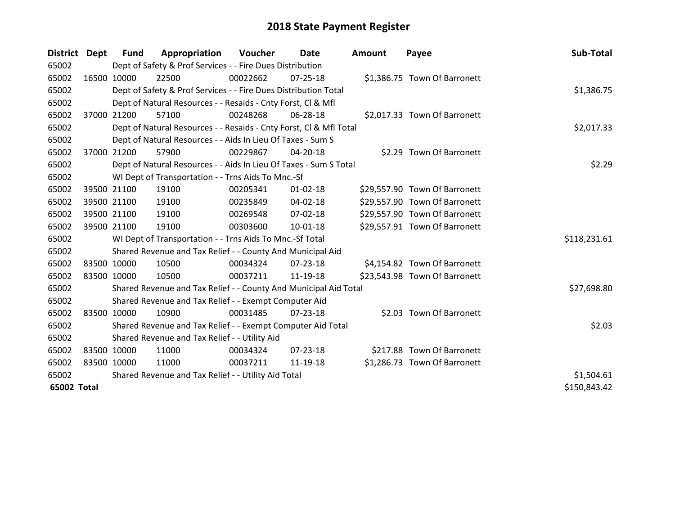| District Dept | <b>Fund</b> | Appropriation                                                      | Voucher    | Date           | <b>Amount</b> | Payee                         | Sub-Total    |
|---------------|-------------|--------------------------------------------------------------------|------------|----------------|---------------|-------------------------------|--------------|
| 65002         |             | Dept of Safety & Prof Services - - Fire Dues Distribution          |            |                |               |                               |              |
| 65002         | 16500 10000 | 22500                                                              | 00022662   | $07 - 25 - 18$ |               | \$1,386.75 Town Of Barronett  |              |
| 65002         |             | Dept of Safety & Prof Services - - Fire Dues Distribution Total    |            |                |               |                               | \$1,386.75   |
| 65002         |             | Dept of Natural Resources - - Resaids - Cnty Forst, CI & Mfl       |            |                |               |                               |              |
| 65002         | 37000 21200 | 57100                                                              | 00248268   | 06-28-18       |               | \$2,017.33 Town Of Barronett  |              |
| 65002         |             | Dept of Natural Resources - - Resaids - Cnty Forst, Cl & Mfl Total |            | \$2,017.33     |               |                               |              |
| 65002         |             | Dept of Natural Resources - - Aids In Lieu Of Taxes - Sum S        |            |                |               |                               |              |
| 65002         | 37000 21200 | 57900                                                              | 00229867   | 04-20-18       |               | \$2.29 Town Of Barronett      |              |
| 65002         |             | Dept of Natural Resources - - Aids In Lieu Of Taxes - Sum S Total  |            |                |               |                               | \$2.29       |
| 65002         |             | WI Dept of Transportation - - Trns Aids To Mnc.-Sf                 |            |                |               |                               |              |
| 65002         | 39500 21100 | 19100                                                              | 00205341   | $01 - 02 - 18$ |               | \$29,557.90 Town Of Barronett |              |
| 65002         | 39500 21100 | 19100                                                              | 00235849   | $04 - 02 - 18$ |               | \$29,557.90 Town Of Barronett |              |
| 65002         | 39500 21100 | 19100                                                              | 00269548   | 07-02-18       |               | \$29,557.90 Town Of Barronett |              |
| 65002         | 39500 21100 | 19100                                                              | 00303600   | $10 - 01 - 18$ |               | \$29,557.91 Town Of Barronett |              |
| 65002         |             | WI Dept of Transportation - - Trns Aids To Mnc.-Sf Total           |            |                |               |                               | \$118,231.61 |
| 65002         |             | Shared Revenue and Tax Relief - - County And Municipal Aid         |            |                |               |                               |              |
| 65002         | 83500 10000 | 10500                                                              | 00034324   | $07 - 23 - 18$ |               | \$4,154.82 Town Of Barronett  |              |
| 65002         | 83500 10000 | 10500                                                              | 00037211   | 11-19-18       |               | \$23,543.98 Town Of Barronett |              |
| 65002         |             | Shared Revenue and Tax Relief - - County And Municipal Aid Total   |            |                |               |                               | \$27,698.80  |
| 65002         |             | Shared Revenue and Tax Relief - - Exempt Computer Aid              |            |                |               |                               |              |
| 65002         | 83500 10000 | 10900                                                              | 00031485   | $07 - 23 - 18$ |               | \$2.03 Town Of Barronett      |              |
| 65002         |             | Shared Revenue and Tax Relief - - Exempt Computer Aid Total        |            |                |               |                               | \$2.03       |
| 65002         |             | Shared Revenue and Tax Relief - - Utility Aid                      |            |                |               |                               |              |
| 65002         | 83500 10000 | 11000                                                              | 00034324   | $07 - 23 - 18$ |               | \$217.88 Town Of Barronett    |              |
| 65002         | 83500 10000 | 11000                                                              | 00037211   | 11-19-18       |               | \$1,286.73 Town Of Barronett  |              |
| 65002         |             | Shared Revenue and Tax Relief - - Utility Aid Total                | \$1,504.61 |                |               |                               |              |
| 65002 Total   |             |                                                                    |            |                |               |                               | \$150,843.42 |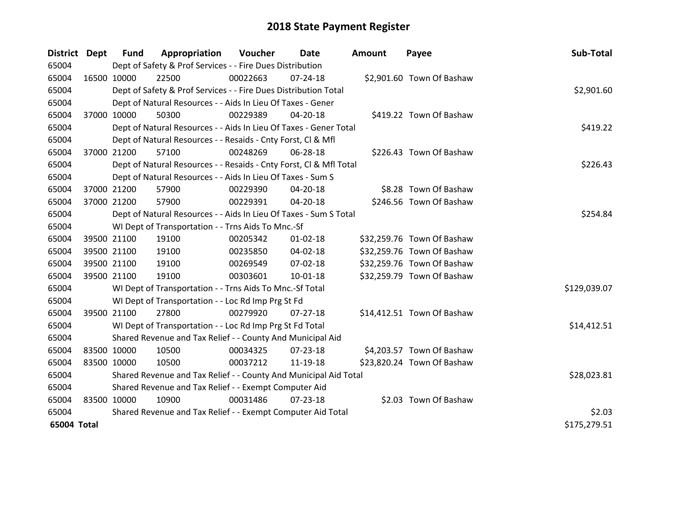| <b>District</b> | <b>Dept</b> | <b>Fund</b> | Appropriation                                                      | Voucher  | Date           | <b>Amount</b> | Payee                      | Sub-Total    |
|-----------------|-------------|-------------|--------------------------------------------------------------------|----------|----------------|---------------|----------------------------|--------------|
| 65004           |             |             | Dept of Safety & Prof Services - - Fire Dues Distribution          |          |                |               |                            |              |
| 65004           | 16500 10000 |             | 22500                                                              | 00022663 | $07 - 24 - 18$ |               | \$2,901.60 Town Of Bashaw  |              |
| 65004           |             |             | Dept of Safety & Prof Services - - Fire Dues Distribution Total    |          |                |               |                            | \$2,901.60   |
| 65004           |             |             | Dept of Natural Resources - - Aids In Lieu Of Taxes - Gener        |          |                |               |                            |              |
| 65004           | 37000 10000 |             | 50300                                                              | 00229389 | 04-20-18       |               | \$419.22 Town Of Bashaw    |              |
| 65004           |             |             | Dept of Natural Resources - - Aids In Lieu Of Taxes - Gener Total  |          | \$419.22       |               |                            |              |
| 65004           |             |             | Dept of Natural Resources - - Resaids - Cnty Forst, Cl & Mfl       |          |                |               |                            |              |
| 65004           | 37000 21200 |             | 57100                                                              | 00248269 | 06-28-18       |               | \$226.43 Town Of Bashaw    |              |
| 65004           |             |             | Dept of Natural Resources - - Resaids - Cnty Forst, CI & Mfl Total |          |                |               |                            | \$226.43     |
| 65004           |             |             | Dept of Natural Resources - - Aids In Lieu Of Taxes - Sum S        |          |                |               |                            |              |
| 65004           |             | 37000 21200 | 57900                                                              | 00229390 | 04-20-18       |               | \$8.28 Town Of Bashaw      |              |
| 65004           |             | 37000 21200 | 57900                                                              | 00229391 | 04-20-18       |               | \$246.56 Town Of Bashaw    |              |
| 65004           |             |             | Dept of Natural Resources - - Aids In Lieu Of Taxes - Sum S Total  |          |                |               |                            | \$254.84     |
| 65004           |             |             | WI Dept of Transportation - - Trns Aids To Mnc.-Sf                 |          |                |               |                            |              |
| 65004           |             | 39500 21100 | 19100                                                              | 00205342 | $01 - 02 - 18$ |               | \$32,259.76 Town Of Bashaw |              |
| 65004           |             | 39500 21100 | 19100                                                              | 00235850 | 04-02-18       |               | \$32,259.76 Town Of Bashaw |              |
| 65004           |             | 39500 21100 | 19100                                                              | 00269549 | 07-02-18       |               | \$32,259.76 Town Of Bashaw |              |
| 65004           | 39500 21100 |             | 19100                                                              | 00303601 | 10-01-18       |               | \$32,259.79 Town Of Bashaw |              |
| 65004           |             |             | WI Dept of Transportation - - Trns Aids To Mnc.-Sf Total           |          |                |               |                            | \$129,039.07 |
| 65004           |             |             | WI Dept of Transportation - - Loc Rd Imp Prg St Fd                 |          |                |               |                            |              |
| 65004           |             | 39500 21100 | 27800                                                              | 00279920 | 07-27-18       |               | \$14,412.51 Town Of Bashaw |              |
| 65004           |             |             | WI Dept of Transportation - - Loc Rd Imp Prg St Fd Total           |          |                |               |                            | \$14,412.51  |
| 65004           |             |             | Shared Revenue and Tax Relief - - County And Municipal Aid         |          |                |               |                            |              |
| 65004           |             | 83500 10000 | 10500                                                              | 00034325 | $07 - 23 - 18$ |               | \$4,203.57 Town Of Bashaw  |              |
| 65004           |             | 83500 10000 | 10500                                                              | 00037212 | 11-19-18       |               | \$23,820.24 Town Of Bashaw |              |
| 65004           |             |             | Shared Revenue and Tax Relief - - County And Municipal Aid Total   |          |                |               |                            | \$28,023.81  |
| 65004           |             |             | Shared Revenue and Tax Relief - - Exempt Computer Aid              |          |                |               |                            |              |
| 65004           | 83500 10000 |             | 10900                                                              | 00031486 | 07-23-18       |               | \$2.03 Town Of Bashaw      |              |
| 65004           |             |             | Shared Revenue and Tax Relief - - Exempt Computer Aid Total        |          |                |               |                            | \$2.03       |
| 65004 Total     |             |             |                                                                    |          |                |               |                            | \$175,279.51 |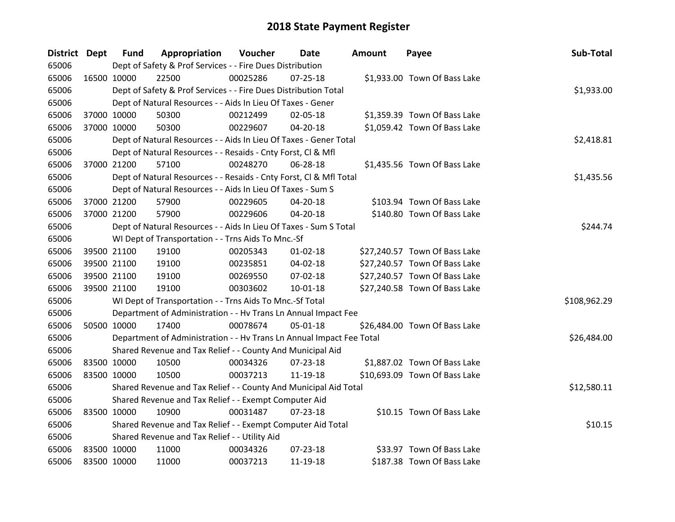| District Dept |             | <b>Fund</b> | Appropriation                                                        | Voucher  | <b>Date</b>    | <b>Amount</b> | Payee                         | Sub-Total    |
|---------------|-------------|-------------|----------------------------------------------------------------------|----------|----------------|---------------|-------------------------------|--------------|
| 65006         |             |             | Dept of Safety & Prof Services - - Fire Dues Distribution            |          |                |               |                               |              |
| 65006         | 16500 10000 |             | 22500                                                                | 00025286 | $07 - 25 - 18$ |               | \$1,933.00 Town Of Bass Lake  |              |
| 65006         |             |             | Dept of Safety & Prof Services - - Fire Dues Distribution Total      |          |                |               |                               | \$1,933.00   |
| 65006         |             |             | Dept of Natural Resources - - Aids In Lieu Of Taxes - Gener          |          |                |               |                               |              |
| 65006         | 37000 10000 |             | 50300                                                                | 00212499 | 02-05-18       |               | \$1,359.39 Town Of Bass Lake  |              |
| 65006         | 37000 10000 |             | 50300                                                                | 00229607 | 04-20-18       |               | \$1,059.42 Town Of Bass Lake  |              |
| 65006         |             |             | Dept of Natural Resources - - Aids In Lieu Of Taxes - Gener Total    |          |                |               |                               | \$2,418.81   |
| 65006         |             |             | Dept of Natural Resources - - Resaids - Cnty Forst, Cl & Mfl         |          |                |               |                               |              |
| 65006         | 37000 21200 |             | 57100                                                                | 00248270 | 06-28-18       |               | \$1,435.56 Town Of Bass Lake  |              |
| 65006         |             |             | Dept of Natural Resources - - Resaids - Cnty Forst, Cl & Mfl Total   |          |                |               |                               | \$1,435.56   |
| 65006         |             |             | Dept of Natural Resources - - Aids In Lieu Of Taxes - Sum S          |          |                |               |                               |              |
| 65006         | 37000 21200 |             | 57900                                                                | 00229605 | 04-20-18       |               | \$103.94 Town Of Bass Lake    |              |
| 65006         | 37000 21200 |             | 57900                                                                | 00229606 | $04 - 20 - 18$ |               | \$140.80 Town Of Bass Lake    |              |
| 65006         |             |             | Dept of Natural Resources - - Aids In Lieu Of Taxes - Sum S Total    |          |                |               |                               | \$244.74     |
| 65006         |             |             | WI Dept of Transportation - - Trns Aids To Mnc.-Sf                   |          |                |               |                               |              |
| 65006         | 39500 21100 |             | 19100                                                                | 00205343 | $01 - 02 - 18$ |               | \$27,240.57 Town Of Bass Lake |              |
| 65006         | 39500 21100 |             | 19100                                                                | 00235851 | 04-02-18       |               | \$27,240.57 Town Of Bass Lake |              |
| 65006         | 39500 21100 |             | 19100                                                                | 00269550 | 07-02-18       |               | \$27,240.57 Town Of Bass Lake |              |
| 65006         | 39500 21100 |             | 19100                                                                | 00303602 | $10 - 01 - 18$ |               | \$27,240.58 Town Of Bass Lake |              |
| 65006         |             |             | WI Dept of Transportation - - Trns Aids To Mnc.-Sf Total             |          |                |               |                               | \$108,962.29 |
| 65006         |             |             | Department of Administration - - Hv Trans Ln Annual Impact Fee       |          |                |               |                               |              |
| 65006         | 50500 10000 |             | 17400                                                                | 00078674 | $05 - 01 - 18$ |               | \$26,484.00 Town Of Bass Lake |              |
| 65006         |             |             | Department of Administration - - Hv Trans Ln Annual Impact Fee Total |          |                |               |                               | \$26,484.00  |
| 65006         |             |             | Shared Revenue and Tax Relief - - County And Municipal Aid           |          |                |               |                               |              |
| 65006         | 83500 10000 |             | 10500                                                                | 00034326 | $07 - 23 - 18$ |               | \$1,887.02 Town Of Bass Lake  |              |
| 65006         | 83500 10000 |             | 10500                                                                | 00037213 | 11-19-18       |               | \$10,693.09 Town Of Bass Lake |              |
| 65006         |             |             | Shared Revenue and Tax Relief - - County And Municipal Aid Total     |          |                |               |                               | \$12,580.11  |
| 65006         |             |             | Shared Revenue and Tax Relief - - Exempt Computer Aid                |          |                |               |                               |              |
| 65006         | 83500 10000 |             | 10900                                                                | 00031487 | $07 - 23 - 18$ |               | \$10.15 Town Of Bass Lake     |              |
| 65006         |             |             | Shared Revenue and Tax Relief - - Exempt Computer Aid Total          |          |                |               |                               | \$10.15      |
| 65006         |             |             | Shared Revenue and Tax Relief - - Utility Aid                        |          |                |               |                               |              |
| 65006         | 83500 10000 |             | 11000                                                                | 00034326 | 07-23-18       |               | \$33.97 Town Of Bass Lake     |              |
| 65006         | 83500 10000 |             | 11000                                                                | 00037213 | 11-19-18       |               | \$187.38 Town Of Bass Lake    |              |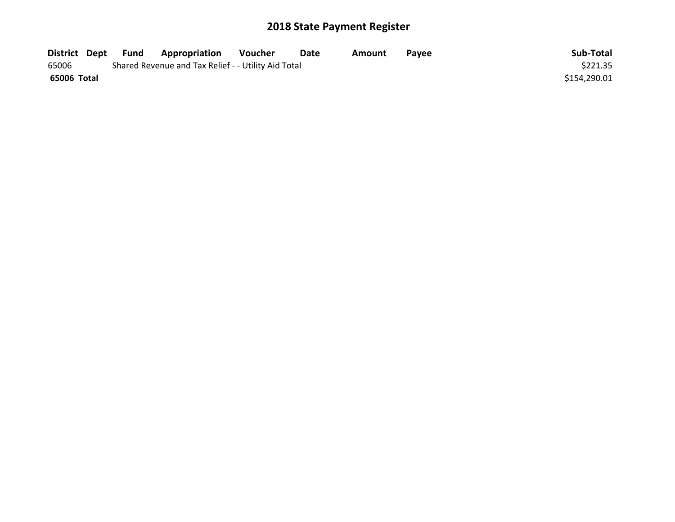| District Dept | Fund | <b>Appropriation</b>                                | Voucher | Date | Amount | <b>Pavee</b> | Sub-Total    |
|---------------|------|-----------------------------------------------------|---------|------|--------|--------------|--------------|
| 65006         |      | Shared Revenue and Tax Relief - - Utility Aid Total |         |      |        |              | \$221.35     |
| 65006 Total   |      |                                                     |         |      |        |              | \$154,290.01 |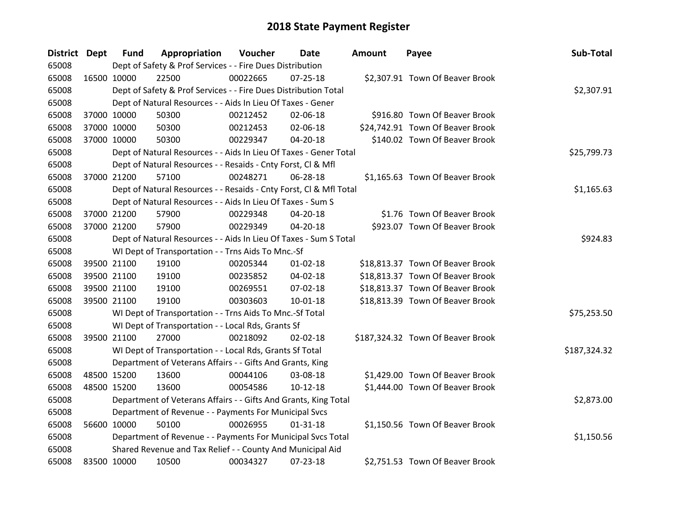| District Dept |             | <b>Fund</b> | Appropriation                                                      | Voucher  | <b>Date</b>    | <b>Amount</b> | Payee                             | Sub-Total    |  |  |  |
|---------------|-------------|-------------|--------------------------------------------------------------------|----------|----------------|---------------|-----------------------------------|--------------|--|--|--|
| 65008         |             |             | Dept of Safety & Prof Services - - Fire Dues Distribution          |          |                |               |                                   |              |  |  |  |
| 65008         | 16500 10000 |             | 22500                                                              | 00022665 | $07 - 25 - 18$ |               | \$2,307.91 Town Of Beaver Brook   |              |  |  |  |
| 65008         |             |             | Dept of Safety & Prof Services - - Fire Dues Distribution Total    |          |                |               |                                   | \$2,307.91   |  |  |  |
| 65008         |             |             | Dept of Natural Resources - - Aids In Lieu Of Taxes - Gener        |          |                |               |                                   |              |  |  |  |
| 65008         | 37000 10000 |             | 50300                                                              | 00212452 | 02-06-18       |               | \$916.80 Town Of Beaver Brook     |              |  |  |  |
| 65008         | 37000 10000 |             | 50300                                                              | 00212453 | 02-06-18       |               | \$24,742.91 Town Of Beaver Brook  |              |  |  |  |
| 65008         |             | 37000 10000 | 50300                                                              | 00229347 | 04-20-18       |               | \$140.02 Town Of Beaver Brook     |              |  |  |  |
| 65008         |             |             | Dept of Natural Resources - - Aids In Lieu Of Taxes - Gener Total  |          |                |               |                                   | \$25,799.73  |  |  |  |
| 65008         |             |             | Dept of Natural Resources - - Resaids - Cnty Forst, CI & Mfl       |          |                |               |                                   |              |  |  |  |
| 65008         | 37000 21200 |             | 57100                                                              | 00248271 | 06-28-18       |               | \$1,165.63 Town Of Beaver Brook   |              |  |  |  |
| 65008         |             |             | Dept of Natural Resources - - Resaids - Cnty Forst, CI & Mfl Total |          |                |               |                                   | \$1,165.63   |  |  |  |
| 65008         |             |             | Dept of Natural Resources - - Aids In Lieu Of Taxes - Sum S        |          |                |               |                                   |              |  |  |  |
| 65008         |             | 37000 21200 | 57900                                                              | 00229348 | 04-20-18       |               | \$1.76 Town Of Beaver Brook       |              |  |  |  |
| 65008         |             | 37000 21200 | 57900                                                              | 00229349 | 04-20-18       |               | \$923.07 Town Of Beaver Brook     |              |  |  |  |
| 65008         |             |             | Dept of Natural Resources - - Aids In Lieu Of Taxes - Sum S Total  |          |                |               |                                   |              |  |  |  |
| 65008         |             |             | WI Dept of Transportation - - Trns Aids To Mnc.-Sf                 |          |                |               |                                   |              |  |  |  |
| 65008         | 39500 21100 |             | 19100                                                              | 00205344 | $01 - 02 - 18$ |               | \$18,813.37 Town Of Beaver Brook  |              |  |  |  |
| 65008         |             | 39500 21100 | 19100                                                              | 00235852 | 04-02-18       |               | \$18,813.37 Town Of Beaver Brook  |              |  |  |  |
| 65008         |             | 39500 21100 | 19100                                                              | 00269551 | 07-02-18       |               | \$18,813.37 Town Of Beaver Brook  |              |  |  |  |
| 65008         | 39500 21100 |             | 19100                                                              | 00303603 | $10 - 01 - 18$ |               | \$18,813.39 Town Of Beaver Brook  |              |  |  |  |
| 65008         |             |             | WI Dept of Transportation - - Trns Aids To Mnc.-Sf Total           |          |                |               |                                   | \$75,253.50  |  |  |  |
| 65008         |             |             | WI Dept of Transportation - - Local Rds, Grants Sf                 |          |                |               |                                   |              |  |  |  |
| 65008         |             | 39500 21100 | 27000                                                              | 00218092 | 02-02-18       |               | \$187,324.32 Town Of Beaver Brook |              |  |  |  |
| 65008         |             |             | WI Dept of Transportation - - Local Rds, Grants Sf Total           |          |                |               |                                   | \$187,324.32 |  |  |  |
| 65008         |             |             | Department of Veterans Affairs - - Gifts And Grants, King          |          |                |               |                                   |              |  |  |  |
| 65008         | 48500 15200 |             | 13600                                                              | 00044106 | 03-08-18       |               | \$1,429.00 Town Of Beaver Brook   |              |  |  |  |
| 65008         | 48500 15200 |             | 13600                                                              | 00054586 | $10-12-18$     |               | \$1,444.00 Town Of Beaver Brook   |              |  |  |  |
| 65008         |             |             | Department of Veterans Affairs - - Gifts And Grants, King Total    |          |                |               |                                   | \$2,873.00   |  |  |  |
| 65008         |             |             | Department of Revenue - - Payments For Municipal Svcs              |          |                |               |                                   |              |  |  |  |
| 65008         | 56600 10000 |             | 50100                                                              | 00026955 | $01 - 31 - 18$ |               | \$1,150.56 Town Of Beaver Brook   |              |  |  |  |
| 65008         |             |             | Department of Revenue - - Payments For Municipal Svcs Total        |          |                |               |                                   | \$1,150.56   |  |  |  |
| 65008         |             |             | Shared Revenue and Tax Relief - - County And Municipal Aid         |          |                |               |                                   |              |  |  |  |
| 65008         | 83500 10000 |             | 10500                                                              | 00034327 | 07-23-18       |               | \$2,751.53 Town Of Beaver Brook   |              |  |  |  |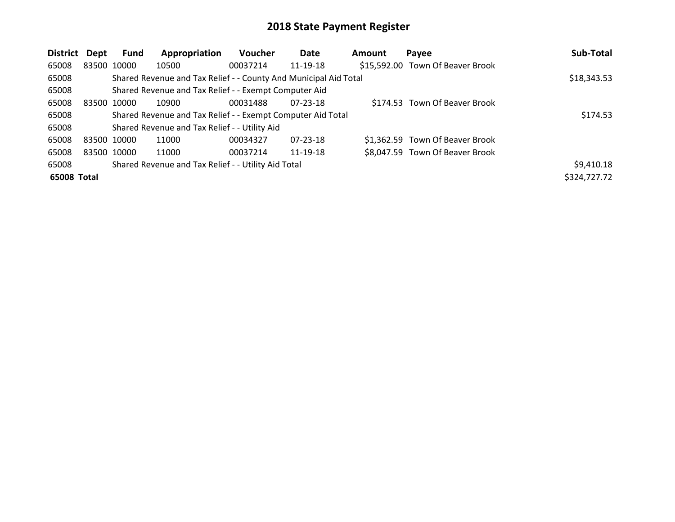| District    | <b>Dept</b> | Fund        | Appropriation                                                    | Voucher  | Date     | <b>Amount</b> | Payee                            | Sub-Total    |
|-------------|-------------|-------------|------------------------------------------------------------------|----------|----------|---------------|----------------------------------|--------------|
| 65008       |             | 83500 10000 | 10500                                                            | 00037214 | 11-19-18 |               | \$15,592.00 Town Of Beaver Brook |              |
| 65008       |             |             | Shared Revenue and Tax Relief - - County And Municipal Aid Total |          |          |               |                                  | \$18,343.53  |
| 65008       |             |             | Shared Revenue and Tax Relief - - Exempt Computer Aid            |          |          |               |                                  |              |
| 65008       | 83500 10000 |             | 10900                                                            | 00031488 | 07-23-18 |               | \$174.53 Town Of Beaver Brook    |              |
| 65008       |             |             | Shared Revenue and Tax Relief - - Exempt Computer Aid Total      |          |          |               |                                  | \$174.53     |
| 65008       |             |             | Shared Revenue and Tax Relief - - Utility Aid                    |          |          |               |                                  |              |
| 65008       | 83500 10000 |             | 11000                                                            | 00034327 | 07-23-18 |               | \$1,362.59 Town Of Beaver Brook  |              |
| 65008       |             | 83500 10000 | 11000                                                            | 00037214 | 11-19-18 |               | \$8,047.59 Town Of Beaver Brook  |              |
| 65008       |             |             | Shared Revenue and Tax Relief - - Utility Aid Total              |          |          |               |                                  | \$9,410.18   |
| 65008 Total |             |             |                                                                  |          |          |               |                                  | \$324,727.72 |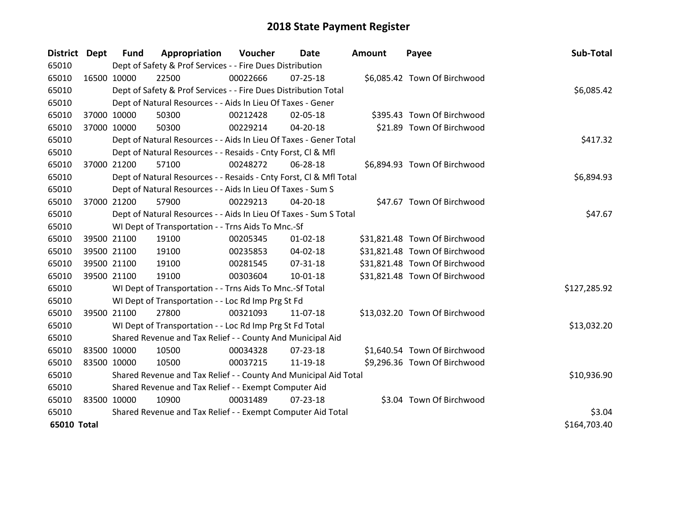| District    | Dept        | <b>Fund</b> | Appropriation                                                      | Voucher  | Date           | <b>Amount</b> | Payee                         | Sub-Total    |
|-------------|-------------|-------------|--------------------------------------------------------------------|----------|----------------|---------------|-------------------------------|--------------|
| 65010       |             |             | Dept of Safety & Prof Services - - Fire Dues Distribution          |          |                |               |                               |              |
| 65010       | 16500 10000 |             | 22500                                                              | 00022666 | $07 - 25 - 18$ |               | \$6,085.42 Town Of Birchwood  |              |
| 65010       |             |             | Dept of Safety & Prof Services - - Fire Dues Distribution Total    |          |                |               |                               | \$6,085.42   |
| 65010       |             |             | Dept of Natural Resources - - Aids In Lieu Of Taxes - Gener        |          |                |               |                               |              |
| 65010       | 37000 10000 |             | 50300                                                              | 00212428 | 02-05-18       |               | \$395.43 Town Of Birchwood    |              |
| 65010       | 37000 10000 |             | 50300                                                              | 00229214 | 04-20-18       |               | \$21.89 Town Of Birchwood     |              |
| 65010       |             |             | Dept of Natural Resources - - Aids In Lieu Of Taxes - Gener Total  |          |                |               |                               | \$417.32     |
| 65010       |             |             | Dept of Natural Resources - - Resaids - Cnty Forst, Cl & Mfl       |          |                |               |                               |              |
| 65010       | 37000 21200 |             | 57100                                                              | 00248272 | 06-28-18       |               | \$6,894.93 Town Of Birchwood  |              |
| 65010       |             |             | Dept of Natural Resources - - Resaids - Cnty Forst, Cl & Mfl Total |          |                |               |                               | \$6,894.93   |
| 65010       |             |             | Dept of Natural Resources - - Aids In Lieu Of Taxes - Sum S        |          |                |               |                               |              |
| 65010       | 37000 21200 |             | 57900                                                              | 00229213 | 04-20-18       |               | \$47.67 Town Of Birchwood     |              |
| 65010       |             |             | Dept of Natural Resources - - Aids In Lieu Of Taxes - Sum S Total  |          |                |               |                               | \$47.67      |
| 65010       |             |             | WI Dept of Transportation - - Trns Aids To Mnc.-Sf                 |          |                |               |                               |              |
| 65010       |             | 39500 21100 | 19100                                                              | 00205345 | $01 - 02 - 18$ |               | \$31,821.48 Town Of Birchwood |              |
| 65010       |             | 39500 21100 | 19100                                                              | 00235853 | 04-02-18       |               | \$31,821.48 Town Of Birchwood |              |
| 65010       | 39500 21100 |             | 19100                                                              | 00281545 | $07 - 31 - 18$ |               | \$31,821.48 Town Of Birchwood |              |
| 65010       | 39500 21100 |             | 19100                                                              | 00303604 | 10-01-18       |               | \$31,821.48 Town Of Birchwood |              |
| 65010       |             |             | WI Dept of Transportation - - Trns Aids To Mnc.-Sf Total           |          |                |               |                               | \$127,285.92 |
| 65010       |             |             | WI Dept of Transportation - - Loc Rd Imp Prg St Fd                 |          |                |               |                               |              |
| 65010       | 39500 21100 |             | 27800                                                              | 00321093 | 11-07-18       |               | \$13,032.20 Town Of Birchwood |              |
| 65010       |             |             | WI Dept of Transportation - - Loc Rd Imp Prg St Fd Total           |          |                |               |                               | \$13,032.20  |
| 65010       |             |             | Shared Revenue and Tax Relief - - County And Municipal Aid         |          |                |               |                               |              |
| 65010       | 83500 10000 |             | 10500                                                              | 00034328 | 07-23-18       |               | \$1,640.54 Town Of Birchwood  |              |
| 65010       | 83500 10000 |             | 10500                                                              | 00037215 | 11-19-18       |               | \$9,296.36 Town Of Birchwood  |              |
| 65010       |             |             | Shared Revenue and Tax Relief - - County And Municipal Aid Total   |          |                |               |                               | \$10,936.90  |
| 65010       |             |             | Shared Revenue and Tax Relief - - Exempt Computer Aid              |          |                |               |                               |              |
| 65010       | 83500 10000 |             | 10900                                                              | 00031489 | $07 - 23 - 18$ |               | \$3.04 Town Of Birchwood      |              |
| 65010       |             |             | Shared Revenue and Tax Relief - - Exempt Computer Aid Total        |          |                |               |                               | \$3.04       |
| 65010 Total |             |             |                                                                    |          |                |               |                               | \$164,703.40 |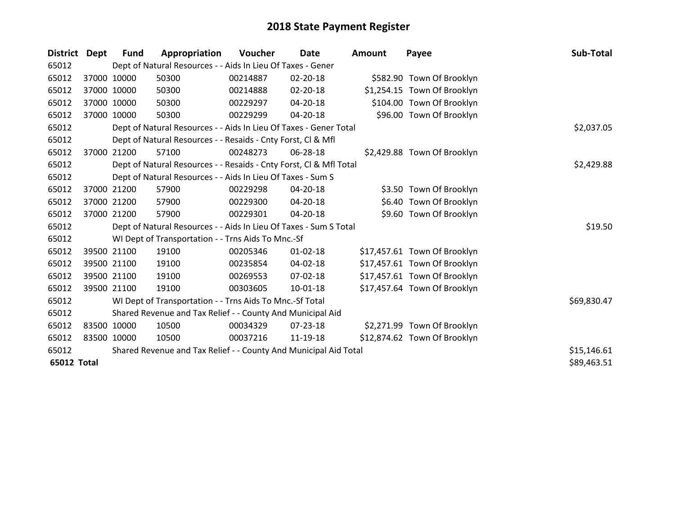| <b>District</b> | Dept        | <b>Fund</b> | Appropriation                                                      | Voucher  | Date           | <b>Amount</b> | Payee                        | Sub-Total   |
|-----------------|-------------|-------------|--------------------------------------------------------------------|----------|----------------|---------------|------------------------------|-------------|
| 65012           |             |             | Dept of Natural Resources - - Aids In Lieu Of Taxes - Gener        |          |                |               |                              |             |
| 65012           |             | 37000 10000 | 50300                                                              | 00214887 | 02-20-18       |               | \$582.90 Town Of Brooklyn    |             |
| 65012           |             | 37000 10000 | 50300                                                              | 00214888 | 02-20-18       |               | \$1,254.15 Town Of Brooklyn  |             |
| 65012           |             | 37000 10000 | 50300                                                              | 00229297 | 04-20-18       |               | \$104.00 Town Of Brooklyn    |             |
| 65012           |             | 37000 10000 | 50300                                                              | 00229299 | 04-20-18       |               | \$96.00 Town Of Brooklyn     |             |
| 65012           |             |             | Dept of Natural Resources - - Aids In Lieu Of Taxes - Gener Total  |          | \$2,037.05     |               |                              |             |
| 65012           |             |             | Dept of Natural Resources - - Resaids - Cnty Forst, CI & Mfl       |          |                |               |                              |             |
| 65012           | 37000       | 21200       | 57100                                                              | 00248273 | 06-28-18       |               | \$2,429.88 Town Of Brooklyn  |             |
| 65012           |             |             | Dept of Natural Resources - - Resaids - Cnty Forst, Cl & Mfl Total |          |                |               |                              | \$2,429.88  |
| 65012           |             |             | Dept of Natural Resources - - Aids In Lieu Of Taxes - Sum S        |          |                |               |                              |             |
| 65012           |             | 37000 21200 | 57900                                                              | 00229298 | $04 - 20 - 18$ |               | \$3.50 Town Of Brooklyn      |             |
| 65012           |             | 37000 21200 | 57900                                                              | 00229300 | 04-20-18       |               | \$6.40 Town Of Brooklyn      |             |
| 65012           |             | 37000 21200 | 57900                                                              | 00229301 | $04 - 20 - 18$ |               | \$9.60 Town Of Brooklyn      |             |
| 65012           |             |             | Dept of Natural Resources - - Aids In Lieu Of Taxes - Sum S Total  |          |                |               |                              | \$19.50     |
| 65012           |             |             | WI Dept of Transportation - - Trns Aids To Mnc.-Sf                 |          |                |               |                              |             |
| 65012           |             | 39500 21100 | 19100                                                              | 00205346 | $01 - 02 - 18$ |               | \$17,457.61 Town Of Brooklyn |             |
| 65012           |             | 39500 21100 | 19100                                                              | 00235854 | 04-02-18       |               | \$17,457.61 Town Of Brooklyn |             |
| 65012           |             | 39500 21100 | 19100                                                              | 00269553 | 07-02-18       |               | \$17,457.61 Town Of Brooklyn |             |
| 65012           |             | 39500 21100 | 19100                                                              | 00303605 | 10-01-18       |               | \$17,457.64 Town Of Brooklyn |             |
| 65012           |             |             | WI Dept of Transportation - - Trns Aids To Mnc.-Sf Total           |          |                |               |                              | \$69,830.47 |
| 65012           |             |             | Shared Revenue and Tax Relief - - County And Municipal Aid         |          |                |               |                              |             |
| 65012           |             | 83500 10000 | 10500                                                              | 00034329 | 07-23-18       |               | \$2,271.99 Town Of Brooklyn  |             |
| 65012           | 83500 10000 |             | 10500                                                              | 00037216 | 11-19-18       |               | \$12,874.62 Town Of Brooklyn |             |
| 65012           |             |             | Shared Revenue and Tax Relief - - County And Municipal Aid Total   |          |                |               |                              | \$15,146.61 |
| 65012 Total     |             |             |                                                                    |          |                |               |                              | \$89,463.51 |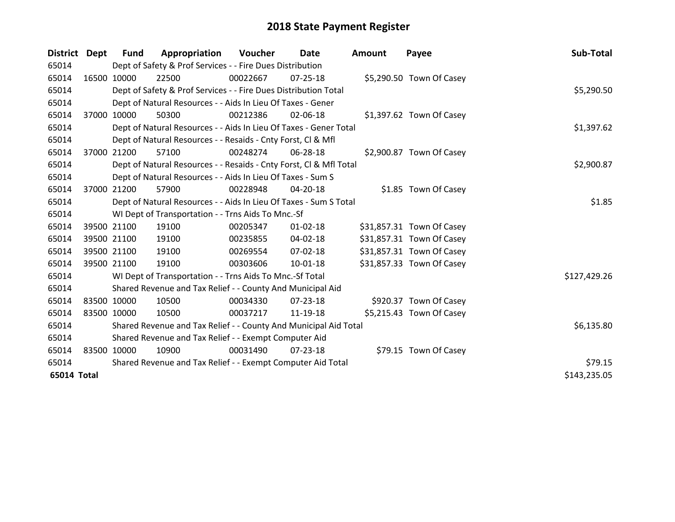| District Dept |       | <b>Fund</b> | Appropriation                                                      | Voucher  | Date           | <b>Amount</b> | Payee                     | Sub-Total    |
|---------------|-------|-------------|--------------------------------------------------------------------|----------|----------------|---------------|---------------------------|--------------|
| 65014         |       |             | Dept of Safety & Prof Services - - Fire Dues Distribution          |          |                |               |                           |              |
| 65014         |       | 16500 10000 | 22500                                                              | 00022667 | 07-25-18       |               | \$5,290.50 Town Of Casey  |              |
| 65014         |       |             | Dept of Safety & Prof Services - - Fire Dues Distribution Total    |          |                |               |                           | \$5,290.50   |
| 65014         |       |             | Dept of Natural Resources - - Aids In Lieu Of Taxes - Gener        |          |                |               |                           |              |
| 65014         |       | 37000 10000 | 50300                                                              | 00212386 | 02-06-18       |               | \$1,397.62 Town Of Casey  |              |
| 65014         |       |             | Dept of Natural Resources - - Aids In Lieu Of Taxes - Gener Total  |          |                |               |                           | \$1,397.62   |
| 65014         |       |             | Dept of Natural Resources - - Resaids - Cnty Forst, CI & Mfl       |          |                |               |                           |              |
| 65014         | 37000 | 21200       | 57100                                                              | 00248274 | 06-28-18       |               | \$2,900.87 Town Of Casey  |              |
| 65014         |       |             | Dept of Natural Resources - - Resaids - Cnty Forst, CI & Mfl Total |          |                |               |                           | \$2,900.87   |
| 65014         |       |             | Dept of Natural Resources - - Aids In Lieu Of Taxes - Sum S        |          |                |               |                           |              |
| 65014         |       | 37000 21200 | 57900                                                              | 00228948 | 04-20-18       |               | \$1.85 Town Of Casey      |              |
| 65014         |       |             | Dept of Natural Resources - - Aids In Lieu Of Taxes - Sum S Total  |          |                |               |                           | \$1.85       |
| 65014         |       |             | WI Dept of Transportation - - Trns Aids To Mnc.-Sf                 |          |                |               |                           |              |
| 65014         |       | 39500 21100 | 19100                                                              | 00205347 | $01 - 02 - 18$ |               | \$31,857.31 Town Of Casey |              |
| 65014         |       | 39500 21100 | 19100                                                              | 00235855 | 04-02-18       |               | \$31,857.31 Town Of Casey |              |
| 65014         |       | 39500 21100 | 19100                                                              | 00269554 | $07 - 02 - 18$ |               | \$31,857.31 Town Of Casey |              |
| 65014         |       | 39500 21100 | 19100                                                              | 00303606 | $10 - 01 - 18$ |               | \$31,857.33 Town Of Casey |              |
| 65014         |       |             | WI Dept of Transportation - - Trns Aids To Mnc.-Sf Total           |          |                |               |                           | \$127,429.26 |
| 65014         |       |             | Shared Revenue and Tax Relief - - County And Municipal Aid         |          |                |               |                           |              |
| 65014         |       | 83500 10000 | 10500                                                              | 00034330 | $07 - 23 - 18$ |               | \$920.37 Town Of Casey    |              |
| 65014         |       | 83500 10000 | 10500                                                              | 00037217 | 11-19-18       |               | \$5,215.43 Town Of Casey  |              |
| 65014         |       |             | Shared Revenue and Tax Relief - - County And Municipal Aid Total   |          |                |               |                           | \$6,135.80   |
| 65014         |       |             | Shared Revenue and Tax Relief - - Exempt Computer Aid              |          |                |               |                           |              |
| 65014         |       | 83500 10000 | 10900                                                              | 00031490 | 07-23-18       |               | \$79.15 Town Of Casey     |              |
| 65014         |       |             | Shared Revenue and Tax Relief - - Exempt Computer Aid Total        | \$79.15  |                |               |                           |              |
| 65014 Total   |       |             |                                                                    |          |                |               |                           | \$143,235.05 |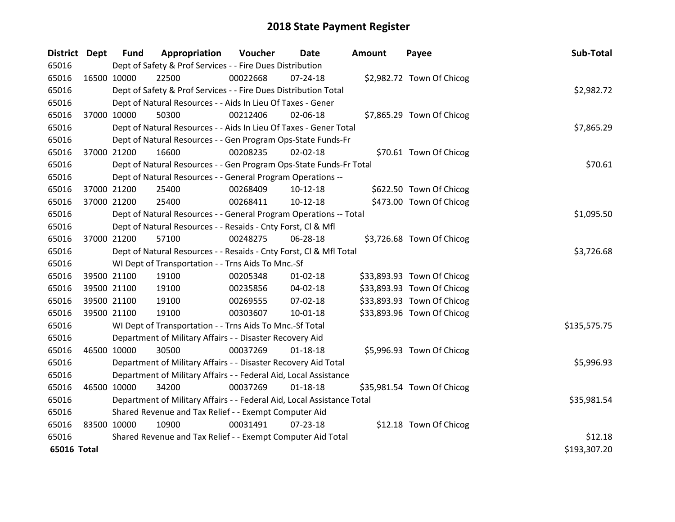| District Dept |             | <b>Fund</b> | Appropriation                                                          | Voucher    | <b>Date</b>    | Amount | Payee                      | Sub-Total    |
|---------------|-------------|-------------|------------------------------------------------------------------------|------------|----------------|--------|----------------------------|--------------|
| 65016         |             |             | Dept of Safety & Prof Services - - Fire Dues Distribution              |            |                |        |                            |              |
| 65016         | 16500 10000 |             | 22500                                                                  | 00022668   | 07-24-18       |        | \$2,982.72 Town Of Chicog  |              |
| 65016         |             |             | Dept of Safety & Prof Services - - Fire Dues Distribution Total        |            |                |        |                            | \$2,982.72   |
| 65016         |             |             | Dept of Natural Resources - - Aids In Lieu Of Taxes - Gener            |            |                |        |                            |              |
| 65016         | 37000 10000 |             | 50300                                                                  | 00212406   | 02-06-18       |        | \$7,865.29 Town Of Chicog  |              |
| 65016         |             |             | Dept of Natural Resources - - Aids In Lieu Of Taxes - Gener Total      |            | \$7,865.29     |        |                            |              |
| 65016         |             |             | Dept of Natural Resources - - Gen Program Ops-State Funds-Fr           |            |                |        |                            |              |
| 65016         | 37000 21200 |             | 16600                                                                  | 00208235   | $02 - 02 - 18$ |        | \$70.61 Town Of Chicog     |              |
| 65016         |             |             | Dept of Natural Resources - - Gen Program Ops-State Funds-Fr Total     | \$70.61    |                |        |                            |              |
| 65016         |             |             | Dept of Natural Resources - - General Program Operations --            |            |                |        |                            |              |
| 65016         | 37000 21200 |             | 25400                                                                  | 00268409   | $10-12-18$     |        | \$622.50 Town Of Chicog    |              |
| 65016         | 37000 21200 |             | 25400                                                                  | 00268411   | $10-12-18$     |        | \$473.00 Town Of Chicog    |              |
| 65016         |             |             | Dept of Natural Resources - - General Program Operations -- Total      |            |                |        |                            | \$1,095.50   |
| 65016         |             |             | Dept of Natural Resources - - Resaids - Cnty Forst, Cl & Mfl           |            |                |        |                            |              |
| 65016         | 37000 21200 |             | 57100                                                                  | 00248275   | 06-28-18       |        | \$3,726.68 Town Of Chicog  |              |
| 65016         |             |             | Dept of Natural Resources - - Resaids - Cnty Forst, CI & Mfl Total     | \$3,726.68 |                |        |                            |              |
| 65016         |             |             | WI Dept of Transportation - - Trns Aids To Mnc.-Sf                     |            |                |        |                            |              |
| 65016         |             | 39500 21100 | 19100                                                                  | 00205348   | 01-02-18       |        | \$33,893.93 Town Of Chicog |              |
| 65016         |             | 39500 21100 | 19100                                                                  | 00235856   | 04-02-18       |        | \$33,893.93 Town Of Chicog |              |
| 65016         | 39500 21100 |             | 19100                                                                  | 00269555   | 07-02-18       |        | \$33,893.93 Town Of Chicog |              |
| 65016         | 39500 21100 |             | 19100                                                                  | 00303607   | $10 - 01 - 18$ |        | \$33,893.96 Town Of Chicog |              |
| 65016         |             |             | WI Dept of Transportation - - Trns Aids To Mnc.-Sf Total               |            |                |        |                            | \$135,575.75 |
| 65016         |             |             | Department of Military Affairs - - Disaster Recovery Aid               |            |                |        |                            |              |
| 65016         | 46500 10000 |             | 30500                                                                  | 00037269   | $01 - 18 - 18$ |        | \$5,996.93 Town Of Chicog  |              |
| 65016         |             |             | Department of Military Affairs - - Disaster Recovery Aid Total         |            |                |        |                            | \$5,996.93   |
| 65016         |             |             | Department of Military Affairs - - Federal Aid, Local Assistance       |            |                |        |                            |              |
| 65016         | 46500 10000 |             | 34200                                                                  | 00037269   | $01 - 18 - 18$ |        | \$35,981.54 Town Of Chicog |              |
| 65016         |             |             | Department of Military Affairs - - Federal Aid, Local Assistance Total |            |                |        |                            | \$35,981.54  |
| 65016         |             |             | Shared Revenue and Tax Relief - - Exempt Computer Aid                  |            |                |        |                            |              |
| 65016         | 83500 10000 |             | 10900                                                                  | 00031491   | 07-23-18       |        | \$12.18 Town Of Chicog     |              |
| 65016         |             |             | Shared Revenue and Tax Relief - - Exempt Computer Aid Total            |            |                |        |                            | \$12.18      |
| 65016 Total   |             |             |                                                                        |            |                |        |                            | \$193,307.20 |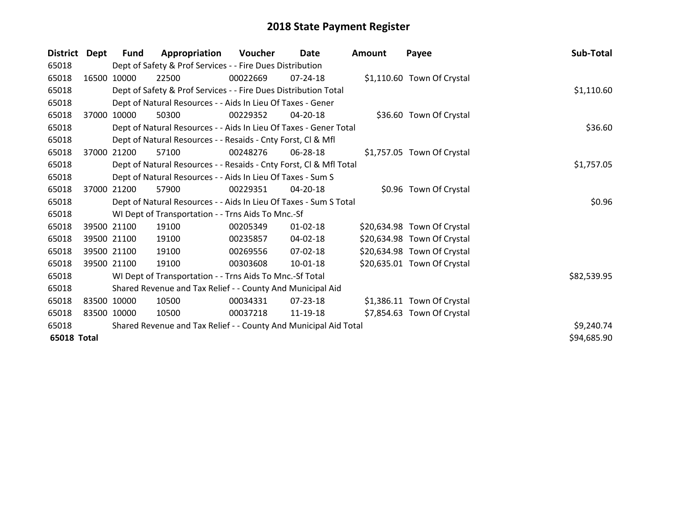| <b>District</b>    | Dept  | <b>Fund</b> | Appropriation                                                      | <b>Voucher</b> | Date           | <b>Amount</b> | Payee                       | Sub-Total   |
|--------------------|-------|-------------|--------------------------------------------------------------------|----------------|----------------|---------------|-----------------------------|-------------|
| 65018              |       |             | Dept of Safety & Prof Services - - Fire Dues Distribution          |                |                |               |                             |             |
| 65018              |       | 16500 10000 | 22500                                                              | 00022669       | 07-24-18       |               | \$1,110.60 Town Of Crystal  |             |
| 65018              |       |             | Dept of Safety & Prof Services - - Fire Dues Distribution Total    |                | \$1,110.60     |               |                             |             |
| 65018              |       |             | Dept of Natural Resources - - Aids In Lieu Of Taxes - Gener        |                |                |               |                             |             |
| 65018              | 37000 | 10000       | 50300                                                              | 00229352       | 04-20-18       |               | \$36.60 Town Of Crystal     |             |
| 65018              |       |             | Dept of Natural Resources - - Aids In Lieu Of Taxes - Gener Total  |                |                |               |                             | \$36.60     |
| 65018              |       |             | Dept of Natural Resources - - Resaids - Cnty Forst, Cl & Mfl       |                |                |               |                             |             |
| 65018              | 37000 | 21200       | 57100                                                              | 00248276       | 06-28-18       |               | \$1,757.05 Town Of Crystal  |             |
| 65018              |       |             | Dept of Natural Resources - - Resaids - Cnty Forst, Cl & Mfl Total |                |                |               |                             | \$1,757.05  |
| 65018              |       |             | Dept of Natural Resources - - Aids In Lieu Of Taxes - Sum S        |                |                |               |                             |             |
| 65018              |       | 37000 21200 | 57900                                                              | 00229351       | $04 - 20 - 18$ |               | \$0.96 Town Of Crystal      |             |
| 65018              |       |             | Dept of Natural Resources - - Aids In Lieu Of Taxes - Sum S Total  |                |                |               |                             | \$0.96      |
| 65018              |       |             | WI Dept of Transportation - - Trns Aids To Mnc.-Sf                 |                |                |               |                             |             |
| 65018              |       | 39500 21100 | 19100                                                              | 00205349       | $01 - 02 - 18$ |               | \$20,634.98 Town Of Crystal |             |
| 65018              |       | 39500 21100 | 19100                                                              | 00235857       | 04-02-18       |               | \$20,634.98 Town Of Crystal |             |
| 65018              |       | 39500 21100 | 19100                                                              | 00269556       | 07-02-18       |               | \$20,634.98 Town Of Crystal |             |
| 65018              |       | 39500 21100 | 19100                                                              | 00303608       | 10-01-18       |               | \$20,635.01 Town Of Crystal |             |
| 65018              |       |             | WI Dept of Transportation - - Trns Aids To Mnc.-Sf Total           |                |                |               |                             | \$82,539.95 |
| 65018              |       |             | Shared Revenue and Tax Relief - - County And Municipal Aid         |                |                |               |                             |             |
| 65018              |       | 83500 10000 | 10500                                                              | 00034331       | 07-23-18       |               | \$1,386.11 Town Of Crystal  |             |
| 65018              |       | 83500 10000 | 10500                                                              | 00037218       | 11-19-18       |               | \$7,854.63 Town Of Crystal  |             |
| 65018              |       |             | Shared Revenue and Tax Relief - - County And Municipal Aid Total   |                |                |               |                             | \$9,240.74  |
| <b>65018 Total</b> |       |             |                                                                    |                |                |               |                             | \$94,685.90 |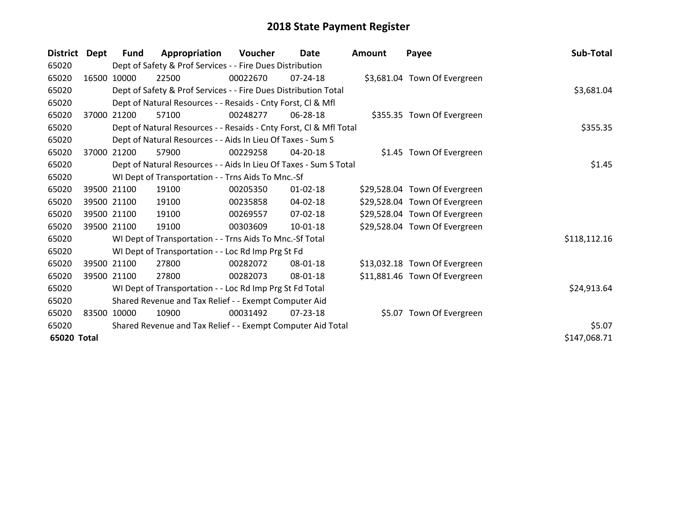| <b>District</b> | Dept        | <b>Fund</b> | Appropriation                                                      | Voucher  | <b>Date</b>    | <b>Amount</b> | Payee                         | Sub-Total    |
|-----------------|-------------|-------------|--------------------------------------------------------------------|----------|----------------|---------------|-------------------------------|--------------|
| 65020           |             |             | Dept of Safety & Prof Services - - Fire Dues Distribution          |          |                |               |                               |              |
| 65020           |             | 16500 10000 | 22500                                                              | 00022670 | 07-24-18       |               | \$3,681.04 Town Of Evergreen  |              |
| 65020           |             |             | Dept of Safety & Prof Services - - Fire Dues Distribution Total    |          |                |               |                               | \$3,681.04   |
| 65020           |             |             | Dept of Natural Resources - - Resaids - Cnty Forst, CI & Mfl       |          |                |               |                               |              |
| 65020           | 37000       | 21200       | 57100                                                              | 00248277 | 06-28-18       |               | \$355.35 Town Of Evergreen    |              |
| 65020           |             |             | Dept of Natural Resources - - Resaids - Cnty Forst, Cl & Mfl Total |          |                |               |                               | \$355.35     |
| 65020           |             |             | Dept of Natural Resources - - Aids In Lieu Of Taxes - Sum S        |          |                |               |                               |              |
| 65020           | 37000       | 21200       | 57900                                                              | 00229258 | 04-20-18       |               | \$1.45 Town Of Evergreen      |              |
| 65020           |             |             | Dept of Natural Resources - - Aids In Lieu Of Taxes - Sum S Total  |          |                |               |                               | \$1.45       |
| 65020           |             |             | WI Dept of Transportation - - Trns Aids To Mnc.-Sf                 |          |                |               |                               |              |
| 65020           |             | 39500 21100 | 19100                                                              | 00205350 | $01 - 02 - 18$ |               | \$29,528.04 Town Of Evergreen |              |
| 65020           |             | 39500 21100 | 19100                                                              | 00235858 | $04 - 02 - 18$ |               | \$29,528.04 Town Of Evergreen |              |
| 65020           |             | 39500 21100 | 19100                                                              | 00269557 | 07-02-18       |               | \$29,528.04 Town Of Evergreen |              |
| 65020           |             | 39500 21100 | 19100                                                              | 00303609 | $10 - 01 - 18$ |               | \$29,528.04 Town Of Evergreen |              |
| 65020           |             |             | WI Dept of Transportation - - Trns Aids To Mnc.-Sf Total           |          |                |               |                               | \$118,112.16 |
| 65020           |             |             | WI Dept of Transportation - - Loc Rd Imp Prg St Fd                 |          |                |               |                               |              |
| 65020           |             | 39500 21100 | 27800                                                              | 00282072 | 08-01-18       |               | \$13,032.18 Town Of Evergreen |              |
| 65020           |             | 39500 21100 | 27800                                                              | 00282073 | 08-01-18       |               | \$11,881.46 Town Of Evergreen |              |
| 65020           |             |             | WI Dept of Transportation - - Loc Rd Imp Prg St Fd Total           |          |                |               |                               | \$24,913.64  |
| 65020           |             |             | Shared Revenue and Tax Relief - - Exempt Computer Aid              |          |                |               |                               |              |
| 65020           | 83500 10000 |             | 10900                                                              | 00031492 | $07 - 23 - 18$ |               | \$5.07 Town Of Evergreen      |              |
| 65020           |             |             | Shared Revenue and Tax Relief - - Exempt Computer Aid Total        |          |                |               |                               | \$5.07       |
| 65020 Total     |             |             |                                                                    |          |                |               |                               | \$147,068.71 |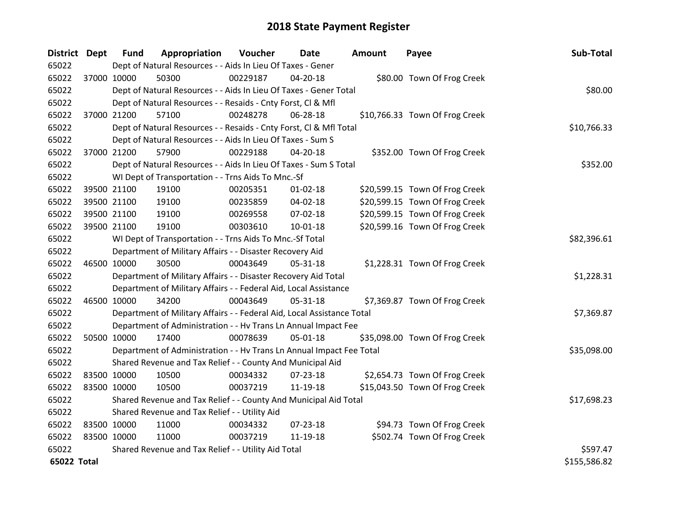| <b>District Dept</b> |             | <b>Fund</b> | Appropriation                                                          | Voucher     | Date           | Amount | Payee                          | Sub-Total    |  |  |
|----------------------|-------------|-------------|------------------------------------------------------------------------|-------------|----------------|--------|--------------------------------|--------------|--|--|
| 65022                |             |             | Dept of Natural Resources - - Aids In Lieu Of Taxes - Gener            |             |                |        |                                |              |  |  |
| 65022                | 37000 10000 |             | 50300                                                                  | 00229187    | 04-20-18       |        | \$80.00 Town Of Frog Creek     |              |  |  |
| 65022                |             |             | Dept of Natural Resources - - Aids In Lieu Of Taxes - Gener Total      |             |                |        |                                | \$80.00      |  |  |
| 65022                |             |             | Dept of Natural Resources - - Resaids - Cnty Forst, Cl & Mfl           |             |                |        |                                |              |  |  |
| 65022                | 37000 21200 |             | 57100                                                                  | 00248278    | 06-28-18       |        | \$10,766.33 Town Of Frog Creek |              |  |  |
| 65022                |             |             | Dept of Natural Resources - - Resaids - Cnty Forst, Cl & Mfl Total     |             |                |        |                                | \$10,766.33  |  |  |
| 65022                |             |             | Dept of Natural Resources - - Aids In Lieu Of Taxes - Sum S            |             |                |        |                                |              |  |  |
| 65022                | 37000 21200 |             | 57900                                                                  | 00229188    | 04-20-18       |        | \$352.00 Town Of Frog Creek    |              |  |  |
| 65022                |             |             | Dept of Natural Resources - - Aids In Lieu Of Taxes - Sum S Total      |             |                |        |                                | \$352.00     |  |  |
| 65022                |             |             | WI Dept of Transportation - - Trns Aids To Mnc.-Sf                     |             |                |        |                                |              |  |  |
| 65022                |             | 39500 21100 | 19100                                                                  | 00205351    | $01 - 02 - 18$ |        | \$20,599.15 Town Of Frog Creek |              |  |  |
| 65022                | 39500 21100 |             | 19100                                                                  | 00235859    | 04-02-18       |        | \$20,599.15 Town Of Frog Creek |              |  |  |
| 65022                | 39500 21100 |             | 19100                                                                  | 00269558    | 07-02-18       |        | \$20,599.15 Town Of Frog Creek |              |  |  |
| 65022                | 39500 21100 |             | 19100                                                                  | 00303610    | $10 - 01 - 18$ |        | \$20,599.16 Town Of Frog Creek |              |  |  |
| 65022                |             |             | WI Dept of Transportation - - Trns Aids To Mnc.-Sf Total               | \$82,396.61 |                |        |                                |              |  |  |
| 65022                |             |             | Department of Military Affairs - - Disaster Recovery Aid               |             |                |        |                                |              |  |  |
| 65022                | 46500 10000 |             | 30500                                                                  | 00043649    | 05-31-18       |        | \$1,228.31 Town Of Frog Creek  |              |  |  |
| 65022                |             |             | Department of Military Affairs - - Disaster Recovery Aid Total         |             |                |        |                                | \$1,228.31   |  |  |
| 65022                |             |             | Department of Military Affairs - - Federal Aid, Local Assistance       |             |                |        |                                |              |  |  |
| 65022                | 46500 10000 |             | 34200                                                                  | 00043649    | 05-31-18       |        | \$7,369.87 Town Of Frog Creek  |              |  |  |
| 65022                |             |             | Department of Military Affairs - - Federal Aid, Local Assistance Total |             |                |        |                                | \$7,369.87   |  |  |
| 65022                |             |             | Department of Administration - - Hv Trans Ln Annual Impact Fee         |             |                |        |                                |              |  |  |
| 65022                | 50500 10000 |             | 17400                                                                  | 00078639    | 05-01-18       |        | \$35,098.00 Town Of Frog Creek |              |  |  |
| 65022                |             |             | Department of Administration - - Hv Trans Ln Annual Impact Fee Total   |             |                |        |                                | \$35,098.00  |  |  |
| 65022                |             |             | Shared Revenue and Tax Relief - - County And Municipal Aid             |             |                |        |                                |              |  |  |
| 65022                | 83500 10000 |             | 10500                                                                  | 00034332    | 07-23-18       |        | \$2,654.73 Town Of Frog Creek  |              |  |  |
| 65022                | 83500 10000 |             | 10500                                                                  | 00037219    | 11-19-18       |        | \$15,043.50 Town Of Frog Creek |              |  |  |
| 65022                |             |             | Shared Revenue and Tax Relief - - County And Municipal Aid Total       |             |                |        |                                | \$17,698.23  |  |  |
| 65022                |             |             | Shared Revenue and Tax Relief - - Utility Aid                          |             |                |        |                                |              |  |  |
| 65022                | 83500 10000 |             | 11000                                                                  | 00034332    | 07-23-18       |        | \$94.73 Town Of Frog Creek     |              |  |  |
| 65022                | 83500 10000 |             | 11000                                                                  | 00037219    | 11-19-18       |        | \$502.74 Town Of Frog Creek    |              |  |  |
| 65022                |             |             | Shared Revenue and Tax Relief - - Utility Aid Total                    |             |                |        |                                | \$597.47     |  |  |
| 65022 Total          |             |             |                                                                        |             |                |        |                                | \$155,586.82 |  |  |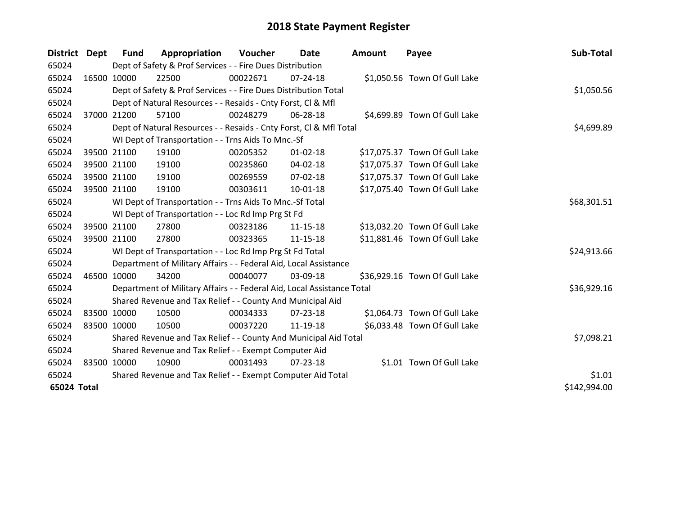| District Dept |             | <b>Fund</b> | Appropriation                                                          | Voucher  | Date           | <b>Amount</b> | Payee                         | Sub-Total    |
|---------------|-------------|-------------|------------------------------------------------------------------------|----------|----------------|---------------|-------------------------------|--------------|
| 65024         |             |             | Dept of Safety & Prof Services - - Fire Dues Distribution              |          |                |               |                               |              |
| 65024         |             | 16500 10000 | 22500                                                                  | 00022671 | $07 - 24 - 18$ |               | \$1,050.56 Town Of Gull Lake  |              |
| 65024         |             |             | Dept of Safety & Prof Services - - Fire Dues Distribution Total        |          |                |               |                               | \$1,050.56   |
| 65024         |             |             | Dept of Natural Resources - - Resaids - Cnty Forst, CI & Mfl           |          |                |               |                               |              |
| 65024         |             | 37000 21200 | 57100                                                                  | 00248279 | 06-28-18       |               | \$4,699.89 Town Of Gull Lake  |              |
| 65024         |             |             | Dept of Natural Resources - - Resaids - Cnty Forst, CI & Mfl Total     |          |                |               |                               | \$4,699.89   |
| 65024         |             |             | WI Dept of Transportation - - Trns Aids To Mnc.-Sf                     |          |                |               |                               |              |
| 65024         |             | 39500 21100 | 19100                                                                  | 00205352 | $01 - 02 - 18$ |               | \$17,075.37 Town Of Gull Lake |              |
| 65024         |             | 39500 21100 | 19100                                                                  | 00235860 | 04-02-18       |               | \$17,075.37 Town Of Gull Lake |              |
| 65024         |             | 39500 21100 | 19100                                                                  | 00269559 | $07 - 02 - 18$ |               | \$17,075.37 Town Of Gull Lake |              |
| 65024         |             | 39500 21100 | 19100                                                                  | 00303611 | $10 - 01 - 18$ |               | \$17,075.40 Town Of Gull Lake |              |
| 65024         |             |             | WI Dept of Transportation - - Trns Aids To Mnc.-Sf Total               |          | \$68,301.51    |               |                               |              |
| 65024         |             |             | WI Dept of Transportation - - Loc Rd Imp Prg St Fd                     |          |                |               |                               |              |
| 65024         |             | 39500 21100 | 27800                                                                  | 00323186 | $11 - 15 - 18$ |               | \$13,032.20 Town Of Gull Lake |              |
| 65024         |             | 39500 21100 | 27800                                                                  | 00323365 | 11-15-18       |               | \$11,881.46 Town Of Gull Lake |              |
| 65024         |             |             | WI Dept of Transportation - - Loc Rd Imp Prg St Fd Total               |          |                |               |                               | \$24,913.66  |
| 65024         |             |             | Department of Military Affairs - - Federal Aid, Local Assistance       |          |                |               |                               |              |
| 65024         | 46500 10000 |             | 34200                                                                  | 00040077 | 03-09-18       |               | \$36,929.16 Town Of Gull Lake |              |
| 65024         |             |             | Department of Military Affairs - - Federal Aid, Local Assistance Total |          |                |               |                               | \$36,929.16  |
| 65024         |             |             | Shared Revenue and Tax Relief - - County And Municipal Aid             |          |                |               |                               |              |
| 65024         | 83500 10000 |             | 10500                                                                  | 00034333 | $07 - 23 - 18$ |               | \$1,064.73 Town Of Gull Lake  |              |
| 65024         |             | 83500 10000 | 10500                                                                  | 00037220 | 11-19-18       |               | \$6,033.48 Town Of Gull Lake  |              |
| 65024         |             |             | Shared Revenue and Tax Relief - - County And Municipal Aid Total       |          |                |               |                               | \$7,098.21   |
| 65024         |             |             | Shared Revenue and Tax Relief - - Exempt Computer Aid                  |          |                |               |                               |              |
| 65024         |             | 83500 10000 | 10900                                                                  | 00031493 | $07 - 23 - 18$ |               | \$1.01 Town Of Gull Lake      |              |
| 65024         |             |             | Shared Revenue and Tax Relief - - Exempt Computer Aid Total            |          |                |               |                               | \$1.01       |
| 65024 Total   |             |             |                                                                        |          |                |               |                               | \$142,994.00 |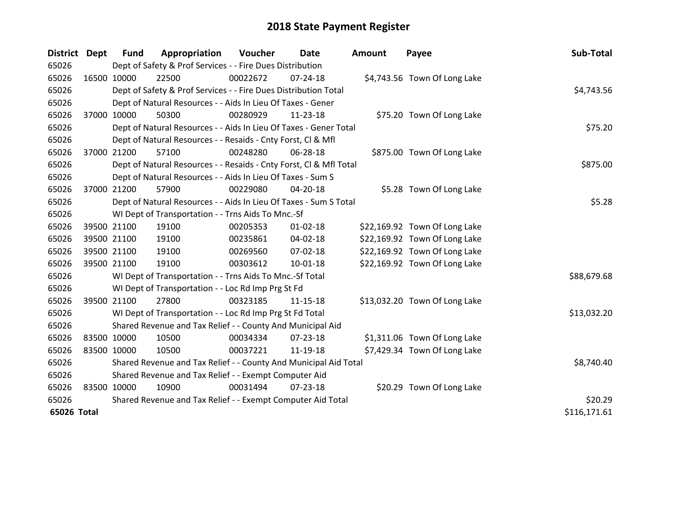| <b>District</b> | <b>Dept</b> | <b>Fund</b>                                                 | Appropriation                                                      | Voucher  | <b>Date</b>    | <b>Amount</b> | Payee                         | Sub-Total    |
|-----------------|-------------|-------------------------------------------------------------|--------------------------------------------------------------------|----------|----------------|---------------|-------------------------------|--------------|
| 65026           |             |                                                             | Dept of Safety & Prof Services - - Fire Dues Distribution          |          |                |               |                               |              |
| 65026           | 16500 10000 |                                                             | 22500                                                              | 00022672 | $07 - 24 - 18$ |               | \$4,743.56 Town Of Long Lake  |              |
| 65026           |             |                                                             | Dept of Safety & Prof Services - - Fire Dues Distribution Total    |          |                |               |                               | \$4,743.56   |
| 65026           |             |                                                             | Dept of Natural Resources - - Aids In Lieu Of Taxes - Gener        |          |                |               |                               |              |
| 65026           | 37000 10000 |                                                             | 50300                                                              | 00280929 | $11 - 23 - 18$ |               | \$75.20 Town Of Long Lake     |              |
| 65026           |             |                                                             | Dept of Natural Resources - - Aids In Lieu Of Taxes - Gener Total  |          |                |               |                               | \$75.20      |
| 65026           |             |                                                             | Dept of Natural Resources - - Resaids - Cnty Forst, CI & Mfl       |          |                |               |                               |              |
| 65026           | 37000 21200 |                                                             | 57100                                                              | 00248280 | 06-28-18       |               | \$875.00 Town Of Long Lake    |              |
| 65026           |             |                                                             | Dept of Natural Resources - - Resaids - Cnty Forst, Cl & Mfl Total |          |                |               |                               | \$875.00     |
| 65026           |             |                                                             | Dept of Natural Resources - - Aids In Lieu Of Taxes - Sum S        |          |                |               |                               |              |
| 65026           | 37000 21200 |                                                             | 57900                                                              | 00229080 | 04-20-18       |               | \$5.28 Town Of Long Lake      |              |
| 65026           |             |                                                             | Dept of Natural Resources - - Aids In Lieu Of Taxes - Sum S Total  |          |                |               |                               | \$5.28       |
| 65026           |             |                                                             | WI Dept of Transportation - - Trns Aids To Mnc.-Sf                 |          |                |               |                               |              |
| 65026           | 39500 21100 |                                                             | 19100                                                              | 00205353 | $01 - 02 - 18$ |               | \$22,169.92 Town Of Long Lake |              |
| 65026           | 39500 21100 |                                                             | 19100                                                              | 00235861 | 04-02-18       |               | \$22,169.92 Town Of Long Lake |              |
| 65026           | 39500 21100 |                                                             | 19100                                                              | 00269560 | 07-02-18       |               | \$22,169.92 Town Of Long Lake |              |
| 65026           | 39500 21100 |                                                             | 19100                                                              | 00303612 | 10-01-18       |               | \$22,169.92 Town Of Long Lake |              |
| 65026           |             |                                                             | WI Dept of Transportation - - Trns Aids To Mnc.-Sf Total           |          |                |               |                               | \$88,679.68  |
| 65026           |             |                                                             | WI Dept of Transportation - - Loc Rd Imp Prg St Fd                 |          |                |               |                               |              |
| 65026           | 39500 21100 |                                                             | 27800                                                              | 00323185 | 11-15-18       |               | \$13,032.20 Town Of Long Lake |              |
| 65026           |             |                                                             | WI Dept of Transportation - - Loc Rd Imp Prg St Fd Total           |          |                |               |                               | \$13,032.20  |
| 65026           |             |                                                             | Shared Revenue and Tax Relief - - County And Municipal Aid         |          |                |               |                               |              |
| 65026           | 83500 10000 |                                                             | 10500                                                              | 00034334 | 07-23-18       |               | \$1,311.06 Town Of Long Lake  |              |
| 65026           | 83500 10000 |                                                             | 10500                                                              | 00037221 | 11-19-18       |               | \$7,429.34 Town Of Long Lake  |              |
| 65026           |             |                                                             | Shared Revenue and Tax Relief - - County And Municipal Aid Total   |          |                |               |                               | \$8,740.40   |
| 65026           |             | Shared Revenue and Tax Relief - - Exempt Computer Aid       |                                                                    |          |                |               |                               |              |
| 65026           | 83500 10000 |                                                             | 10900                                                              | 00031494 | 07-23-18       |               | \$20.29 Town Of Long Lake     |              |
| 65026           |             | Shared Revenue and Tax Relief - - Exempt Computer Aid Total |                                                                    |          |                |               |                               | \$20.29      |
| 65026 Total     |             |                                                             |                                                                    |          |                |               |                               | \$116,171.61 |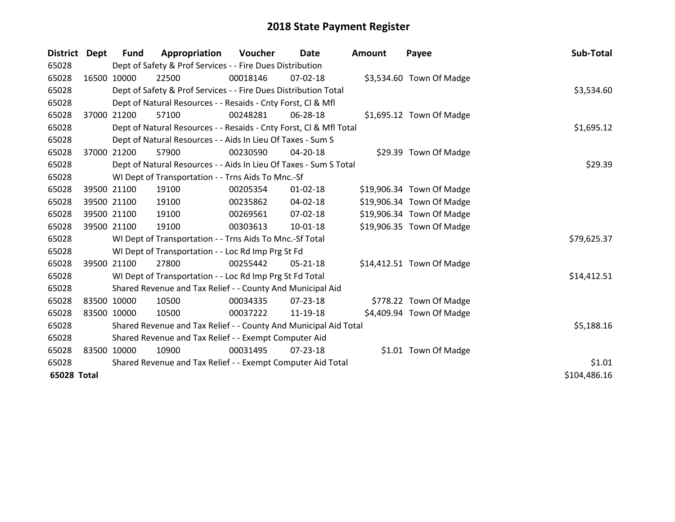| District Dept |             | <b>Fund</b> | Appropriation                                                      | Voucher    | <b>Date</b>    | <b>Amount</b> | Payee                     | Sub-Total   |
|---------------|-------------|-------------|--------------------------------------------------------------------|------------|----------------|---------------|---------------------------|-------------|
| 65028         |             |             | Dept of Safety & Prof Services - - Fire Dues Distribution          |            |                |               |                           |             |
| 65028         |             | 16500 10000 | 22500                                                              | 00018146   | 07-02-18       |               | \$3,534.60 Town Of Madge  |             |
| 65028         |             |             | Dept of Safety & Prof Services - - Fire Dues Distribution Total    |            |                |               |                           | \$3,534.60  |
| 65028         |             |             | Dept of Natural Resources - - Resaids - Cnty Forst, CI & Mfl       |            |                |               |                           |             |
| 65028         |             | 37000 21200 | 57100                                                              | 00248281   | 06-28-18       |               | \$1,695.12 Town Of Madge  |             |
| 65028         |             |             | Dept of Natural Resources - - Resaids - Cnty Forst, CI & Mfl Total |            |                |               |                           | \$1,695.12  |
| 65028         |             |             | Dept of Natural Resources - - Aids In Lieu Of Taxes - Sum S        |            |                |               |                           |             |
| 65028         | 37000       | 21200       | 57900                                                              | 00230590   | 04-20-18       |               | \$29.39 Town Of Madge     |             |
| 65028         |             |             | Dept of Natural Resources - - Aids In Lieu Of Taxes - Sum S Total  |            | \$29.39        |               |                           |             |
| 65028         |             |             | WI Dept of Transportation - - Trns Aids To Mnc.-Sf                 |            |                |               |                           |             |
| 65028         |             | 39500 21100 | 19100                                                              | 00205354   | $01 - 02 - 18$ |               | \$19,906.34 Town Of Madge |             |
| 65028         |             | 39500 21100 | 19100                                                              | 00235862   | 04-02-18       |               | \$19,906.34 Town Of Madge |             |
| 65028         |             | 39500 21100 | 19100                                                              | 00269561   | $07 - 02 - 18$ |               | \$19,906.34 Town Of Madge |             |
| 65028         |             | 39500 21100 | 19100                                                              | 00303613   | $10 - 01 - 18$ |               | \$19,906.35 Town Of Madge |             |
| 65028         |             |             | WI Dept of Transportation - - Trns Aids To Mnc.-Sf Total           |            |                |               |                           | \$79,625.37 |
| 65028         |             |             | WI Dept of Transportation - - Loc Rd Imp Prg St Fd                 |            |                |               |                           |             |
| 65028         |             | 39500 21100 | 27800                                                              | 00255442   | 05-21-18       |               | \$14,412.51 Town Of Madge |             |
| 65028         |             |             | WI Dept of Transportation - - Loc Rd Imp Prg St Fd Total           |            |                |               |                           | \$14,412.51 |
| 65028         |             |             | Shared Revenue and Tax Relief - - County And Municipal Aid         |            |                |               |                           |             |
| 65028         | 83500 10000 |             | 10500                                                              | 00034335   | 07-23-18       |               | \$778.22 Town Of Madge    |             |
| 65028         | 83500 10000 |             | 10500                                                              | 00037222   | 11-19-18       |               | \$4,409.94 Town Of Madge  |             |
| 65028         |             |             | Shared Revenue and Tax Relief - - County And Municipal Aid Total   | \$5,188.16 |                |               |                           |             |
| 65028         |             |             | Shared Revenue and Tax Relief - - Exempt Computer Aid              |            |                |               |                           |             |
| 65028         |             | 83500 10000 | 10900                                                              | 00031495   | 07-23-18       |               | \$1.01 Town Of Madge      |             |
| 65028         |             |             | Shared Revenue and Tax Relief - - Exempt Computer Aid Total        |            |                |               |                           | \$1.01      |
|               | 65028 Total |             |                                                                    |            |                |               |                           |             |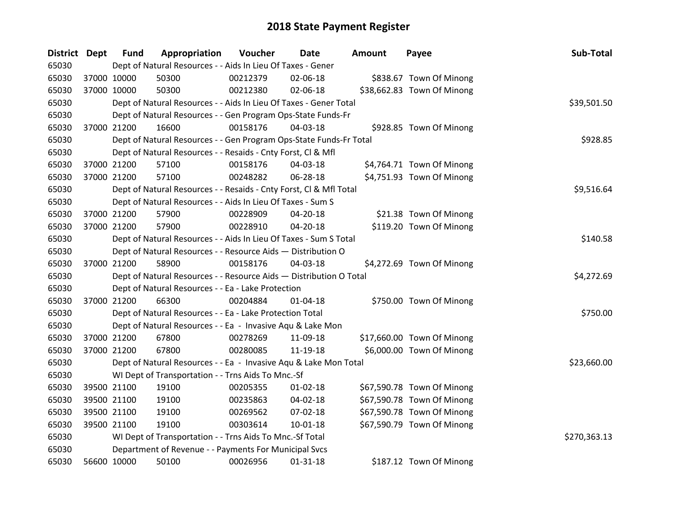| District Dept |             | <b>Fund</b> | Appropriation                                                      | Voucher  | <b>Date</b>    | <b>Amount</b> | Payee                      | Sub-Total    |
|---------------|-------------|-------------|--------------------------------------------------------------------|----------|----------------|---------------|----------------------------|--------------|
| 65030         |             |             | Dept of Natural Resources - - Aids In Lieu Of Taxes - Gener        |          |                |               |                            |              |
| 65030         |             | 37000 10000 | 50300                                                              | 00212379 | 02-06-18       |               | \$838.67 Town Of Minong    |              |
| 65030         | 37000 10000 |             | 50300                                                              | 00212380 | 02-06-18       |               | \$38,662.83 Town Of Minong |              |
| 65030         |             |             | Dept of Natural Resources - - Aids In Lieu Of Taxes - Gener Total  |          |                |               |                            | \$39,501.50  |
| 65030         |             |             | Dept of Natural Resources - - Gen Program Ops-State Funds-Fr       |          |                |               |                            |              |
| 65030         | 37000 21200 |             | 16600                                                              | 00158176 | 04-03-18       |               | \$928.85 Town Of Minong    |              |
| 65030         |             |             | Dept of Natural Resources - - Gen Program Ops-State Funds-Fr Total |          |                |               |                            | \$928.85     |
| 65030         |             |             | Dept of Natural Resources - - Resaids - Cnty Forst, CI & Mfl       |          |                |               |                            |              |
| 65030         | 37000 21200 |             | 57100                                                              | 00158176 | 04-03-18       |               | \$4,764.71 Town Of Minong  |              |
| 65030         |             | 37000 21200 | 57100                                                              | 00248282 | 06-28-18       |               | \$4,751.93 Town Of Minong  |              |
| 65030         |             |             | Dept of Natural Resources - - Resaids - Cnty Forst, Cl & Mfl Total |          |                |               |                            | \$9,516.64   |
| 65030         |             |             | Dept of Natural Resources - - Aids In Lieu Of Taxes - Sum S        |          |                |               |                            |              |
| 65030         |             | 37000 21200 | 57900                                                              | 00228909 | 04-20-18       |               | \$21.38 Town Of Minong     |              |
| 65030         |             | 37000 21200 | 57900                                                              | 00228910 | 04-20-18       |               | \$119.20 Town Of Minong    |              |
| 65030         |             |             | Dept of Natural Resources - - Aids In Lieu Of Taxes - Sum S Total  |          |                |               |                            | \$140.58     |
| 65030         |             |             | Dept of Natural Resources - - Resource Aids - Distribution O       |          |                |               |                            |              |
| 65030         |             | 37000 21200 | 58900                                                              | 00158176 | 04-03-18       |               | \$4,272.69 Town Of Minong  |              |
| 65030         |             |             | Dept of Natural Resources - - Resource Aids - Distribution O Total |          |                |               |                            | \$4,272.69   |
| 65030         |             |             | Dept of Natural Resources - - Ea - Lake Protection                 |          |                |               |                            |              |
| 65030         |             | 37000 21200 | 66300                                                              | 00204884 | $01 - 04 - 18$ |               | \$750.00 Town Of Minong    |              |
| 65030         |             |             | Dept of Natural Resources - - Ea - Lake Protection Total           |          |                |               |                            | \$750.00     |
| 65030         |             |             | Dept of Natural Resources - - Ea - Invasive Aqu & Lake Mon         |          |                |               |                            |              |
| 65030         |             | 37000 21200 | 67800                                                              | 00278269 | 11-09-18       |               | \$17,660.00 Town Of Minong |              |
| 65030         |             | 37000 21200 | 67800                                                              | 00280085 | 11-19-18       |               | \$6,000.00 Town Of Minong  |              |
| 65030         |             |             | Dept of Natural Resources - - Ea - Invasive Aqu & Lake Mon Total   |          |                |               |                            | \$23,660.00  |
| 65030         |             |             | WI Dept of Transportation - - Trns Aids To Mnc.-Sf                 |          |                |               |                            |              |
| 65030         |             | 39500 21100 | 19100                                                              | 00205355 | $01 - 02 - 18$ |               | \$67,590.78 Town Of Minong |              |
| 65030         |             | 39500 21100 | 19100                                                              | 00235863 | 04-02-18       |               | \$67,590.78 Town Of Minong |              |
| 65030         |             | 39500 21100 | 19100                                                              | 00269562 | 07-02-18       |               | \$67,590.78 Town Of Minong |              |
| 65030         |             | 39500 21100 | 19100                                                              | 00303614 | 10-01-18       |               | \$67,590.79 Town Of Minong |              |
| 65030         |             |             | WI Dept of Transportation - - Trns Aids To Mnc.-Sf Total           |          |                |               |                            | \$270,363.13 |
| 65030         |             |             | Department of Revenue - - Payments For Municipal Svcs              |          |                |               |                            |              |
| 65030         |             | 56600 10000 | 50100                                                              | 00026956 | $01 - 31 - 18$ |               | \$187.12 Town Of Minong    |              |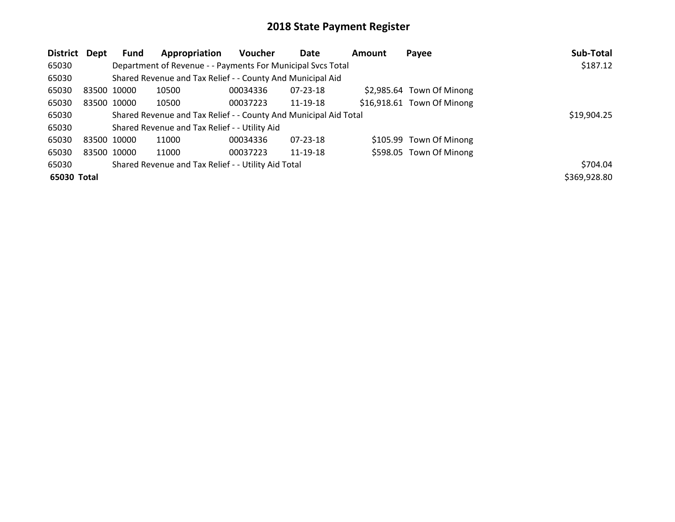| District    | Dept | <b>Fund</b> | Appropriation                                                    | <b>Voucher</b> | <b>Date</b>    | Amount | Payee                      | Sub-Total    |
|-------------|------|-------------|------------------------------------------------------------------|----------------|----------------|--------|----------------------------|--------------|
| 65030       |      |             | Department of Revenue - - Payments For Municipal Svcs Total      |                |                |        |                            | \$187.12     |
| 65030       |      |             | Shared Revenue and Tax Relief - - County And Municipal Aid       |                |                |        |                            |              |
| 65030       |      | 83500 10000 | 10500                                                            | 00034336       | 07-23-18       |        | \$2,985.64 Town Of Minong  |              |
| 65030       |      | 83500 10000 | 10500                                                            | 00037223       | 11-19-18       |        | \$16,918.61 Town Of Minong |              |
| 65030       |      |             | Shared Revenue and Tax Relief - - County And Municipal Aid Total |                |                |        |                            | \$19,904.25  |
| 65030       |      |             | Shared Revenue and Tax Relief - - Utility Aid                    |                |                |        |                            |              |
| 65030       |      | 83500 10000 | 11000                                                            | 00034336       | $07 - 23 - 18$ |        | \$105.99 Town Of Minong    |              |
| 65030       |      | 83500 10000 | 11000                                                            | 00037223       | 11-19-18       |        | \$598.05 Town Of Minong    |              |
| 65030       |      |             | Shared Revenue and Tax Relief - - Utility Aid Total              |                |                |        |                            | \$704.04     |
| 65030 Total |      |             |                                                                  |                |                |        |                            | \$369,928.80 |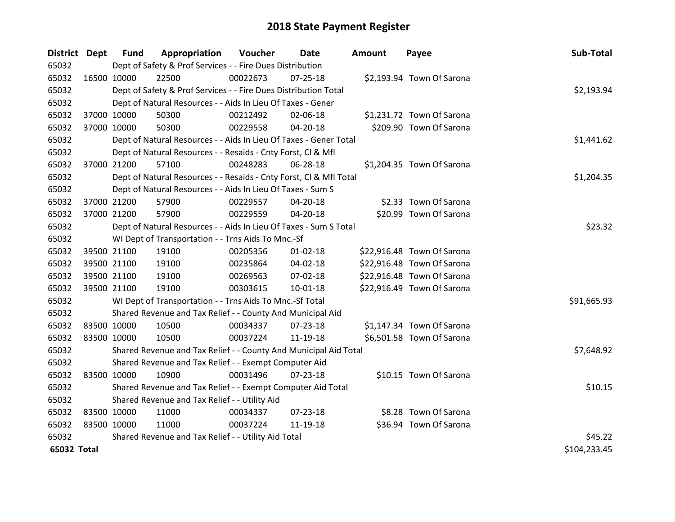| <b>District Dept</b> |             | <b>Fund</b> | Appropriation                                                      | Voucher  | <b>Date</b>    | Amount | Payee                      | Sub-Total    |
|----------------------|-------------|-------------|--------------------------------------------------------------------|----------|----------------|--------|----------------------------|--------------|
| 65032                |             |             | Dept of Safety & Prof Services - - Fire Dues Distribution          |          |                |        |                            |              |
| 65032                | 16500 10000 |             | 22500                                                              | 00022673 | $07 - 25 - 18$ |        | \$2,193.94 Town Of Sarona  |              |
| 65032                |             |             | Dept of Safety & Prof Services - - Fire Dues Distribution Total    |          |                |        |                            | \$2,193.94   |
| 65032                |             |             | Dept of Natural Resources - - Aids In Lieu Of Taxes - Gener        |          |                |        |                            |              |
| 65032                |             | 37000 10000 | 50300                                                              | 00212492 | 02-06-18       |        | \$1,231.72 Town Of Sarona  |              |
| 65032                |             | 37000 10000 | 50300                                                              | 00229558 | 04-20-18       |        | \$209.90 Town Of Sarona    |              |
| 65032                |             |             | Dept of Natural Resources - - Aids In Lieu Of Taxes - Gener Total  |          |                |        |                            | \$1,441.62   |
| 65032                |             |             | Dept of Natural Resources - - Resaids - Cnty Forst, CI & Mfl       |          |                |        |                            |              |
| 65032                |             | 37000 21200 | 57100                                                              | 00248283 | 06-28-18       |        | \$1,204.35 Town Of Sarona  |              |
| 65032                |             |             | Dept of Natural Resources - - Resaids - Cnty Forst, Cl & Mfl Total |          |                |        |                            | \$1,204.35   |
| 65032                |             |             | Dept of Natural Resources - - Aids In Lieu Of Taxes - Sum S        |          |                |        |                            |              |
| 65032                | 37000 21200 |             | 57900                                                              | 00229557 | 04-20-18       |        | \$2.33 Town Of Sarona      |              |
| 65032                | 37000 21200 |             | 57900                                                              | 00229559 | 04-20-18       |        | \$20.99 Town Of Sarona     |              |
| 65032                |             |             | Dept of Natural Resources - - Aids In Lieu Of Taxes - Sum S Total  |          |                |        |                            | \$23.32      |
| 65032                |             |             | WI Dept of Transportation - - Trns Aids To Mnc.-Sf                 |          |                |        |                            |              |
| 65032                | 39500 21100 |             | 19100                                                              | 00205356 | $01 - 02 - 18$ |        | \$22,916.48 Town Of Sarona |              |
| 65032                | 39500 21100 |             | 19100                                                              | 00235864 | 04-02-18       |        | \$22,916.48 Town Of Sarona |              |
| 65032                |             | 39500 21100 | 19100                                                              | 00269563 | 07-02-18       |        | \$22,916.48 Town Of Sarona |              |
| 65032                |             | 39500 21100 | 19100                                                              | 00303615 | 10-01-18       |        | \$22,916.49 Town Of Sarona |              |
| 65032                |             |             | WI Dept of Transportation - - Trns Aids To Mnc.-Sf Total           |          |                |        |                            | \$91,665.93  |
| 65032                |             |             | Shared Revenue and Tax Relief - - County And Municipal Aid         |          |                |        |                            |              |
| 65032                | 83500 10000 |             | 10500                                                              | 00034337 | 07-23-18       |        | \$1,147.34 Town Of Sarona  |              |
| 65032                | 83500 10000 |             | 10500                                                              | 00037224 | 11-19-18       |        | \$6,501.58 Town Of Sarona  |              |
| 65032                |             |             | Shared Revenue and Tax Relief - - County And Municipal Aid Total   |          |                |        |                            | \$7,648.92   |
| 65032                |             |             | Shared Revenue and Tax Relief - - Exempt Computer Aid              |          |                |        |                            |              |
| 65032                | 83500 10000 |             | 10900                                                              | 00031496 | $07 - 23 - 18$ |        | \$10.15 Town Of Sarona     |              |
| 65032                |             |             | Shared Revenue and Tax Relief - - Exempt Computer Aid Total        |          |                |        |                            | \$10.15      |
| 65032                |             |             | Shared Revenue and Tax Relief - - Utility Aid                      |          |                |        |                            |              |
| 65032                | 83500 10000 |             | 11000                                                              | 00034337 | 07-23-18       |        | \$8.28 Town Of Sarona      |              |
| 65032                | 83500 10000 |             | 11000                                                              | 00037224 | 11-19-18       |        | \$36.94 Town Of Sarona     |              |
| 65032                |             |             | Shared Revenue and Tax Relief - - Utility Aid Total                |          |                |        |                            | \$45.22      |
| 65032 Total          |             |             |                                                                    |          |                |        |                            | \$104,233.45 |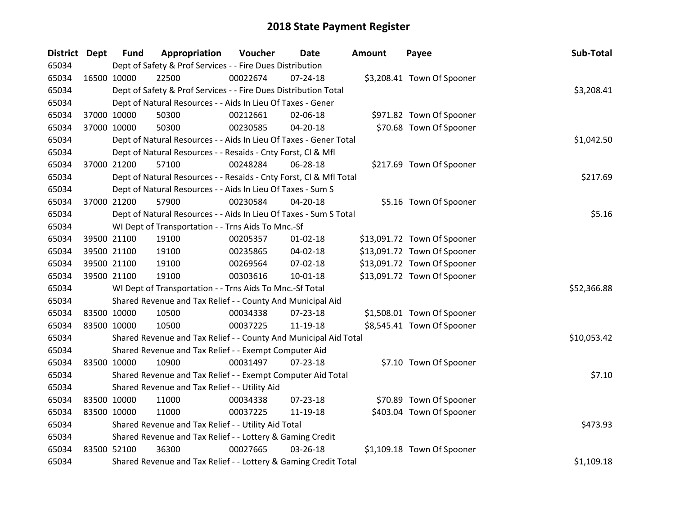| District Dept |             | <b>Fund</b> | Appropriation                                                      | Voucher  | <b>Date</b>    | <b>Amount</b> | Payee                       | Sub-Total   |
|---------------|-------------|-------------|--------------------------------------------------------------------|----------|----------------|---------------|-----------------------------|-------------|
| 65034         |             |             | Dept of Safety & Prof Services - - Fire Dues Distribution          |          |                |               |                             |             |
| 65034         | 16500 10000 |             | 22500                                                              | 00022674 | $07 - 24 - 18$ |               | \$3,208.41 Town Of Spooner  |             |
| 65034         |             |             | Dept of Safety & Prof Services - - Fire Dues Distribution Total    |          |                |               |                             | \$3,208.41  |
| 65034         |             |             | Dept of Natural Resources - - Aids In Lieu Of Taxes - Gener        |          |                |               |                             |             |
| 65034         |             | 37000 10000 | 50300                                                              | 00212661 | 02-06-18       |               | \$971.82 Town Of Spooner    |             |
| 65034         |             | 37000 10000 | 50300                                                              | 00230585 | 04-20-18       |               | \$70.68 Town Of Spooner     |             |
| 65034         |             |             | Dept of Natural Resources - - Aids In Lieu Of Taxes - Gener Total  |          |                |               |                             | \$1,042.50  |
| 65034         |             |             | Dept of Natural Resources - - Resaids - Cnty Forst, Cl & Mfl       |          |                |               |                             |             |
| 65034         |             | 37000 21200 | 57100                                                              | 00248284 | 06-28-18       |               | \$217.69 Town Of Spooner    |             |
| 65034         |             |             | Dept of Natural Resources - - Resaids - Cnty Forst, Cl & Mfl Total |          |                |               |                             | \$217.69    |
| 65034         |             |             | Dept of Natural Resources - - Aids In Lieu Of Taxes - Sum S        |          |                |               |                             |             |
| 65034         |             | 37000 21200 | 57900                                                              | 00230584 | 04-20-18       |               | \$5.16 Town Of Spooner      |             |
| 65034         |             |             | Dept of Natural Resources - - Aids In Lieu Of Taxes - Sum S Total  |          |                |               |                             | \$5.16      |
| 65034         |             |             | WI Dept of Transportation - - Trns Aids To Mnc.-Sf                 |          |                |               |                             |             |
| 65034         |             | 39500 21100 | 19100                                                              | 00205357 | $01 - 02 - 18$ |               | \$13,091.72 Town Of Spooner |             |
| 65034         |             | 39500 21100 | 19100                                                              | 00235865 | 04-02-18       |               | \$13,091.72 Town Of Spooner |             |
| 65034         | 39500 21100 |             | 19100                                                              | 00269564 | 07-02-18       |               | \$13,091.72 Town Of Spooner |             |
| 65034         |             | 39500 21100 | 19100                                                              | 00303616 | 10-01-18       |               | \$13,091.72 Town Of Spooner |             |
| 65034         |             |             | WI Dept of Transportation - - Trns Aids To Mnc.-Sf Total           |          |                |               |                             | \$52,366.88 |
| 65034         |             |             | Shared Revenue and Tax Relief - - County And Municipal Aid         |          |                |               |                             |             |
| 65034         | 83500 10000 |             | 10500                                                              | 00034338 | $07 - 23 - 18$ |               | \$1,508.01 Town Of Spooner  |             |
| 65034         | 83500 10000 |             | 10500                                                              | 00037225 | 11-19-18       |               | \$8,545.41 Town Of Spooner  |             |
| 65034         |             |             | Shared Revenue and Tax Relief - - County And Municipal Aid Total   |          |                |               |                             | \$10,053.42 |
| 65034         |             |             | Shared Revenue and Tax Relief - - Exempt Computer Aid              |          |                |               |                             |             |
| 65034         | 83500 10000 |             | 10900                                                              | 00031497 | 07-23-18       |               | \$7.10 Town Of Spooner      |             |
| 65034         |             |             | Shared Revenue and Tax Relief - - Exempt Computer Aid Total        |          |                |               |                             | \$7.10      |
| 65034         |             |             | Shared Revenue and Tax Relief - - Utility Aid                      |          |                |               |                             |             |
| 65034         | 83500 10000 |             | 11000                                                              | 00034338 | 07-23-18       |               | \$70.89 Town Of Spooner     |             |
| 65034         | 83500 10000 |             | 11000                                                              | 00037225 | 11-19-18       |               | \$403.04 Town Of Spooner    |             |
| 65034         |             |             | Shared Revenue and Tax Relief - - Utility Aid Total                |          |                |               |                             | \$473.93    |
| 65034         |             |             | Shared Revenue and Tax Relief - - Lottery & Gaming Credit          |          |                |               |                             |             |
| 65034         | 83500 52100 |             | 36300                                                              | 00027665 | 03-26-18       |               | \$1,109.18 Town Of Spooner  |             |
| 65034         |             |             | Shared Revenue and Tax Relief - - Lottery & Gaming Credit Total    |          |                |               |                             | \$1,109.18  |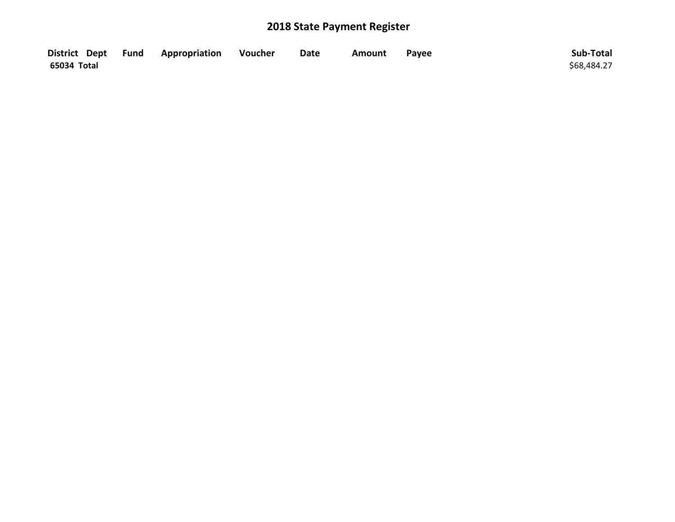|             | District Dept Fund Appropriation | Voucher | <b>Date</b> | Amount | Payee | Sub-Total   |
|-------------|----------------------------------|---------|-------------|--------|-------|-------------|
| 65034 Total |                                  |         |             |        |       | \$68,484.27 |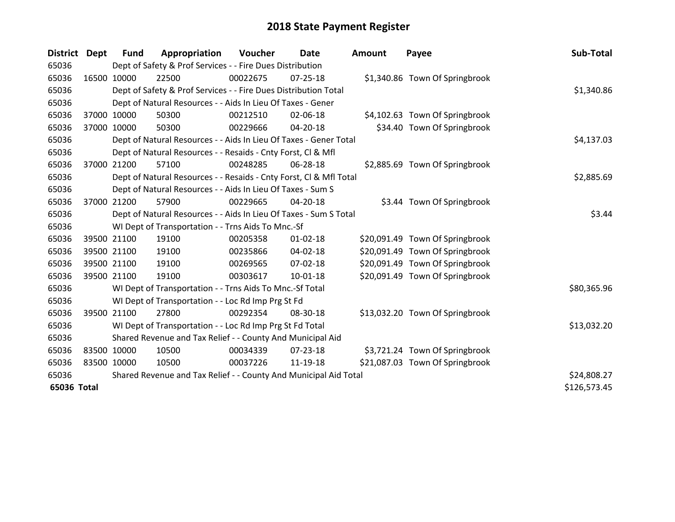| District Dept |              | <b>Fund</b> | Appropriation                                                      | Voucher  | <b>Date</b>    | <b>Amount</b> | Payee                           | Sub-Total   |
|---------------|--------------|-------------|--------------------------------------------------------------------|----------|----------------|---------------|---------------------------------|-------------|
| 65036         |              |             | Dept of Safety & Prof Services - - Fire Dues Distribution          |          |                |               |                                 |             |
| 65036         |              | 16500 10000 | 22500                                                              | 00022675 | $07 - 25 - 18$ |               | \$1,340.86 Town Of Springbrook  |             |
| 65036         |              |             | Dept of Safety & Prof Services - - Fire Dues Distribution Total    |          |                |               |                                 | \$1,340.86  |
| 65036         |              |             | Dept of Natural Resources - - Aids In Lieu Of Taxes - Gener        |          |                |               |                                 |             |
| 65036         |              | 37000 10000 | 50300                                                              | 00212510 | 02-06-18       |               | \$4,102.63 Town Of Springbrook  |             |
| 65036         |              | 37000 10000 | 50300                                                              | 00229666 | 04-20-18       |               | \$34.40 Town Of Springbrook     |             |
| 65036         |              |             | Dept of Natural Resources - - Aids In Lieu Of Taxes - Gener Total  |          |                |               |                                 | \$4,137.03  |
| 65036         |              |             | Dept of Natural Resources - - Resaids - Cnty Forst, CI & Mfl       |          |                |               |                                 |             |
| 65036         | 37000        | 21200       | 57100                                                              | 00248285 | 06-28-18       |               | \$2,885.69 Town Of Springbrook  |             |
| 65036         |              |             | Dept of Natural Resources - - Resaids - Cnty Forst, Cl & Mfl Total |          |                |               |                                 | \$2,885.69  |
| 65036         |              |             | Dept of Natural Resources - - Aids In Lieu Of Taxes - Sum S        |          |                |               |                                 |             |
| 65036         |              | 37000 21200 | 57900                                                              | 00229665 | 04-20-18       |               | \$3.44 Town Of Springbrook      |             |
| 65036         |              |             | Dept of Natural Resources - - Aids In Lieu Of Taxes - Sum S Total  |          |                |               |                                 | \$3.44      |
| 65036         |              |             | WI Dept of Transportation - - Trns Aids To Mnc.-Sf                 |          |                |               |                                 |             |
| 65036         |              | 39500 21100 | 19100                                                              | 00205358 | $01 - 02 - 18$ |               | \$20,091.49 Town Of Springbrook |             |
| 65036         |              | 39500 21100 | 19100                                                              | 00235866 | 04-02-18       |               | \$20,091.49 Town Of Springbrook |             |
| 65036         |              | 39500 21100 | 19100                                                              | 00269565 | $07 - 02 - 18$ |               | \$20,091.49 Town Of Springbrook |             |
| 65036         |              | 39500 21100 | 19100                                                              | 00303617 | 10-01-18       |               | \$20,091.49 Town Of Springbrook |             |
| 65036         |              |             | WI Dept of Transportation - - Trns Aids To Mnc.-Sf Total           |          |                |               |                                 | \$80,365.96 |
| 65036         |              |             | WI Dept of Transportation - - Loc Rd Imp Prg St Fd                 |          |                |               |                                 |             |
| 65036         |              | 39500 21100 | 27800                                                              | 00292354 | 08-30-18       |               | \$13,032.20 Town Of Springbrook |             |
| 65036         |              |             | WI Dept of Transportation - - Loc Rd Imp Prg St Fd Total           |          |                |               |                                 | \$13,032.20 |
| 65036         |              |             | Shared Revenue and Tax Relief - - County And Municipal Aid         |          |                |               |                                 |             |
| 65036         |              | 83500 10000 | 10500                                                              | 00034339 | 07-23-18       |               | \$3,721.24 Town Of Springbrook  |             |
| 65036         | 83500 10000  |             | 10500                                                              | 00037226 | 11-19-18       |               | \$21,087.03 Town Of Springbrook |             |
| 65036         |              |             | Shared Revenue and Tax Relief - - County And Municipal Aid Total   |          |                |               |                                 | \$24,808.27 |
| 65036 Total   | \$126,573.45 |             |                                                                    |          |                |               |                                 |             |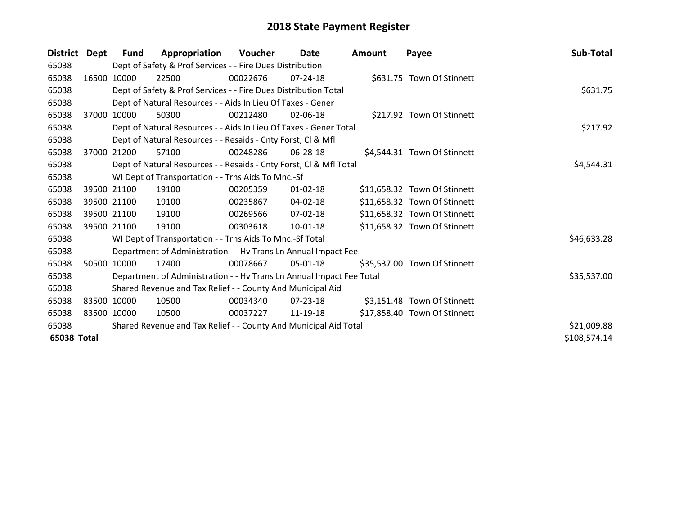| District Dept |             | <b>Fund</b> | Appropriation                                                        | Voucher  | Date           | <b>Amount</b> | Payee                        | Sub-Total    |  |  |  |
|---------------|-------------|-------------|----------------------------------------------------------------------|----------|----------------|---------------|------------------------------|--------------|--|--|--|
| 65038         |             |             | Dept of Safety & Prof Services - - Fire Dues Distribution            |          |                |               |                              |              |  |  |  |
| 65038         |             | 16500 10000 | 22500                                                                | 00022676 | $07 - 24 - 18$ |               | \$631.75 Town Of Stinnett    |              |  |  |  |
| 65038         |             |             | Dept of Safety & Prof Services - - Fire Dues Distribution Total      |          |                |               |                              | \$631.75     |  |  |  |
| 65038         |             |             | Dept of Natural Resources - - Aids In Lieu Of Taxes - Gener          |          |                |               |                              |              |  |  |  |
| 65038         | 37000       | 10000       | 50300                                                                | 00212480 | $02 - 06 - 18$ |               | \$217.92 Town Of Stinnett    |              |  |  |  |
| 65038         |             |             | Dept of Natural Resources - - Aids In Lieu Of Taxes - Gener Total    |          |                |               |                              | \$217.92     |  |  |  |
| 65038         |             |             | Dept of Natural Resources - - Resaids - Cnty Forst, CI & Mfl         |          |                |               |                              |              |  |  |  |
| 65038         | 37000       | 21200       | 57100                                                                | 00248286 | 06-28-18       |               | \$4,544.31 Town Of Stinnett  |              |  |  |  |
| 65038         |             |             | Dept of Natural Resources - - Resaids - Cnty Forst, Cl & Mfl Total   |          |                |               |                              | \$4,544.31   |  |  |  |
| 65038         |             |             | WI Dept of Transportation - - Trns Aids To Mnc.-Sf                   |          |                |               |                              |              |  |  |  |
| 65038         |             | 39500 21100 | 19100                                                                | 00205359 | $01 - 02 - 18$ |               | \$11,658.32 Town Of Stinnett |              |  |  |  |
| 65038         |             | 39500 21100 | 19100                                                                | 00235867 | 04-02-18       |               | \$11,658.32 Town Of Stinnett |              |  |  |  |
| 65038         |             | 39500 21100 | 19100                                                                | 00269566 | 07-02-18       |               | \$11,658.32 Town Of Stinnett |              |  |  |  |
| 65038         |             | 39500 21100 | 19100                                                                | 00303618 | $10 - 01 - 18$ |               | \$11,658.32 Town Of Stinnett |              |  |  |  |
| 65038         |             |             | WI Dept of Transportation - - Trns Aids To Mnc.-Sf Total             |          |                |               |                              | \$46,633.28  |  |  |  |
| 65038         |             |             | Department of Administration - - Hv Trans Ln Annual Impact Fee       |          |                |               |                              |              |  |  |  |
| 65038         | 50500       | 10000       | 17400                                                                | 00078667 | 05-01-18       |               | \$35,537.00 Town Of Stinnett |              |  |  |  |
| 65038         |             |             | Department of Administration - - Hv Trans Ln Annual Impact Fee Total |          |                |               |                              | \$35,537.00  |  |  |  |
| 65038         |             |             | Shared Revenue and Tax Relief - - County And Municipal Aid           |          |                |               |                              |              |  |  |  |
| 65038         |             | 83500 10000 | 10500                                                                | 00034340 | 07-23-18       |               | \$3,151.48 Town Of Stinnett  |              |  |  |  |
| 65038         | 83500 10000 |             | 10500                                                                | 00037227 | 11-19-18       |               | \$17,858.40 Town Of Stinnett |              |  |  |  |
| 65038         |             |             | Shared Revenue and Tax Relief - - County And Municipal Aid Total     |          |                |               |                              | \$21,009.88  |  |  |  |
| 65038 Total   |             |             |                                                                      |          |                |               |                              | \$108,574.14 |  |  |  |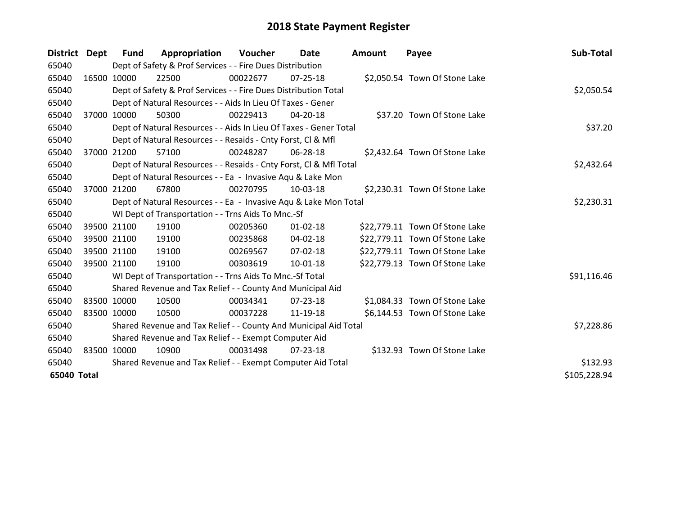| District Dept |             | <b>Fund</b>                                                 | Appropriation                                                      | Voucher  | Date           | <b>Amount</b> | Payee                          | Sub-Total    |  |  |  |
|---------------|-------------|-------------------------------------------------------------|--------------------------------------------------------------------|----------|----------------|---------------|--------------------------------|--------------|--|--|--|
| 65040         |             |                                                             | Dept of Safety & Prof Services - - Fire Dues Distribution          |          |                |               |                                |              |  |  |  |
| 65040         | 16500 10000 |                                                             | 22500                                                              | 00022677 | 07-25-18       |               | \$2,050.54 Town Of Stone Lake  |              |  |  |  |
| 65040         |             |                                                             | Dept of Safety & Prof Services - - Fire Dues Distribution Total    |          |                |               |                                | \$2,050.54   |  |  |  |
| 65040         |             |                                                             | Dept of Natural Resources - - Aids In Lieu Of Taxes - Gener        |          |                |               |                                |              |  |  |  |
| 65040         |             | 37000 10000                                                 | 50300                                                              | 00229413 | $04 - 20 - 18$ |               | \$37.20 Town Of Stone Lake     |              |  |  |  |
| 65040         |             |                                                             | Dept of Natural Resources - - Aids In Lieu Of Taxes - Gener Total  |          |                |               |                                | \$37.20      |  |  |  |
| 65040         |             |                                                             | Dept of Natural Resources - - Resaids - Cnty Forst, CI & Mfl       |          |                |               |                                |              |  |  |  |
| 65040         | 37000       | 21200                                                       | 57100                                                              | 00248287 | 06-28-18       |               | \$2,432.64 Town Of Stone Lake  |              |  |  |  |
| 65040         |             |                                                             | Dept of Natural Resources - - Resaids - Cnty Forst, CI & Mfl Total |          |                |               |                                | \$2,432.64   |  |  |  |
| 65040         |             |                                                             | Dept of Natural Resources - - Ea - Invasive Agu & Lake Mon         |          |                |               |                                |              |  |  |  |
| 65040         |             | 37000 21200                                                 | 67800                                                              | 00270795 | 10-03-18       |               | \$2,230.31 Town Of Stone Lake  |              |  |  |  |
| 65040         |             |                                                             | Dept of Natural Resources - - Ea - Invasive Aqu & Lake Mon Total   |          |                |               |                                | \$2,230.31   |  |  |  |
| 65040         |             |                                                             | WI Dept of Transportation - - Trns Aids To Mnc.-Sf                 |          |                |               |                                |              |  |  |  |
| 65040         |             | 39500 21100                                                 | 19100                                                              | 00205360 | $01 - 02 - 18$ |               | \$22,779.11 Town Of Stone Lake |              |  |  |  |
| 65040         |             | 39500 21100                                                 | 19100                                                              | 00235868 | 04-02-18       |               | \$22,779.11 Town Of Stone Lake |              |  |  |  |
| 65040         |             | 39500 21100                                                 | 19100                                                              | 00269567 | $07 - 02 - 18$ |               | \$22,779.11 Town Of Stone Lake |              |  |  |  |
| 65040         |             | 39500 21100                                                 | 19100                                                              | 00303619 | $10 - 01 - 18$ |               | \$22,779.13 Town Of Stone Lake |              |  |  |  |
| 65040         |             |                                                             | WI Dept of Transportation - - Trns Aids To Mnc.-Sf Total           |          |                |               |                                | \$91,116.46  |  |  |  |
| 65040         |             |                                                             | Shared Revenue and Tax Relief - - County And Municipal Aid         |          |                |               |                                |              |  |  |  |
| 65040         |             | 83500 10000                                                 | 10500                                                              | 00034341 | $07 - 23 - 18$ |               | \$1,084.33 Town Of Stone Lake  |              |  |  |  |
| 65040         |             | 83500 10000                                                 | 10500                                                              | 00037228 | 11-19-18       |               | \$6,144.53 Town Of Stone Lake  |              |  |  |  |
| 65040         |             |                                                             | Shared Revenue and Tax Relief - - County And Municipal Aid Total   |          |                |               |                                | \$7,228.86   |  |  |  |
| 65040         |             |                                                             | Shared Revenue and Tax Relief - - Exempt Computer Aid              |          |                |               |                                |              |  |  |  |
| 65040         |             | 83500 10000                                                 | 10900                                                              | 00031498 | 07-23-18       |               | \$132.93 Town Of Stone Lake    |              |  |  |  |
| 65040         |             | Shared Revenue and Tax Relief - - Exempt Computer Aid Total | \$132.93                                                           |          |                |               |                                |              |  |  |  |
| 65040 Total   |             |                                                             |                                                                    |          |                |               |                                | \$105,228.94 |  |  |  |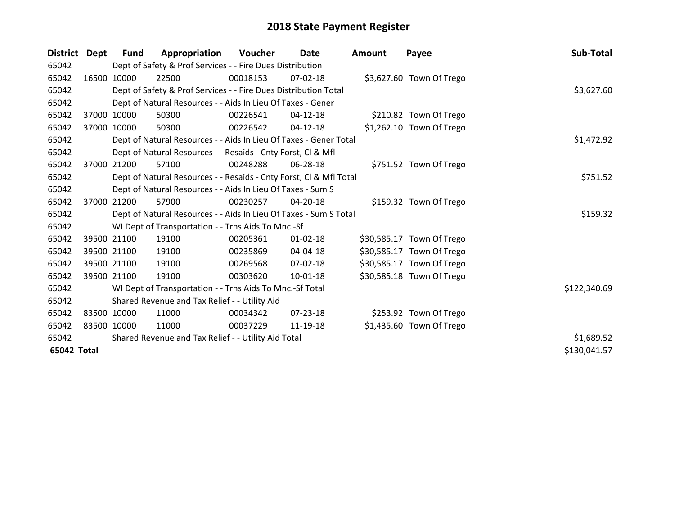| <b>District</b> | Dept        | <b>Fund</b> | Appropriation                                                      | Voucher  | Date           | <b>Amount</b> | Payee                     | Sub-Total    |
|-----------------|-------------|-------------|--------------------------------------------------------------------|----------|----------------|---------------|---------------------------|--------------|
| 65042           |             |             | Dept of Safety & Prof Services - - Fire Dues Distribution          |          |                |               |                           |              |
| 65042           |             | 16500 10000 | 22500                                                              | 00018153 | 07-02-18       |               | \$3,627.60 Town Of Trego  |              |
| 65042           |             |             | Dept of Safety & Prof Services - - Fire Dues Distribution Total    |          |                |               |                           | \$3,627.60   |
| 65042           |             |             | Dept of Natural Resources - - Aids In Lieu Of Taxes - Gener        |          |                |               |                           |              |
| 65042           | 37000       | 10000       | 50300                                                              | 00226541 | $04 - 12 - 18$ |               | \$210.82 Town Of Trego    |              |
| 65042           |             | 37000 10000 | 50300                                                              | 00226542 | $04-12-18$     |               | \$1,262.10 Town Of Trego  |              |
| 65042           |             |             | Dept of Natural Resources - - Aids In Lieu Of Taxes - Gener Total  |          |                |               |                           | \$1,472.92   |
| 65042           |             |             | Dept of Natural Resources - - Resaids - Cnty Forst, Cl & Mfl       |          |                |               |                           |              |
| 65042           | 37000       | 21200       | 57100                                                              | 00248288 | 06-28-18       |               | \$751.52 Town Of Trego    |              |
| 65042           |             |             | Dept of Natural Resources - - Resaids - Cnty Forst, Cl & Mfl Total |          |                |               |                           | \$751.52     |
| 65042           |             |             | Dept of Natural Resources - - Aids In Lieu Of Taxes - Sum S        |          |                |               |                           |              |
| 65042           |             | 37000 21200 | 57900                                                              | 00230257 | 04-20-18       |               | \$159.32 Town Of Trego    |              |
| 65042           |             |             | Dept of Natural Resources - - Aids In Lieu Of Taxes - Sum S Total  |          |                |               |                           | \$159.32     |
| 65042           |             |             | WI Dept of Transportation - - Trns Aids To Mnc.-Sf                 |          |                |               |                           |              |
| 65042           |             | 39500 21100 | 19100                                                              | 00205361 | $01 - 02 - 18$ |               | \$30,585.17 Town Of Trego |              |
| 65042           |             | 39500 21100 | 19100                                                              | 00235869 | 04-04-18       |               | \$30,585.17 Town Of Trego |              |
| 65042           |             | 39500 21100 | 19100                                                              | 00269568 | 07-02-18       |               | \$30,585.17 Town Of Trego |              |
| 65042           |             | 39500 21100 | 19100                                                              | 00303620 | 10-01-18       |               | \$30,585.18 Town Of Trego |              |
| 65042           |             |             | WI Dept of Transportation - - Trns Aids To Mnc.-Sf Total           |          |                |               |                           | \$122,340.69 |
| 65042           |             |             | Shared Revenue and Tax Relief - - Utility Aid                      |          |                |               |                           |              |
| 65042           |             | 83500 10000 | 11000                                                              | 00034342 | $07 - 23 - 18$ |               | \$253.92 Town Of Trego    |              |
| 65042           | 83500 10000 |             | 11000                                                              | 00037229 | 11-19-18       |               | \$1,435.60 Town Of Trego  |              |
| 65042           |             |             | Shared Revenue and Tax Relief - - Utility Aid Total                |          |                |               |                           | \$1,689.52   |
| 65042 Total     |             |             |                                                                    |          |                |               |                           | \$130,041.57 |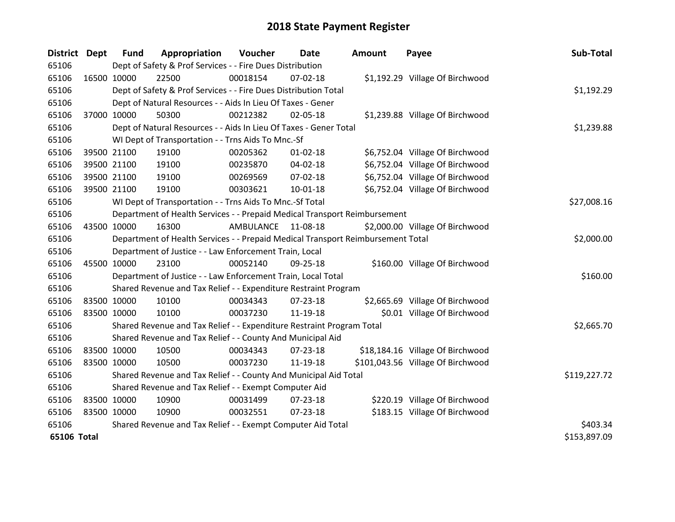| <b>District</b> | Dept        | <b>Fund</b>                                                 | Appropriation                                                                   | Voucher   | Date           | <b>Amount</b> | Payee                             | Sub-Total    |
|-----------------|-------------|-------------------------------------------------------------|---------------------------------------------------------------------------------|-----------|----------------|---------------|-----------------------------------|--------------|
| 65106           |             |                                                             | Dept of Safety & Prof Services - - Fire Dues Distribution                       |           |                |               |                                   |              |
| 65106           | 16500 10000 |                                                             | 22500                                                                           | 00018154  | $07 - 02 - 18$ |               | \$1,192.29 Village Of Birchwood   |              |
| 65106           |             |                                                             | Dept of Safety & Prof Services - - Fire Dues Distribution Total                 |           |                |               |                                   | \$1,192.29   |
| 65106           |             |                                                             | Dept of Natural Resources - - Aids In Lieu Of Taxes - Gener                     |           |                |               |                                   |              |
| 65106           | 37000 10000 |                                                             | 50300                                                                           | 00212382  | 02-05-18       |               | \$1,239.88 Village Of Birchwood   |              |
| 65106           |             |                                                             | Dept of Natural Resources - - Aids In Lieu Of Taxes - Gener Total               |           | \$1,239.88     |               |                                   |              |
| 65106           |             |                                                             | WI Dept of Transportation - - Trns Aids To Mnc.-Sf                              |           |                |               |                                   |              |
| 65106           |             | 39500 21100                                                 | 19100                                                                           | 00205362  | 01-02-18       |               | \$6,752.04 Village Of Birchwood   |              |
| 65106           |             | 39500 21100                                                 | 19100                                                                           | 00235870  | 04-02-18       |               | \$6,752.04 Village Of Birchwood   |              |
| 65106           |             | 39500 21100                                                 | 19100                                                                           | 00269569  | $07 - 02 - 18$ |               | \$6,752.04 Village Of Birchwood   |              |
| 65106           | 39500 21100 |                                                             | 19100                                                                           | 00303621  | $10 - 01 - 18$ |               | \$6,752.04 Village Of Birchwood   |              |
| 65106           |             |                                                             | WI Dept of Transportation - - Trns Aids To Mnc.-Sf Total                        |           |                |               |                                   | \$27,008.16  |
| 65106           |             |                                                             | Department of Health Services - - Prepaid Medical Transport Reimbursement       |           |                |               |                                   |              |
| 65106           | 43500 10000 |                                                             | 16300                                                                           | AMBULANCE | 11-08-18       |               | \$2,000.00 Village Of Birchwood   |              |
| 65106           |             |                                                             | Department of Health Services - - Prepaid Medical Transport Reimbursement Total |           |                |               |                                   | \$2,000.00   |
| 65106           |             |                                                             | Department of Justice - - Law Enforcement Train, Local                          |           |                |               |                                   |              |
| 65106           | 45500 10000 |                                                             | 23100                                                                           | 00052140  | 09-25-18       |               | \$160.00 Village Of Birchwood     |              |
| 65106           |             |                                                             | Department of Justice - - Law Enforcement Train, Local Total                    |           |                |               |                                   | \$160.00     |
| 65106           |             |                                                             | Shared Revenue and Tax Relief - - Expenditure Restraint Program                 |           |                |               |                                   |              |
| 65106           | 83500 10000 |                                                             | 10100                                                                           | 00034343  | 07-23-18       |               | \$2,665.69 Village Of Birchwood   |              |
| 65106           | 83500 10000 |                                                             | 10100                                                                           | 00037230  | 11-19-18       |               | \$0.01 Village Of Birchwood       |              |
| 65106           |             |                                                             | Shared Revenue and Tax Relief - - Expenditure Restraint Program Total           |           |                |               |                                   | \$2,665.70   |
| 65106           |             |                                                             | Shared Revenue and Tax Relief - - County And Municipal Aid                      |           |                |               |                                   |              |
| 65106           | 83500 10000 |                                                             | 10500                                                                           | 00034343  | $07 - 23 - 18$ |               | \$18,184.16 Village Of Birchwood  |              |
| 65106           | 83500 10000 |                                                             | 10500                                                                           | 00037230  | 11-19-18       |               | \$101,043.56 Village Of Birchwood |              |
| 65106           |             |                                                             | Shared Revenue and Tax Relief - - County And Municipal Aid Total                |           |                |               |                                   | \$119,227.72 |
| 65106           |             |                                                             | Shared Revenue and Tax Relief - - Exempt Computer Aid                           |           |                |               |                                   |              |
| 65106           | 83500 10000 |                                                             | 10900                                                                           | 00031499  | 07-23-18       |               | \$220.19 Village Of Birchwood     |              |
| 65106           | 83500 10000 |                                                             | 10900                                                                           | 00032551  | $07 - 23 - 18$ |               | \$183.15 Village Of Birchwood     |              |
| 65106           |             | Shared Revenue and Tax Relief - - Exempt Computer Aid Total | \$403.34                                                                        |           |                |               |                                   |              |
| 65106 Total     |             |                                                             |                                                                                 |           |                |               |                                   | \$153,897.09 |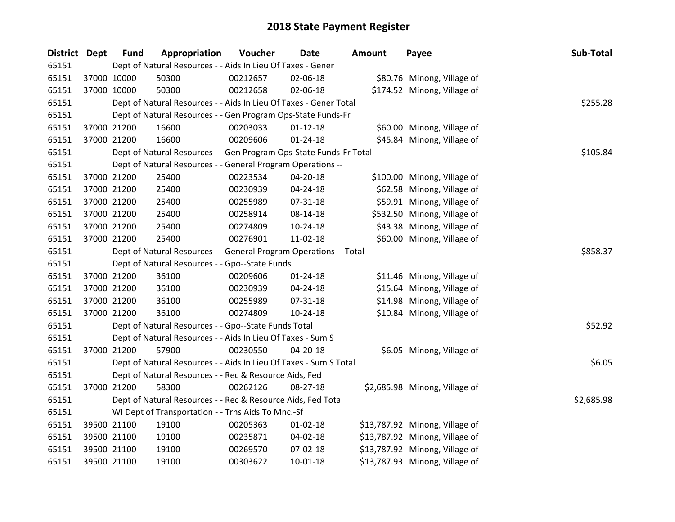| District Dept |             | <b>Fund</b> | Appropriation                                                      | Voucher  | <b>Date</b>    | <b>Amount</b> | Payee                          | Sub-Total  |
|---------------|-------------|-------------|--------------------------------------------------------------------|----------|----------------|---------------|--------------------------------|------------|
| 65151         |             |             | Dept of Natural Resources - - Aids In Lieu Of Taxes - Gener        |          |                |               |                                |            |
| 65151         | 37000 10000 |             | 50300                                                              | 00212657 | 02-06-18       |               | \$80.76 Minong, Village of     |            |
| 65151         | 37000 10000 |             | 50300                                                              | 00212658 | 02-06-18       |               | \$174.52 Minong, Village of    |            |
| 65151         |             |             | Dept of Natural Resources - - Aids In Lieu Of Taxes - Gener Total  |          |                |               |                                | \$255.28   |
| 65151         |             |             | Dept of Natural Resources - - Gen Program Ops-State Funds-Fr       |          |                |               |                                |            |
| 65151         | 37000 21200 |             | 16600                                                              | 00203033 | $01 - 12 - 18$ |               | \$60.00 Minong, Village of     |            |
| 65151         |             | 37000 21200 | 16600                                                              | 00209606 | 01-24-18       |               | \$45.84 Minong, Village of     |            |
| 65151         |             |             | Dept of Natural Resources - - Gen Program Ops-State Funds-Fr Total |          |                |               |                                | \$105.84   |
| 65151         |             |             | Dept of Natural Resources - - General Program Operations --        |          |                |               |                                |            |
| 65151         | 37000 21200 |             | 25400                                                              | 00223534 | 04-20-18       |               | \$100.00 Minong, Village of    |            |
| 65151         |             | 37000 21200 | 25400                                                              | 00230939 | 04-24-18       |               | \$62.58 Minong, Village of     |            |
| 65151         |             | 37000 21200 | 25400                                                              | 00255989 | 07-31-18       |               | \$59.91 Minong, Village of     |            |
| 65151         |             | 37000 21200 | 25400                                                              | 00258914 | 08-14-18       |               | \$532.50 Minong, Village of    |            |
| 65151         | 37000 21200 |             | 25400                                                              | 00274809 | 10-24-18       |               | \$43.38 Minong, Village of     |            |
| 65151         |             | 37000 21200 | 25400                                                              | 00276901 | 11-02-18       |               | \$60.00 Minong, Village of     |            |
| 65151         |             |             | Dept of Natural Resources - - General Program Operations -- Total  |          |                |               |                                | \$858.37   |
| 65151         |             |             | Dept of Natural Resources - - Gpo--State Funds                     |          |                |               |                                |            |
| 65151         | 37000 21200 |             | 36100                                                              | 00209606 | $01 - 24 - 18$ |               | \$11.46 Minong, Village of     |            |
| 65151         |             | 37000 21200 | 36100                                                              | 00230939 | 04-24-18       |               | \$15.64 Minong, Village of     |            |
| 65151         |             | 37000 21200 | 36100                                                              | 00255989 | 07-31-18       |               | \$14.98 Minong, Village of     |            |
| 65151         |             | 37000 21200 | 36100                                                              | 00274809 | $10-24-18$     |               | \$10.84 Minong, Village of     |            |
| 65151         |             |             | Dept of Natural Resources - - Gpo--State Funds Total               |          |                |               |                                | \$52.92    |
| 65151         |             |             | Dept of Natural Resources - - Aids In Lieu Of Taxes - Sum S        |          |                |               |                                |            |
| 65151         |             | 37000 21200 | 57900                                                              | 00230550 | 04-20-18       |               | \$6.05 Minong, Village of      |            |
| 65151         |             |             | Dept of Natural Resources - - Aids In Lieu Of Taxes - Sum S Total  |          |                |               |                                | \$6.05     |
| 65151         |             |             | Dept of Natural Resources - - Rec & Resource Aids, Fed             |          |                |               |                                |            |
| 65151         |             | 37000 21200 | 58300                                                              | 00262126 | 08-27-18       |               | \$2,685.98 Minong, Village of  |            |
| 65151         |             |             | Dept of Natural Resources - - Rec & Resource Aids, Fed Total       |          |                |               |                                | \$2,685.98 |
| 65151         |             |             | WI Dept of Transportation - - Trns Aids To Mnc.-Sf                 |          |                |               |                                |            |
| 65151         |             | 39500 21100 | 19100                                                              | 00205363 | 01-02-18       |               | \$13,787.92 Minong, Village of |            |
| 65151         |             | 39500 21100 | 19100                                                              | 00235871 | 04-02-18       |               | \$13,787.92 Minong, Village of |            |
| 65151         |             | 39500 21100 | 19100                                                              | 00269570 | 07-02-18       |               | \$13,787.92 Minong, Village of |            |
| 65151         | 39500 21100 |             | 19100                                                              | 00303622 | 10-01-18       |               | \$13,787.93 Minong, Village of |            |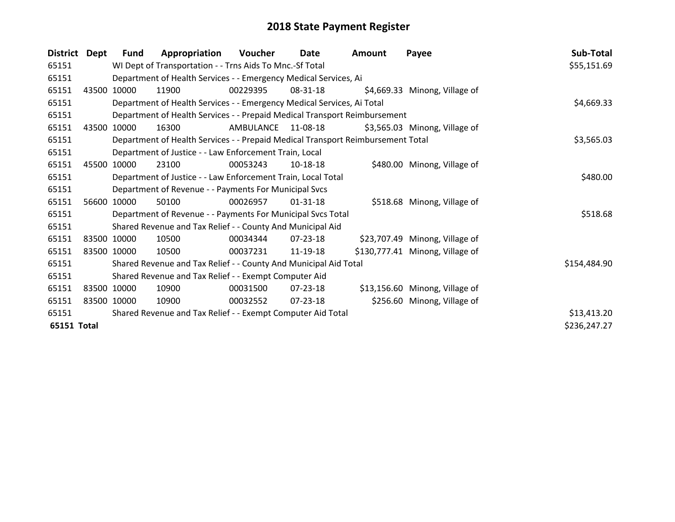| <b>District</b>    | Dept  | Fund        | Appropriation                                                                   | Voucher   | Date           | <b>Amount</b> | Payee                           | Sub-Total    |  |  |  |
|--------------------|-------|-------------|---------------------------------------------------------------------------------|-----------|----------------|---------------|---------------------------------|--------------|--|--|--|
| 65151              |       |             | WI Dept of Transportation - - Trns Aids To Mnc.-Sf Total                        |           |                |               |                                 | \$55,151.69  |  |  |  |
| 65151              |       |             | Department of Health Services - - Emergency Medical Services, Ai                |           |                |               |                                 |              |  |  |  |
| 65151              | 43500 | 10000       | 11900                                                                           | 00229395  | 08-31-18       |               | \$4,669.33 Minong, Village of   |              |  |  |  |
| 65151              |       |             | Department of Health Services - - Emergency Medical Services, Ai Total          |           |                |               |                                 | \$4,669.33   |  |  |  |
| 65151              |       |             | Department of Health Services - - Prepaid Medical Transport Reimbursement       |           |                |               |                                 |              |  |  |  |
| 65151              | 43500 | 10000       | 16300                                                                           | AMBULANCE | 11-08-18       |               | \$3,565.03 Minong, Village of   |              |  |  |  |
| 65151              |       |             | Department of Health Services - - Prepaid Medical Transport Reimbursement Total |           |                |               |                                 | \$3,565.03   |  |  |  |
| 65151              |       |             | Department of Justice - - Law Enforcement Train, Local                          |           |                |               |                                 |              |  |  |  |
| 65151              | 45500 | 10000       | 23100                                                                           | 00053243  | $10-18-18$     |               | \$480.00 Minong, Village of     |              |  |  |  |
| 65151              |       |             | Department of Justice - - Law Enforcement Train, Local Total                    |           |                |               |                                 | \$480.00     |  |  |  |
| 65151              |       |             | Department of Revenue - - Payments For Municipal Svcs                           |           |                |               |                                 |              |  |  |  |
| 65151              |       | 56600 10000 | 50100                                                                           | 00026957  | $01 - 31 - 18$ |               | \$518.68 Minong, Village of     |              |  |  |  |
| 65151              |       |             | Department of Revenue - - Payments For Municipal Svcs Total                     |           |                |               |                                 | \$518.68     |  |  |  |
| 65151              |       |             | Shared Revenue and Tax Relief - - County And Municipal Aid                      |           |                |               |                                 |              |  |  |  |
| 65151              |       | 83500 10000 | 10500                                                                           | 00034344  | $07 - 23 - 18$ |               | \$23,707.49 Minong, Village of  |              |  |  |  |
| 65151              |       | 83500 10000 | 10500                                                                           | 00037231  | 11-19-18       |               | \$130,777.41 Minong, Village of |              |  |  |  |
| 65151              |       |             | Shared Revenue and Tax Relief - - County And Municipal Aid Total                |           |                |               |                                 | \$154,484.90 |  |  |  |
| 65151              |       |             | Shared Revenue and Tax Relief - - Exempt Computer Aid                           |           |                |               |                                 |              |  |  |  |
| 65151              |       | 83500 10000 | 10900                                                                           | 00031500  | $07 - 23 - 18$ |               | \$13,156.60 Minong, Village of  |              |  |  |  |
| 65151              |       | 83500 10000 | 10900                                                                           | 00032552  | 07-23-18       |               | \$256.60 Minong, Village of     |              |  |  |  |
| 65151              |       |             | Shared Revenue and Tax Relief - - Exempt Computer Aid Total                     |           |                |               |                                 | \$13,413.20  |  |  |  |
| <b>65151 Total</b> |       |             |                                                                                 |           |                |               |                                 | \$236,247.27 |  |  |  |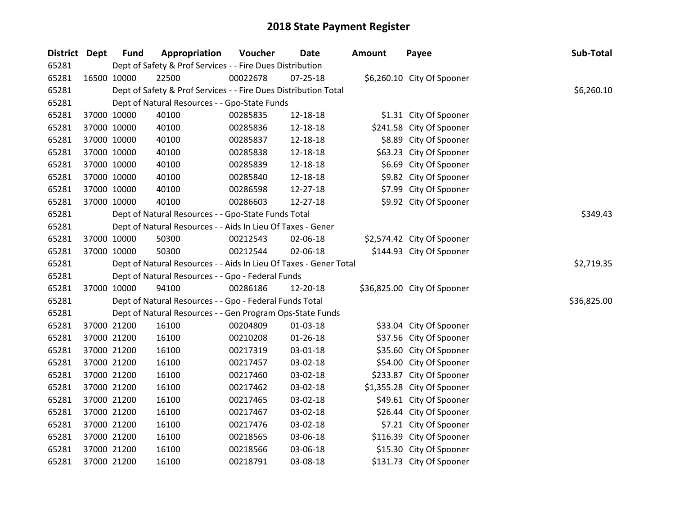| District Dept | <b>Fund</b> | Appropriation                                                     | Voucher  | <b>Date</b>    | Amount | Payee                       | Sub-Total   |
|---------------|-------------|-------------------------------------------------------------------|----------|----------------|--------|-----------------------------|-------------|
| 65281         |             | Dept of Safety & Prof Services - - Fire Dues Distribution         |          |                |        |                             |             |
| 65281         | 16500 10000 | 22500                                                             | 00022678 | $07 - 25 - 18$ |        | \$6,260.10 City Of Spooner  |             |
| 65281         |             | Dept of Safety & Prof Services - - Fire Dues Distribution Total   |          |                |        |                             | \$6,260.10  |
| 65281         |             | Dept of Natural Resources - - Gpo-State Funds                     |          |                |        |                             |             |
| 65281         | 37000 10000 | 40100                                                             | 00285835 | 12-18-18       |        | \$1.31 City Of Spooner      |             |
| 65281         | 37000 10000 | 40100                                                             | 00285836 | 12-18-18       |        | \$241.58 City Of Spooner    |             |
| 65281         | 37000 10000 | 40100                                                             | 00285837 | 12-18-18       |        | \$8.89 City Of Spooner      |             |
| 65281         | 37000 10000 | 40100                                                             | 00285838 | 12-18-18       |        | \$63.23 City Of Spooner     |             |
| 65281         | 37000 10000 | 40100                                                             | 00285839 | 12-18-18       |        | \$6.69 City Of Spooner      |             |
| 65281         | 37000 10000 | 40100                                                             | 00285840 | 12-18-18       |        | \$9.82 City Of Spooner      |             |
| 65281         | 37000 10000 | 40100                                                             | 00286598 | 12-27-18       |        | \$7.99 City Of Spooner      |             |
| 65281         | 37000 10000 | 40100                                                             | 00286603 | 12-27-18       |        | \$9.92 City Of Spooner      |             |
| 65281         |             | Dept of Natural Resources - - Gpo-State Funds Total               |          |                |        |                             | \$349.43    |
| 65281         |             | Dept of Natural Resources - - Aids In Lieu Of Taxes - Gener       |          |                |        |                             |             |
| 65281         | 37000 10000 | 50300                                                             | 00212543 | 02-06-18       |        | \$2,574.42 City Of Spooner  |             |
| 65281         | 37000 10000 | 50300                                                             | 00212544 | 02-06-18       |        | \$144.93 City Of Spooner    |             |
| 65281         |             | Dept of Natural Resources - - Aids In Lieu Of Taxes - Gener Total |          |                |        |                             | \$2,719.35  |
| 65281         |             | Dept of Natural Resources - - Gpo - Federal Funds                 |          |                |        |                             |             |
| 65281         | 37000 10000 | 94100                                                             | 00286186 | 12-20-18       |        | \$36,825.00 City Of Spooner |             |
| 65281         |             | Dept of Natural Resources - - Gpo - Federal Funds Total           |          |                |        |                             | \$36,825.00 |
| 65281         |             | Dept of Natural Resources - - Gen Program Ops-State Funds         |          |                |        |                             |             |
| 65281         | 37000 21200 | 16100                                                             | 00204809 | 01-03-18       |        | \$33.04 City Of Spooner     |             |
| 65281         | 37000 21200 | 16100                                                             | 00210208 | $01-26-18$     |        | \$37.56 City Of Spooner     |             |
| 65281         | 37000 21200 | 16100                                                             | 00217319 | 03-01-18       |        | \$35.60 City Of Spooner     |             |
| 65281         | 37000 21200 | 16100                                                             | 00217457 | 03-02-18       |        | \$54.00 City Of Spooner     |             |
| 65281         | 37000 21200 | 16100                                                             | 00217460 | 03-02-18       |        | \$233.87 City Of Spooner    |             |
| 65281         | 37000 21200 | 16100                                                             | 00217462 | 03-02-18       |        | \$1,355.28 City Of Spooner  |             |
| 65281         | 37000 21200 | 16100                                                             | 00217465 | 03-02-18       |        | \$49.61 City Of Spooner     |             |
| 65281         | 37000 21200 | 16100                                                             | 00217467 | 03-02-18       |        | \$26.44 City Of Spooner     |             |
| 65281         | 37000 21200 | 16100                                                             | 00217476 | 03-02-18       |        | \$7.21 City Of Spooner      |             |
| 65281         | 37000 21200 | 16100                                                             | 00218565 | 03-06-18       |        | \$116.39 City Of Spooner    |             |
| 65281         | 37000 21200 | 16100                                                             | 00218566 | 03-06-18       |        | \$15.30 City Of Spooner     |             |
| 65281         | 37000 21200 | 16100                                                             | 00218791 | 03-08-18       |        | \$131.73 City Of Spooner    |             |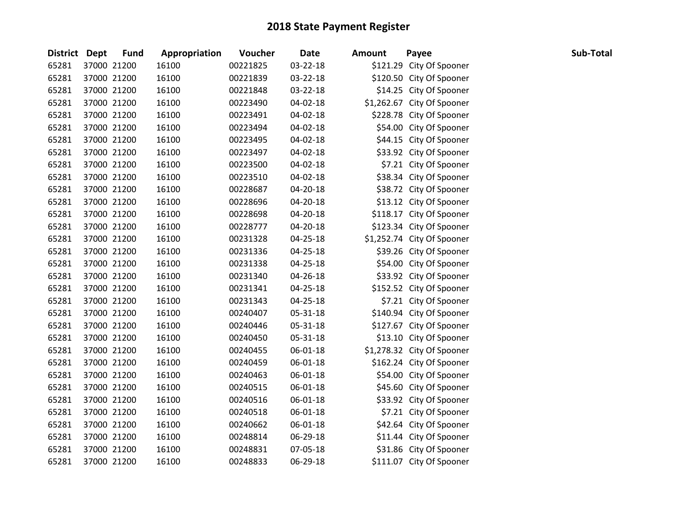| <b>District Dept</b> | <b>Fund</b> | Appropriation | Voucher  | <b>Date</b>    | <b>Amount</b> | Payee                      | Sub-Total |
|----------------------|-------------|---------------|----------|----------------|---------------|----------------------------|-----------|
| 65281                | 37000 21200 | 16100         | 00221825 | 03-22-18       |               | \$121.29 City Of Spooner   |           |
| 65281                | 37000 21200 | 16100         | 00221839 | 03-22-18       |               | \$120.50 City Of Spooner   |           |
| 65281                | 37000 21200 | 16100         | 00221848 | 03-22-18       |               | \$14.25 City Of Spooner    |           |
| 65281                | 37000 21200 | 16100         | 00223490 | 04-02-18       |               | \$1,262.67 City Of Spooner |           |
| 65281                | 37000 21200 | 16100         | 00223491 | 04-02-18       |               | \$228.78 City Of Spooner   |           |
| 65281                | 37000 21200 | 16100         | 00223494 | 04-02-18       |               | \$54.00 City Of Spooner    |           |
| 65281                | 37000 21200 | 16100         | 00223495 | 04-02-18       |               | \$44.15 City Of Spooner    |           |
| 65281                | 37000 21200 | 16100         | 00223497 | 04-02-18       |               | \$33.92 City Of Spooner    |           |
| 65281                | 37000 21200 | 16100         | 00223500 | 04-02-18       |               | \$7.21 City Of Spooner     |           |
| 65281                | 37000 21200 | 16100         | 00223510 | 04-02-18       |               | \$38.34 City Of Spooner    |           |
| 65281                | 37000 21200 | 16100         | 00228687 | 04-20-18       |               | \$38.72 City Of Spooner    |           |
| 65281                | 37000 21200 | 16100         | 00228696 | 04-20-18       |               | \$13.12 City Of Spooner    |           |
| 65281                | 37000 21200 | 16100         | 00228698 | 04-20-18       |               | \$118.17 City Of Spooner   |           |
| 65281                | 37000 21200 | 16100         | 00228777 | 04-20-18       |               | \$123.34 City Of Spooner   |           |
| 65281                | 37000 21200 | 16100         | 00231328 | 04-25-18       |               | \$1,252.74 City Of Spooner |           |
| 65281                | 37000 21200 | 16100         | 00231336 | 04-25-18       |               | \$39.26 City Of Spooner    |           |
| 65281                | 37000 21200 | 16100         | 00231338 | $04 - 25 - 18$ |               | \$54.00 City Of Spooner    |           |
| 65281                | 37000 21200 | 16100         | 00231340 | 04-26-18       |               | \$33.92 City Of Spooner    |           |
| 65281                | 37000 21200 | 16100         | 00231341 | 04-25-18       |               | \$152.52 City Of Spooner   |           |
| 65281                | 37000 21200 | 16100         | 00231343 | 04-25-18       |               | \$7.21 City Of Spooner     |           |
| 65281                | 37000 21200 | 16100         | 00240407 | 05-31-18       |               | \$140.94 City Of Spooner   |           |
| 65281                | 37000 21200 | 16100         | 00240446 | 05-31-18       |               | \$127.67 City Of Spooner   |           |
| 65281                | 37000 21200 | 16100         | 00240450 | 05-31-18       |               | \$13.10 City Of Spooner    |           |
| 65281                | 37000 21200 | 16100         | 00240455 | 06-01-18       |               | \$1,278.32 City Of Spooner |           |
| 65281                | 37000 21200 | 16100         | 00240459 | 06-01-18       |               | \$162.24 City Of Spooner   |           |
| 65281                | 37000 21200 | 16100         | 00240463 | 06-01-18       |               | \$54.00 City Of Spooner    |           |
| 65281                | 37000 21200 | 16100         | 00240515 | 06-01-18       |               | \$45.60 City Of Spooner    |           |
| 65281                | 37000 21200 | 16100         | 00240516 | 06-01-18       |               | \$33.92 City Of Spooner    |           |
| 65281                | 37000 21200 | 16100         | 00240518 | 06-01-18       |               | \$7.21 City Of Spooner     |           |
| 65281                | 37000 21200 | 16100         | 00240662 | 06-01-18       |               | \$42.64 City Of Spooner    |           |
| 65281                | 37000 21200 | 16100         | 00248814 | 06-29-18       |               | \$11.44 City Of Spooner    |           |
| 65281                | 37000 21200 | 16100         | 00248831 | 07-05-18       |               | \$31.86 City Of Spooner    |           |
| 65281                | 37000 21200 | 16100         | 00248833 | 06-29-18       |               | \$111.07 City Of Spooner   |           |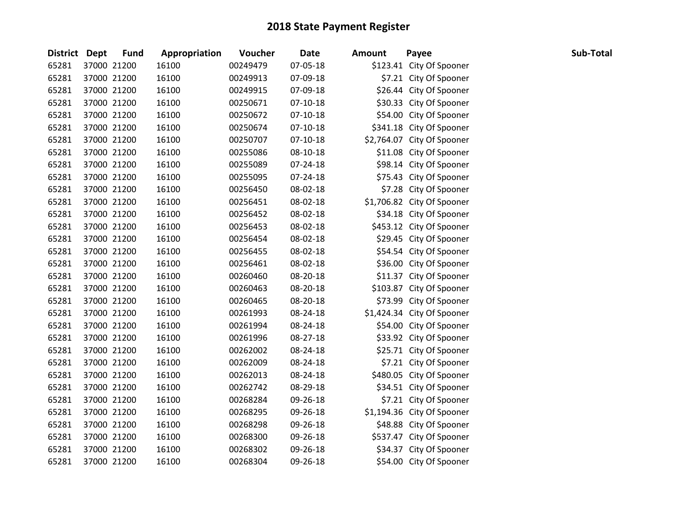| District Dept | <b>Fund</b> | Appropriation | Voucher  | <b>Date</b>    | <b>Amount</b> | Payee                      | Sub-Total |
|---------------|-------------|---------------|----------|----------------|---------------|----------------------------|-----------|
| 65281         | 37000 21200 | 16100         | 00249479 | 07-05-18       |               | \$123.41 City Of Spooner   |           |
| 65281         | 37000 21200 | 16100         | 00249913 | 07-09-18       |               | \$7.21 City Of Spooner     |           |
| 65281         | 37000 21200 | 16100         | 00249915 | 07-09-18       |               | \$26.44 City Of Spooner    |           |
| 65281         | 37000 21200 | 16100         | 00250671 | $07-10-18$     |               | \$30.33 City Of Spooner    |           |
| 65281         | 37000 21200 | 16100         | 00250672 | $07-10-18$     |               | \$54.00 City Of Spooner    |           |
| 65281         | 37000 21200 | 16100         | 00250674 | $07-10-18$     |               | \$341.18 City Of Spooner   |           |
| 65281         | 37000 21200 | 16100         | 00250707 | $07 - 10 - 18$ |               | \$2,764.07 City Of Spooner |           |
| 65281         | 37000 21200 | 16100         | 00255086 | 08-10-18       |               | \$11.08 City Of Spooner    |           |
| 65281         | 37000 21200 | 16100         | 00255089 | 07-24-18       |               | \$98.14 City Of Spooner    |           |
| 65281         | 37000 21200 | 16100         | 00255095 | 07-24-18       |               | \$75.43 City Of Spooner    |           |
| 65281         | 37000 21200 | 16100         | 00256450 | 08-02-18       |               | \$7.28 City Of Spooner     |           |
| 65281         | 37000 21200 | 16100         | 00256451 | 08-02-18       |               | \$1,706.82 City Of Spooner |           |
| 65281         | 37000 21200 | 16100         | 00256452 | 08-02-18       |               | \$34.18 City Of Spooner    |           |
| 65281         | 37000 21200 | 16100         | 00256453 | 08-02-18       |               | \$453.12 City Of Spooner   |           |
| 65281         | 37000 21200 | 16100         | 00256454 | 08-02-18       |               | \$29.45 City Of Spooner    |           |
| 65281         | 37000 21200 | 16100         | 00256455 | 08-02-18       |               | \$54.54 City Of Spooner    |           |
| 65281         | 37000 21200 | 16100         | 00256461 | 08-02-18       |               | \$36.00 City Of Spooner    |           |
| 65281         | 37000 21200 | 16100         | 00260460 | 08-20-18       |               | \$11.37 City Of Spooner    |           |
| 65281         | 37000 21200 | 16100         | 00260463 | 08-20-18       |               | \$103.87 City Of Spooner   |           |
| 65281         | 37000 21200 | 16100         | 00260465 | 08-20-18       |               | \$73.99 City Of Spooner    |           |
| 65281         | 37000 21200 | 16100         | 00261993 | 08-24-18       |               | \$1,424.34 City Of Spooner |           |
| 65281         | 37000 21200 | 16100         | 00261994 | 08-24-18       |               | \$54.00 City Of Spooner    |           |
| 65281         | 37000 21200 | 16100         | 00261996 | 08-27-18       |               | \$33.92 City Of Spooner    |           |
| 65281         | 37000 21200 | 16100         | 00262002 | 08-24-18       |               | \$25.71 City Of Spooner    |           |
| 65281         | 37000 21200 | 16100         | 00262009 | 08-24-18       |               | \$7.21 City Of Spooner     |           |
| 65281         | 37000 21200 | 16100         | 00262013 | 08-24-18       |               | \$480.05 City Of Spooner   |           |
| 65281         | 37000 21200 | 16100         | 00262742 | 08-29-18       |               | \$34.51 City Of Spooner    |           |
| 65281         | 37000 21200 | 16100         | 00268284 | 09-26-18       |               | \$7.21 City Of Spooner     |           |
| 65281         | 37000 21200 | 16100         | 00268295 | 09-26-18       |               | \$1,194.36 City Of Spooner |           |
| 65281         | 37000 21200 | 16100         | 00268298 | 09-26-18       |               | \$48.88 City Of Spooner    |           |
| 65281         | 37000 21200 | 16100         | 00268300 | 09-26-18       |               | \$537.47 City Of Spooner   |           |
| 65281         | 37000 21200 | 16100         | 00268302 | 09-26-18       |               | \$34.37 City Of Spooner    |           |
| 65281         | 37000 21200 | 16100         | 00268304 | 09-26-18       |               | \$54.00 City Of Spooner    |           |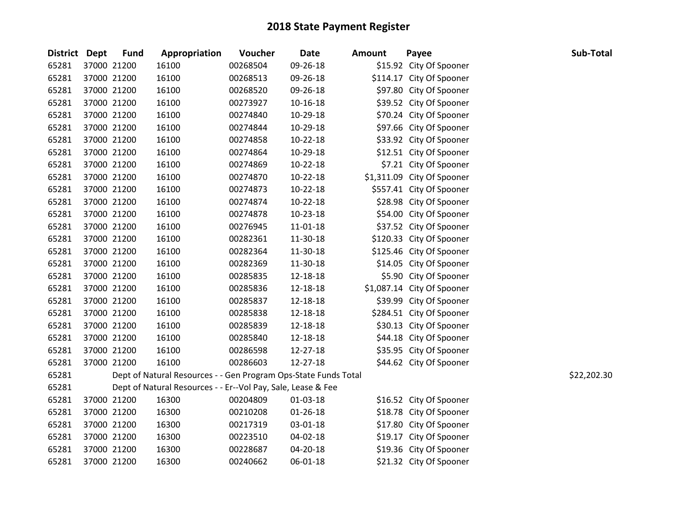| <b>District Dept</b> | <b>Fund</b> | Appropriation                                                   | Voucher  | <b>Date</b>    | <b>Amount</b> | Payee                      | Sub-Total   |
|----------------------|-------------|-----------------------------------------------------------------|----------|----------------|---------------|----------------------------|-------------|
| 65281                | 37000 21200 | 16100                                                           | 00268504 | 09-26-18       |               | \$15.92 City Of Spooner    |             |
| 65281                | 37000 21200 | 16100                                                           | 00268513 | 09-26-18       |               | \$114.17 City Of Spooner   |             |
| 65281                | 37000 21200 | 16100                                                           | 00268520 | 09-26-18       |               | \$97.80 City Of Spooner    |             |
| 65281                | 37000 21200 | 16100                                                           | 00273927 | $10 - 16 - 18$ |               | \$39.52 City Of Spooner    |             |
| 65281                | 37000 21200 | 16100                                                           | 00274840 | 10-29-18       |               | \$70.24 City Of Spooner    |             |
| 65281                | 37000 21200 | 16100                                                           | 00274844 | 10-29-18       |               | \$97.66 City Of Spooner    |             |
| 65281                | 37000 21200 | 16100                                                           | 00274858 | 10-22-18       |               | \$33.92 City Of Spooner    |             |
| 65281                | 37000 21200 | 16100                                                           | 00274864 | 10-29-18       |               | \$12.51 City Of Spooner    |             |
| 65281                | 37000 21200 | 16100                                                           | 00274869 | $10-22-18$     |               | \$7.21 City Of Spooner     |             |
| 65281                | 37000 21200 | 16100                                                           | 00274870 | $10-22-18$     |               | \$1,311.09 City Of Spooner |             |
| 65281                | 37000 21200 | 16100                                                           | 00274873 | $10-22-18$     |               | \$557.41 City Of Spooner   |             |
| 65281                | 37000 21200 | 16100                                                           | 00274874 | $10-22-18$     |               | \$28.98 City Of Spooner    |             |
| 65281                | 37000 21200 | 16100                                                           | 00274878 | $10-23-18$     |               | \$54.00 City Of Spooner    |             |
| 65281                | 37000 21200 | 16100                                                           | 00276945 | $11 - 01 - 18$ |               | \$37.52 City Of Spooner    |             |
| 65281                | 37000 21200 | 16100                                                           | 00282361 | 11-30-18       |               | \$120.33 City Of Spooner   |             |
| 65281                | 37000 21200 | 16100                                                           | 00282364 | 11-30-18       |               | \$125.46 City Of Spooner   |             |
| 65281                | 37000 21200 | 16100                                                           | 00282369 | 11-30-18       |               | \$14.05 City Of Spooner    |             |
| 65281                | 37000 21200 | 16100                                                           | 00285835 | 12-18-18       |               | \$5.90 City Of Spooner     |             |
| 65281                | 37000 21200 | 16100                                                           | 00285836 | 12-18-18       |               | \$1,087.14 City Of Spooner |             |
| 65281                | 37000 21200 | 16100                                                           | 00285837 | 12-18-18       |               | \$39.99 City Of Spooner    |             |
| 65281                | 37000 21200 | 16100                                                           | 00285838 | 12-18-18       |               | \$284.51 City Of Spooner   |             |
| 65281                | 37000 21200 | 16100                                                           | 00285839 | 12-18-18       |               | \$30.13 City Of Spooner    |             |
| 65281                | 37000 21200 | 16100                                                           | 00285840 | 12-18-18       |               | \$44.18 City Of Spooner    |             |
| 65281                | 37000 21200 | 16100                                                           | 00286598 | 12-27-18       |               | \$35.95 City Of Spooner    |             |
| 65281                | 37000 21200 | 16100                                                           | 00286603 | 12-27-18       |               | \$44.62 City Of Spooner    |             |
| 65281                |             | Dept of Natural Resources - - Gen Program Ops-State Funds Total |          |                |               |                            | \$22,202.30 |
| 65281                |             | Dept of Natural Resources - - Er--Vol Pay, Sale, Lease & Fee    |          |                |               |                            |             |
| 65281                | 37000 21200 | 16300                                                           | 00204809 | 01-03-18       |               | \$16.52 City Of Spooner    |             |
| 65281                | 37000 21200 | 16300                                                           | 00210208 | $01 - 26 - 18$ |               | \$18.78 City Of Spooner    |             |
| 65281                | 37000 21200 | 16300                                                           | 00217319 | 03-01-18       |               | \$17.80 City Of Spooner    |             |
| 65281                | 37000 21200 | 16300                                                           | 00223510 | 04-02-18       |               | \$19.17 City Of Spooner    |             |
| 65281                | 37000 21200 | 16300                                                           | 00228687 | 04-20-18       |               | \$19.36 City Of Spooner    |             |
| 65281                | 37000 21200 | 16300                                                           | 00240662 | 06-01-18       |               | \$21.32 City Of Spooner    |             |
|                      |             |                                                                 |          |                |               |                            |             |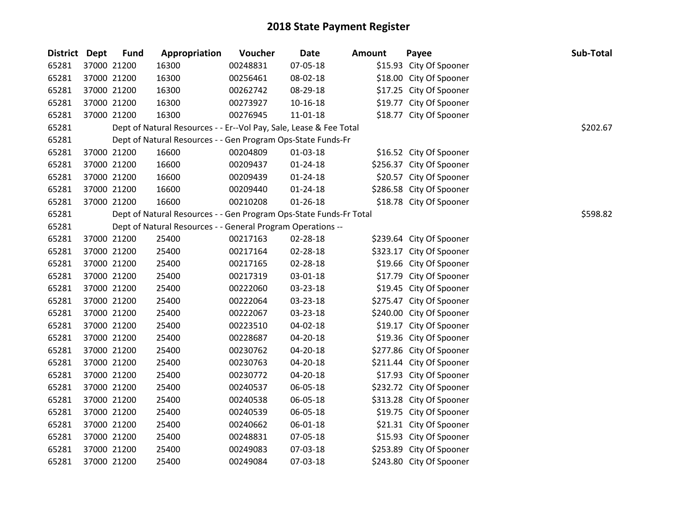| District Dept | <b>Fund</b> | Appropriation                                                      | Voucher  | <b>Date</b>    | <b>Amount</b> | Payee                    | Sub-Total |
|---------------|-------------|--------------------------------------------------------------------|----------|----------------|---------------|--------------------------|-----------|
| 65281         | 37000 21200 | 16300                                                              | 00248831 | 07-05-18       |               | \$15.93 City Of Spooner  |           |
| 65281         | 37000 21200 | 16300                                                              | 00256461 | 08-02-18       |               | \$18.00 City Of Spooner  |           |
| 65281         | 37000 21200 | 16300                                                              | 00262742 | 08-29-18       |               | \$17.25 City Of Spooner  |           |
| 65281         | 37000 21200 | 16300                                                              | 00273927 | 10-16-18       |               | \$19.77 City Of Spooner  |           |
| 65281         | 37000 21200 | 16300                                                              | 00276945 | $11 - 01 - 18$ |               | \$18.77 City Of Spooner  |           |
| 65281         |             | Dept of Natural Resources - - Er--Vol Pay, Sale, Lease & Fee Total |          |                |               |                          | \$202.67  |
| 65281         |             | Dept of Natural Resources - - Gen Program Ops-State Funds-Fr       |          |                |               |                          |           |
| 65281         | 37000 21200 | 16600                                                              | 00204809 | $01-03-18$     |               | \$16.52 City Of Spooner  |           |
| 65281         | 37000 21200 | 16600                                                              | 00209437 | 01-24-18       |               | \$256.37 City Of Spooner |           |
| 65281         | 37000 21200 | 16600                                                              | 00209439 | $01 - 24 - 18$ |               | \$20.57 City Of Spooner  |           |
| 65281         | 37000 21200 | 16600                                                              | 00209440 | $01 - 24 - 18$ |               | \$286.58 City Of Spooner |           |
| 65281         | 37000 21200 | 16600                                                              | 00210208 | $01 - 26 - 18$ |               | \$18.78 City Of Spooner  |           |
| 65281         |             | Dept of Natural Resources - - Gen Program Ops-State Funds-Fr Total |          |                |               |                          | \$598.82  |
| 65281         |             | Dept of Natural Resources - - General Program Operations --        |          |                |               |                          |           |
| 65281         | 37000 21200 | 25400                                                              | 00217163 | 02-28-18       |               | \$239.64 City Of Spooner |           |
| 65281         | 37000 21200 | 25400                                                              | 00217164 | 02-28-18       |               | \$323.17 City Of Spooner |           |
| 65281         | 37000 21200 | 25400                                                              | 00217165 | 02-28-18       |               | \$19.66 City Of Spooner  |           |
| 65281         | 37000 21200 | 25400                                                              | 00217319 | 03-01-18       |               | \$17.79 City Of Spooner  |           |
| 65281         | 37000 21200 | 25400                                                              | 00222060 | 03-23-18       |               | \$19.45 City Of Spooner  |           |
| 65281         | 37000 21200 | 25400                                                              | 00222064 | 03-23-18       |               | \$275.47 City Of Spooner |           |
| 65281         | 37000 21200 | 25400                                                              | 00222067 | 03-23-18       |               | \$240.00 City Of Spooner |           |
| 65281         | 37000 21200 | 25400                                                              | 00223510 | 04-02-18       |               | \$19.17 City Of Spooner  |           |
| 65281         | 37000 21200 | 25400                                                              | 00228687 | 04-20-18       |               | \$19.36 City Of Spooner  |           |
| 65281         | 37000 21200 | 25400                                                              | 00230762 | 04-20-18       |               | \$277.86 City Of Spooner |           |
| 65281         | 37000 21200 | 25400                                                              | 00230763 | 04-20-18       |               | \$211.44 City Of Spooner |           |
| 65281         | 37000 21200 | 25400                                                              | 00230772 | 04-20-18       |               | \$17.93 City Of Spooner  |           |
| 65281         | 37000 21200 | 25400                                                              | 00240537 | 06-05-18       |               | \$232.72 City Of Spooner |           |
| 65281         | 37000 21200 | 25400                                                              | 00240538 | 06-05-18       |               | \$313.28 City Of Spooner |           |
| 65281         | 37000 21200 | 25400                                                              | 00240539 | 06-05-18       |               | \$19.75 City Of Spooner  |           |
| 65281         | 37000 21200 | 25400                                                              | 00240662 | 06-01-18       |               | \$21.31 City Of Spooner  |           |
| 65281         | 37000 21200 | 25400                                                              | 00248831 | 07-05-18       |               | \$15.93 City Of Spooner  |           |
| 65281         | 37000 21200 | 25400                                                              | 00249083 | 07-03-18       |               | \$253.89 City Of Spooner |           |
| 65281         | 37000 21200 | 25400                                                              | 00249084 | 07-03-18       |               | \$243.80 City Of Spooner |           |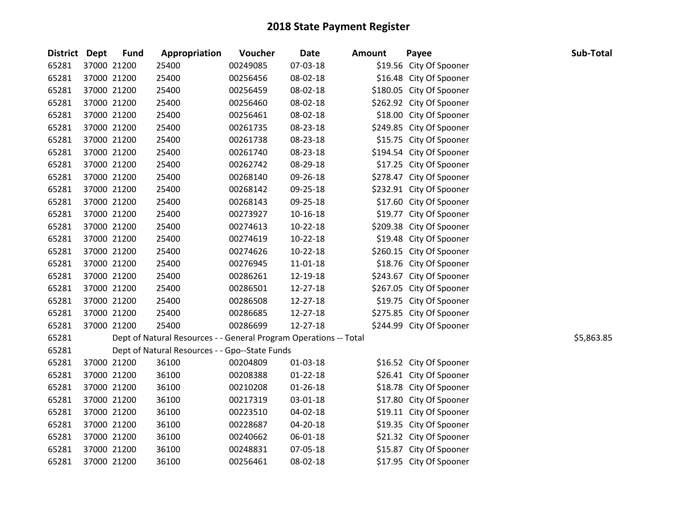| <b>District Dept</b> | <b>Fund</b> | Appropriation                                                     | Voucher  | <b>Date</b>    | <b>Amount</b> | Payee                    | Sub-Total  |
|----------------------|-------------|-------------------------------------------------------------------|----------|----------------|---------------|--------------------------|------------|
| 65281                | 37000 21200 | 25400                                                             | 00249085 | 07-03-18       |               | \$19.56 City Of Spooner  |            |
| 65281                | 37000 21200 | 25400                                                             | 00256456 | 08-02-18       |               | \$16.48 City Of Spooner  |            |
| 65281                | 37000 21200 | 25400                                                             | 00256459 | 08-02-18       |               | \$180.05 City Of Spooner |            |
| 65281                | 37000 21200 | 25400                                                             | 00256460 | 08-02-18       |               | \$262.92 City Of Spooner |            |
| 65281                | 37000 21200 | 25400                                                             | 00256461 | 08-02-18       |               | \$18.00 City Of Spooner  |            |
| 65281                | 37000 21200 | 25400                                                             | 00261735 | 08-23-18       |               | \$249.85 City Of Spooner |            |
| 65281                | 37000 21200 | 25400                                                             | 00261738 | 08-23-18       |               | \$15.75 City Of Spooner  |            |
| 65281                | 37000 21200 | 25400                                                             | 00261740 | 08-23-18       |               | \$194.54 City Of Spooner |            |
| 65281                | 37000 21200 | 25400                                                             | 00262742 | 08-29-18       |               | \$17.25 City Of Spooner  |            |
| 65281                | 37000 21200 | 25400                                                             | 00268140 | 09-26-18       |               | \$278.47 City Of Spooner |            |
| 65281                | 37000 21200 | 25400                                                             | 00268142 | 09-25-18       |               | \$232.91 City Of Spooner |            |
| 65281                | 37000 21200 | 25400                                                             | 00268143 | 09-25-18       |               | \$17.60 City Of Spooner  |            |
| 65281                | 37000 21200 | 25400                                                             | 00273927 | $10 - 16 - 18$ |               | \$19.77 City Of Spooner  |            |
| 65281                | 37000 21200 | 25400                                                             | 00274613 | $10-22-18$     |               | \$209.38 City Of Spooner |            |
| 65281                | 37000 21200 | 25400                                                             | 00274619 | $10 - 22 - 18$ |               | \$19.48 City Of Spooner  |            |
| 65281                | 37000 21200 | 25400                                                             | 00274626 | $10-22-18$     |               | \$260.15 City Of Spooner |            |
| 65281                | 37000 21200 | 25400                                                             | 00276945 | 11-01-18       |               | \$18.76 City Of Spooner  |            |
| 65281                | 37000 21200 | 25400                                                             | 00286261 | 12-19-18       |               | \$243.67 City Of Spooner |            |
| 65281                | 37000 21200 | 25400                                                             | 00286501 | 12-27-18       |               | \$267.05 City Of Spooner |            |
| 65281                | 37000 21200 | 25400                                                             | 00286508 | 12-27-18       |               | \$19.75 City Of Spooner  |            |
| 65281                | 37000 21200 | 25400                                                             | 00286685 | 12-27-18       |               | \$275.85 City Of Spooner |            |
| 65281                | 37000 21200 | 25400                                                             | 00286699 | 12-27-18       |               | \$244.99 City Of Spooner |            |
| 65281                |             | Dept of Natural Resources - - General Program Operations -- Total |          |                |               |                          | \$5,863.85 |
| 65281                |             | Dept of Natural Resources - - Gpo--State Funds                    |          |                |               |                          |            |
| 65281                | 37000 21200 | 36100                                                             | 00204809 | 01-03-18       |               | \$16.52 City Of Spooner  |            |
| 65281                | 37000 21200 | 36100                                                             | 00208388 | $01 - 22 - 18$ |               | \$26.41 City Of Spooner  |            |
| 65281                | 37000 21200 | 36100                                                             | 00210208 | $01 - 26 - 18$ |               | \$18.78 City Of Spooner  |            |
| 65281                | 37000 21200 | 36100                                                             | 00217319 | 03-01-18       |               | \$17.80 City Of Spooner  |            |
| 65281                | 37000 21200 | 36100                                                             | 00223510 | 04-02-18       |               | \$19.11 City Of Spooner  |            |
| 65281                | 37000 21200 | 36100                                                             | 00228687 | 04-20-18       |               | \$19.35 City Of Spooner  |            |
| 65281                | 37000 21200 | 36100                                                             | 00240662 | 06-01-18       |               | \$21.32 City Of Spooner  |            |
| 65281                | 37000 21200 | 36100                                                             | 00248831 | 07-05-18       |               | \$15.87 City Of Spooner  |            |
| 65281                | 37000 21200 | 36100                                                             | 00256461 | 08-02-18       |               | \$17.95 City Of Spooner  |            |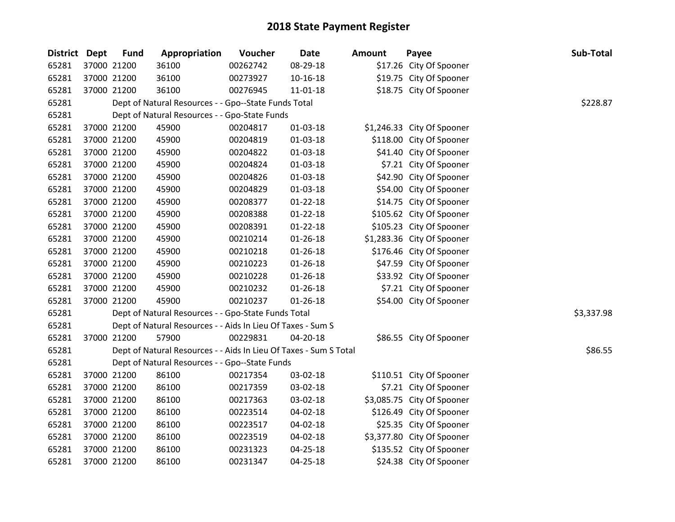| District Dept | <b>Fund</b> | Appropriation                                                     | Voucher  | <b>Date</b>    | <b>Amount</b> | Payee                      | Sub-Total  |
|---------------|-------------|-------------------------------------------------------------------|----------|----------------|---------------|----------------------------|------------|
| 65281         | 37000 21200 | 36100                                                             | 00262742 | 08-29-18       |               | \$17.26 City Of Spooner    |            |
| 65281         | 37000 21200 | 36100                                                             | 00273927 | $10 - 16 - 18$ |               | \$19.75 City Of Spooner    |            |
| 65281         | 37000 21200 | 36100                                                             | 00276945 | $11 - 01 - 18$ |               | \$18.75 City Of Spooner    |            |
| 65281         |             | Dept of Natural Resources - - Gpo--State Funds Total              |          |                |               |                            | \$228.87   |
| 65281         |             | Dept of Natural Resources - - Gpo-State Funds                     |          |                |               |                            |            |
| 65281         | 37000 21200 | 45900                                                             | 00204817 | $01 - 03 - 18$ |               | \$1,246.33 City Of Spooner |            |
| 65281         | 37000 21200 | 45900                                                             | 00204819 | 01-03-18       |               | \$118.00 City Of Spooner   |            |
| 65281         | 37000 21200 | 45900                                                             | 00204822 | 01-03-18       |               | \$41.40 City Of Spooner    |            |
| 65281         | 37000 21200 | 45900                                                             | 00204824 | $01 - 03 - 18$ |               | \$7.21 City Of Spooner     |            |
| 65281         | 37000 21200 | 45900                                                             | 00204826 | $01 - 03 - 18$ |               | \$42.90 City Of Spooner    |            |
| 65281         | 37000 21200 | 45900                                                             | 00204829 | $01 - 03 - 18$ |               | \$54.00 City Of Spooner    |            |
| 65281         | 37000 21200 | 45900                                                             | 00208377 | $01 - 22 - 18$ |               | \$14.75 City Of Spooner    |            |
| 65281         | 37000 21200 | 45900                                                             | 00208388 | $01 - 22 - 18$ |               | \$105.62 City Of Spooner   |            |
| 65281         | 37000 21200 | 45900                                                             | 00208391 | $01 - 22 - 18$ |               | \$105.23 City Of Spooner   |            |
| 65281         | 37000 21200 | 45900                                                             | 00210214 | $01 - 26 - 18$ |               | \$1,283.36 City Of Spooner |            |
| 65281         | 37000 21200 | 45900                                                             | 00210218 | $01 - 26 - 18$ |               | \$176.46 City Of Spooner   |            |
| 65281         | 37000 21200 | 45900                                                             | 00210223 | $01 - 26 - 18$ |               | \$47.59 City Of Spooner    |            |
| 65281         | 37000 21200 | 45900                                                             | 00210228 | $01 - 26 - 18$ |               | \$33.92 City Of Spooner    |            |
| 65281         | 37000 21200 | 45900                                                             | 00210232 | $01 - 26 - 18$ |               | \$7.21 City Of Spooner     |            |
| 65281         | 37000 21200 | 45900                                                             | 00210237 | $01 - 26 - 18$ |               | \$54.00 City Of Spooner    |            |
| 65281         |             | Dept of Natural Resources - - Gpo-State Funds Total               |          |                |               |                            | \$3,337.98 |
| 65281         |             | Dept of Natural Resources - - Aids In Lieu Of Taxes - Sum S       |          |                |               |                            |            |
| 65281         | 37000 21200 | 57900                                                             | 00229831 | 04-20-18       |               | \$86.55 City Of Spooner    |            |
| 65281         |             | Dept of Natural Resources - - Aids In Lieu Of Taxes - Sum S Total |          |                |               |                            | \$86.55    |
| 65281         |             | Dept of Natural Resources - - Gpo--State Funds                    |          |                |               |                            |            |
| 65281         | 37000 21200 | 86100                                                             | 00217354 | 03-02-18       |               | \$110.51 City Of Spooner   |            |
| 65281         | 37000 21200 | 86100                                                             | 00217359 | 03-02-18       |               | \$7.21 City Of Spooner     |            |
| 65281         | 37000 21200 | 86100                                                             | 00217363 | 03-02-18       |               | \$3,085.75 City Of Spooner |            |
| 65281         | 37000 21200 | 86100                                                             | 00223514 | 04-02-18       |               | \$126.49 City Of Spooner   |            |
| 65281         | 37000 21200 | 86100                                                             | 00223517 | 04-02-18       |               | \$25.35 City Of Spooner    |            |
| 65281         | 37000 21200 | 86100                                                             | 00223519 | 04-02-18       |               | \$3,377.80 City Of Spooner |            |
| 65281         | 37000 21200 | 86100                                                             | 00231323 | 04-25-18       |               | \$135.52 City Of Spooner   |            |
| 65281         | 37000 21200 | 86100                                                             | 00231347 | 04-25-18       |               | \$24.38 City Of Spooner    |            |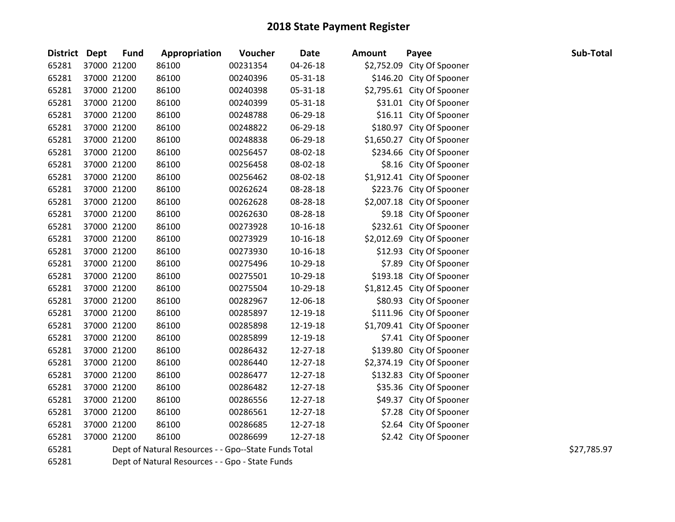| District Dept | <b>Fund</b> | Appropriation                                        | Voucher  | <b>Date</b> | <b>Amount</b> | Payee                      | Sub-Total   |
|---------------|-------------|------------------------------------------------------|----------|-------------|---------------|----------------------------|-------------|
| 65281         | 37000 21200 | 86100                                                | 00231354 | 04-26-18    |               | \$2,752.09 City Of Spooner |             |
| 65281         | 37000 21200 | 86100                                                | 00240396 | 05-31-18    |               | \$146.20 City Of Spooner   |             |
| 65281         | 37000 21200 | 86100                                                | 00240398 | 05-31-18    |               | \$2,795.61 City Of Spooner |             |
| 65281         | 37000 21200 | 86100                                                | 00240399 | 05-31-18    |               | \$31.01 City Of Spooner    |             |
| 65281         | 37000 21200 | 86100                                                | 00248788 | 06-29-18    |               | \$16.11 City Of Spooner    |             |
| 65281         | 37000 21200 | 86100                                                | 00248822 | 06-29-18    |               | \$180.97 City Of Spooner   |             |
| 65281         | 37000 21200 | 86100                                                | 00248838 | 06-29-18    |               | \$1,650.27 City Of Spooner |             |
| 65281         | 37000 21200 | 86100                                                | 00256457 | 08-02-18    |               | \$234.66 City Of Spooner   |             |
| 65281         | 37000 21200 | 86100                                                | 00256458 | 08-02-18    |               | \$8.16 City Of Spooner     |             |
| 65281         | 37000 21200 | 86100                                                | 00256462 | 08-02-18    |               | \$1,912.41 City Of Spooner |             |
| 65281         | 37000 21200 | 86100                                                | 00262624 | 08-28-18    |               | \$223.76 City Of Spooner   |             |
| 65281         | 37000 21200 | 86100                                                | 00262628 | 08-28-18    |               | \$2,007.18 City Of Spooner |             |
| 65281         | 37000 21200 | 86100                                                | 00262630 | 08-28-18    |               | \$9.18 City Of Spooner     |             |
| 65281         | 37000 21200 | 86100                                                | 00273928 | 10-16-18    |               | \$232.61 City Of Spooner   |             |
| 65281         | 37000 21200 | 86100                                                | 00273929 | 10-16-18    |               | \$2,012.69 City Of Spooner |             |
| 65281         | 37000 21200 | 86100                                                | 00273930 | 10-16-18    |               | \$12.93 City Of Spooner    |             |
| 65281         | 37000 21200 | 86100                                                | 00275496 | 10-29-18    |               | \$7.89 City Of Spooner     |             |
| 65281         | 37000 21200 | 86100                                                | 00275501 | 10-29-18    |               | \$193.18 City Of Spooner   |             |
| 65281         | 37000 21200 | 86100                                                | 00275504 | 10-29-18    |               | \$1,812.45 City Of Spooner |             |
| 65281         | 37000 21200 | 86100                                                | 00282967 | 12-06-18    |               | \$80.93 City Of Spooner    |             |
| 65281         | 37000 21200 | 86100                                                | 00285897 | 12-19-18    |               | \$111.96 City Of Spooner   |             |
| 65281         | 37000 21200 | 86100                                                | 00285898 | 12-19-18    |               | \$1,709.41 City Of Spooner |             |
| 65281         | 37000 21200 | 86100                                                | 00285899 | 12-19-18    |               | \$7.41 City Of Spooner     |             |
| 65281         | 37000 21200 | 86100                                                | 00286432 | 12-27-18    |               | \$139.80 City Of Spooner   |             |
| 65281         | 37000 21200 | 86100                                                | 00286440 | 12-27-18    |               | \$2,374.19 City Of Spooner |             |
| 65281         | 37000 21200 | 86100                                                | 00286477 | 12-27-18    |               | \$132.83 City Of Spooner   |             |
| 65281         | 37000 21200 | 86100                                                | 00286482 | 12-27-18    |               | \$35.36 City Of Spooner    |             |
| 65281         | 37000 21200 | 86100                                                | 00286556 | 12-27-18    |               | \$49.37 City Of Spooner    |             |
| 65281         | 37000 21200 | 86100                                                | 00286561 | 12-27-18    |               | \$7.28 City Of Spooner     |             |
| 65281         | 37000 21200 | 86100                                                | 00286685 | 12-27-18    |               | \$2.64 City Of Spooner     |             |
| 65281         | 37000 21200 | 86100                                                | 00286699 | 12-27-18    |               | \$2.42 City Of Spooner     |             |
| 65281         |             | Dept of Natural Resources - - Gpo--State Funds Total |          |             |               |                            | \$27,785.97 |
| 65281         |             | Dept of Natural Resources - - Gpo - State Funds      |          |             |               |                            |             |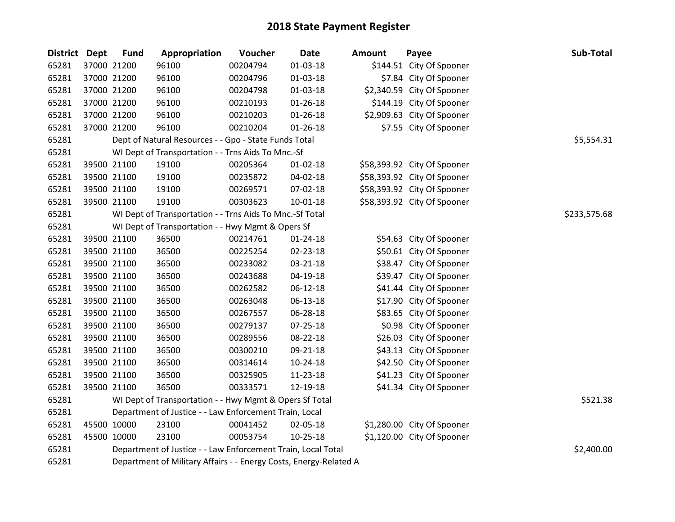| <b>District</b> | <b>Dept</b> | <b>Fund</b> | Appropriation                                                     | Voucher  | <b>Date</b>    | Amount | Payee                       | Sub-Total    |
|-----------------|-------------|-------------|-------------------------------------------------------------------|----------|----------------|--------|-----------------------------|--------------|
| 65281           |             | 37000 21200 | 96100                                                             | 00204794 | $01 - 03 - 18$ |        | \$144.51 City Of Spooner    |              |
| 65281           |             | 37000 21200 | 96100                                                             | 00204796 | $01-03-18$     |        | \$7.84 City Of Spooner      |              |
| 65281           |             | 37000 21200 | 96100                                                             | 00204798 | 01-03-18       |        | \$2,340.59 City Of Spooner  |              |
| 65281           |             | 37000 21200 | 96100                                                             | 00210193 | 01-26-18       |        | \$144.19 City Of Spooner    |              |
| 65281           |             | 37000 21200 | 96100                                                             | 00210203 | $01 - 26 - 18$ |        | \$2,909.63 City Of Spooner  |              |
| 65281           |             | 37000 21200 | 96100                                                             | 00210204 | $01 - 26 - 18$ |        | \$7.55 City Of Spooner      |              |
| 65281           |             |             | Dept of Natural Resources - - Gpo - State Funds Total             |          |                |        |                             | \$5,554.31   |
| 65281           |             |             | WI Dept of Transportation - - Trns Aids To Mnc.-Sf                |          |                |        |                             |              |
| 65281           |             | 39500 21100 | 19100                                                             | 00205364 | $01 - 02 - 18$ |        | \$58,393.92 City Of Spooner |              |
| 65281           |             | 39500 21100 | 19100                                                             | 00235872 | 04-02-18       |        | \$58,393.92 City Of Spooner |              |
| 65281           |             | 39500 21100 | 19100                                                             | 00269571 | 07-02-18       |        | \$58,393.92 City Of Spooner |              |
| 65281           |             | 39500 21100 | 19100                                                             | 00303623 | $10 - 01 - 18$ |        | \$58,393.92 City Of Spooner |              |
| 65281           |             |             | WI Dept of Transportation - - Trns Aids To Mnc.-Sf Total          |          |                |        |                             | \$233,575.68 |
| 65281           |             |             | WI Dept of Transportation - - Hwy Mgmt & Opers Sf                 |          |                |        |                             |              |
| 65281           |             | 39500 21100 | 36500                                                             | 00214761 | $01 - 24 - 18$ |        | \$54.63 City Of Spooner     |              |
| 65281           |             | 39500 21100 | 36500                                                             | 00225254 | 02-23-18       |        | \$50.61 City Of Spooner     |              |
| 65281           |             | 39500 21100 | 36500                                                             | 00233082 | 03-21-18       |        | \$38.47 City Of Spooner     |              |
| 65281           |             | 39500 21100 | 36500                                                             | 00243688 | 04-19-18       |        | \$39.47 City Of Spooner     |              |
| 65281           |             | 39500 21100 | 36500                                                             | 00262582 | $06 - 12 - 18$ |        | \$41.44 City Of Spooner     |              |
| 65281           |             | 39500 21100 | 36500                                                             | 00263048 | 06-13-18       |        | \$17.90 City Of Spooner     |              |
| 65281           |             | 39500 21100 | 36500                                                             | 00267557 | 06-28-18       |        | \$83.65 City Of Spooner     |              |
| 65281           |             | 39500 21100 | 36500                                                             | 00279137 | 07-25-18       |        | \$0.98 City Of Spooner      |              |
| 65281           |             | 39500 21100 | 36500                                                             | 00289556 | 08-22-18       |        | \$26.03 City Of Spooner     |              |
| 65281           |             | 39500 21100 | 36500                                                             | 00300210 | 09-21-18       |        | \$43.13 City Of Spooner     |              |
| 65281           |             | 39500 21100 | 36500                                                             | 00314614 | $10-24-18$     |        | \$42.50 City Of Spooner     |              |
| 65281           |             | 39500 21100 | 36500                                                             | 00325905 | 11-23-18       |        | \$41.23 City Of Spooner     |              |
| 65281           |             | 39500 21100 | 36500                                                             | 00333571 | 12-19-18       |        | \$41.34 City Of Spooner     |              |
| 65281           |             |             | WI Dept of Transportation - - Hwy Mgmt & Opers Sf Total           |          | \$521.38       |        |                             |              |
| 65281           |             |             | Department of Justice - - Law Enforcement Train, Local            |          |                |        |                             |              |
| 65281           |             | 45500 10000 | 23100                                                             | 00041452 | 02-05-18       |        | \$1,280.00 City Of Spooner  |              |
| 65281           |             | 45500 10000 | 23100                                                             | 00053754 | $10-25-18$     |        | \$1,120.00 City Of Spooner  |              |
| 65281           |             |             | Department of Justice - - Law Enforcement Train, Local Total      |          |                |        |                             | \$2,400.00   |
| 65281           |             |             | Department of Military Affairs - - Energy Costs, Energy-Related A |          |                |        |                             |              |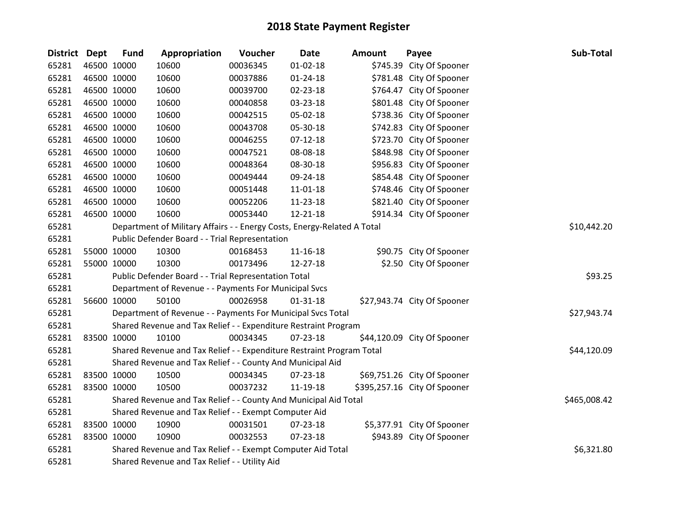| <b>District Dept</b> | <b>Fund</b> | Appropriation                                                           | Voucher  | <b>Date</b>    | <b>Amount</b> | Payee                        | Sub-Total    |
|----------------------|-------------|-------------------------------------------------------------------------|----------|----------------|---------------|------------------------------|--------------|
| 65281                | 46500 10000 | 10600                                                                   | 00036345 | $01 - 02 - 18$ |               | \$745.39 City Of Spooner     |              |
| 65281                | 46500 10000 | 10600                                                                   | 00037886 | $01 - 24 - 18$ |               | \$781.48 City Of Spooner     |              |
| 65281                | 46500 10000 | 10600                                                                   | 00039700 | 02-23-18       |               | \$764.47 City Of Spooner     |              |
| 65281                | 46500 10000 | 10600                                                                   | 00040858 | 03-23-18       |               | \$801.48 City Of Spooner     |              |
| 65281                | 46500 10000 | 10600                                                                   | 00042515 | 05-02-18       |               | \$738.36 City Of Spooner     |              |
| 65281                | 46500 10000 | 10600                                                                   | 00043708 | 05-30-18       |               | \$742.83 City Of Spooner     |              |
| 65281                | 46500 10000 | 10600                                                                   | 00046255 | $07-12-18$     |               | \$723.70 City Of Spooner     |              |
| 65281                | 46500 10000 | 10600                                                                   | 00047521 | 08-08-18       |               | \$848.98 City Of Spooner     |              |
| 65281                | 46500 10000 | 10600                                                                   | 00048364 | 08-30-18       |               | \$956.83 City Of Spooner     |              |
| 65281                | 46500 10000 | 10600                                                                   | 00049444 | 09-24-18       |               | \$854.48 City Of Spooner     |              |
| 65281                | 46500 10000 | 10600                                                                   | 00051448 | 11-01-18       |               | \$748.46 City Of Spooner     |              |
| 65281                | 46500 10000 | 10600                                                                   | 00052206 | 11-23-18       |               | \$821.40 City Of Spooner     |              |
| 65281                | 46500 10000 | 10600                                                                   | 00053440 | 12-21-18       |               | \$914.34 City Of Spooner     |              |
| 65281                |             | Department of Military Affairs - - Energy Costs, Energy-Related A Total |          |                |               |                              | \$10,442.20  |
| 65281                |             | Public Defender Board - - Trial Representation                          |          |                |               |                              |              |
| 65281                | 55000 10000 | 10300                                                                   | 00168453 | $11 - 16 - 18$ |               | \$90.75 City Of Spooner      |              |
| 65281                | 55000 10000 | 10300                                                                   | 00173496 | 12-27-18       |               | \$2.50 City Of Spooner       |              |
| 65281                |             | Public Defender Board - - Trial Representation Total                    |          |                |               |                              | \$93.25      |
| 65281                |             | Department of Revenue - - Payments For Municipal Svcs                   |          |                |               |                              |              |
| 65281                | 56600 10000 | 50100                                                                   | 00026958 | $01 - 31 - 18$ |               | \$27,943.74 City Of Spooner  |              |
| 65281                |             | Department of Revenue - - Payments For Municipal Svcs Total             |          |                |               |                              | \$27,943.74  |
| 65281                |             | Shared Revenue and Tax Relief - - Expenditure Restraint Program         |          |                |               |                              |              |
| 65281                | 83500 10000 | 10100                                                                   | 00034345 | 07-23-18       |               | \$44,120.09 City Of Spooner  |              |
| 65281                |             | Shared Revenue and Tax Relief - - Expenditure Restraint Program Total   |          |                |               |                              | \$44,120.09  |
| 65281                |             | Shared Revenue and Tax Relief - - County And Municipal Aid              |          |                |               |                              |              |
| 65281                | 83500 10000 | 10500                                                                   | 00034345 | 07-23-18       |               | \$69,751.26 City Of Spooner  |              |
| 65281                | 83500 10000 | 10500                                                                   | 00037232 | 11-19-18       |               | \$395,257.16 City Of Spooner |              |
| 65281                |             | Shared Revenue and Tax Relief - - County And Municipal Aid Total        |          |                |               |                              | \$465,008.42 |
| 65281                |             | Shared Revenue and Tax Relief - - Exempt Computer Aid                   |          |                |               |                              |              |
| 65281                | 83500 10000 | 10900                                                                   | 00031501 | 07-23-18       |               | \$5,377.91 City Of Spooner   |              |
| 65281                | 83500 10000 | 10900                                                                   | 00032553 | 07-23-18       |               | \$943.89 City Of Spooner     |              |
| 65281                |             | Shared Revenue and Tax Relief - - Exempt Computer Aid Total             |          |                |               |                              | \$6,321.80   |
| 65281                |             | Shared Revenue and Tax Relief - - Utility Aid                           |          |                |               |                              |              |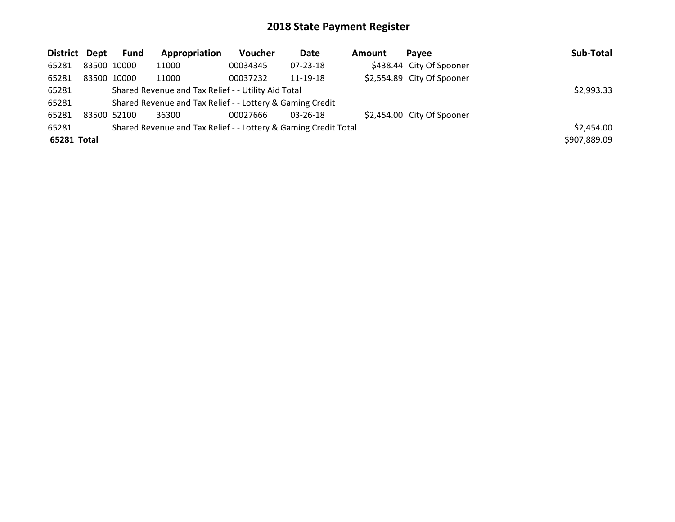| District Dept |             | Fund                                                | Appropriation                                             | <b>Voucher</b> | Date           | <b>Amount</b> | Pavee                      | Sub-Total    |
|---------------|-------------|-----------------------------------------------------|-----------------------------------------------------------|----------------|----------------|---------------|----------------------------|--------------|
| 65281         | 83500 10000 |                                                     | 11000                                                     | 00034345       | 07-23-18       |               | \$438.44 City Of Spooner   |              |
| 65281         |             | 83500 10000                                         | 11000                                                     | 00037232       | 11-19-18       |               | \$2,554.89 City Of Spooner |              |
| 65281         |             | Shared Revenue and Tax Relief - - Utility Aid Total | \$2,993.33                                                |                |                |               |                            |              |
| 65281         |             |                                                     | Shared Revenue and Tax Relief - - Lottery & Gaming Credit |                |                |               |                            |              |
| 65281         |             | 83500 52100                                         | 36300                                                     | 00027666       | $03 - 26 - 18$ |               | \$2,454.00 City Of Spooner |              |
| 65281         |             | \$2,454.00                                          |                                                           |                |                |               |                            |              |
| 65281 Total   |             |                                                     |                                                           |                |                |               |                            | \$907,889.09 |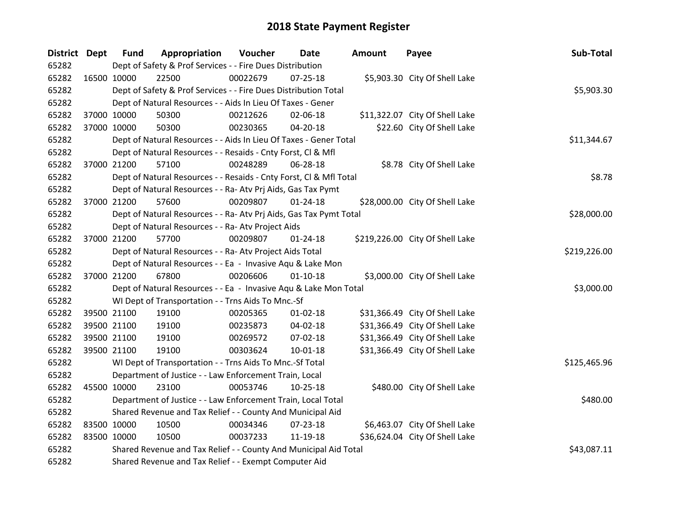| District Dept |             | <b>Fund</b>                                                | Appropriation                                                      | Voucher  | Date           | Amount | Payee                           | Sub-Total    |  |
|---------------|-------------|------------------------------------------------------------|--------------------------------------------------------------------|----------|----------------|--------|---------------------------------|--------------|--|
| 65282         |             |                                                            | Dept of Safety & Prof Services - - Fire Dues Distribution          |          |                |        |                                 |              |  |
| 65282         | 16500 10000 |                                                            | 22500                                                              | 00022679 | $07 - 25 - 18$ |        | \$5,903.30 City Of Shell Lake   |              |  |
| 65282         |             |                                                            | Dept of Safety & Prof Services - - Fire Dues Distribution Total    |          |                |        |                                 | \$5,903.30   |  |
| 65282         |             |                                                            | Dept of Natural Resources - - Aids In Lieu Of Taxes - Gener        |          |                |        |                                 |              |  |
| 65282         |             | 37000 10000                                                | 50300                                                              | 00212626 | 02-06-18       |        | \$11,322.07 City Of Shell Lake  |              |  |
| 65282         |             | 37000 10000                                                | 50300                                                              | 00230365 | 04-20-18       |        | \$22.60 City Of Shell Lake      |              |  |
| 65282         |             |                                                            | Dept of Natural Resources - - Aids In Lieu Of Taxes - Gener Total  |          |                |        |                                 | \$11,344.67  |  |
| 65282         |             |                                                            | Dept of Natural Resources - - Resaids - Cnty Forst, Cl & Mfl       |          |                |        |                                 |              |  |
| 65282         |             | 37000 21200                                                | 57100                                                              | 00248289 | 06-28-18       |        | \$8.78 City Of Shell Lake       |              |  |
| 65282         |             |                                                            | Dept of Natural Resources - - Resaids - Cnty Forst, Cl & Mfl Total |          |                |        |                                 | \$8.78       |  |
| 65282         |             |                                                            | Dept of Natural Resources - - Ra- Atv Prj Aids, Gas Tax Pymt       |          |                |        |                                 |              |  |
| 65282         |             | 37000 21200                                                | 57600                                                              | 00209807 | $01 - 24 - 18$ |        | \$28,000.00 City Of Shell Lake  |              |  |
| 65282         |             |                                                            | Dept of Natural Resources - - Ra- Atv Prj Aids, Gas Tax Pymt Total |          |                |        |                                 | \$28,000.00  |  |
| 65282         |             |                                                            | Dept of Natural Resources - - Ra- Atv Project Aids                 |          |                |        |                                 |              |  |
| 65282         |             | 37000 21200                                                | 57700                                                              | 00209807 | $01 - 24 - 18$ |        | \$219,226.00 City Of Shell Lake |              |  |
| 65282         |             |                                                            | Dept of Natural Resources - - Ra- Atv Project Aids Total           |          |                |        |                                 | \$219,226.00 |  |
| 65282         |             |                                                            | Dept of Natural Resources - - Ea - Invasive Aqu & Lake Mon         |          |                |        |                                 |              |  |
| 65282         |             | 37000 21200                                                | 67800                                                              | 00206606 | $01 - 10 - 18$ |        | \$3,000.00 City Of Shell Lake   |              |  |
| 65282         |             |                                                            | Dept of Natural Resources - - Ea - Invasive Aqu & Lake Mon Total   |          |                |        |                                 | \$3,000.00   |  |
| 65282         |             |                                                            | WI Dept of Transportation - - Trns Aids To Mnc.-Sf                 |          |                |        |                                 |              |  |
| 65282         |             | 39500 21100                                                | 19100                                                              | 00205365 | $01 - 02 - 18$ |        | \$31,366.49 City Of Shell Lake  |              |  |
| 65282         |             | 39500 21100                                                | 19100                                                              | 00235873 | 04-02-18       |        | \$31,366.49 City Of Shell Lake  |              |  |
| 65282         |             | 39500 21100                                                | 19100                                                              | 00269572 | 07-02-18       |        | \$31,366.49 City Of Shell Lake  |              |  |
| 65282         |             | 39500 21100                                                | 19100                                                              | 00303624 | 10-01-18       |        | \$31,366.49 City Of Shell Lake  |              |  |
| 65282         |             |                                                            | WI Dept of Transportation - - Trns Aids To Mnc.-Sf Total           |          |                |        |                                 | \$125,465.96 |  |
| 65282         |             |                                                            | Department of Justice - - Law Enforcement Train, Local             |          |                |        |                                 |              |  |
| 65282         |             | 45500 10000                                                | 23100                                                              | 00053746 | $10 - 25 - 18$ |        | \$480.00 City Of Shell Lake     |              |  |
| 65282         |             |                                                            | Department of Justice - - Law Enforcement Train, Local Total       |          |                |        |                                 | \$480.00     |  |
| 65282         |             | Shared Revenue and Tax Relief - - County And Municipal Aid |                                                                    |          |                |        |                                 |              |  |
| 65282         | 83500 10000 |                                                            | 10500                                                              | 00034346 | 07-23-18       |        | \$6,463.07 City Of Shell Lake   |              |  |
| 65282         |             | 83500 10000                                                | 10500                                                              | 00037233 | 11-19-18       |        | \$36,624.04 City Of Shell Lake  |              |  |
| 65282         |             |                                                            | Shared Revenue and Tax Relief - - County And Municipal Aid Total   |          |                |        |                                 | \$43,087.11  |  |
| 65282         |             |                                                            | Shared Revenue and Tax Relief - - Exempt Computer Aid              |          |                |        |                                 |              |  |